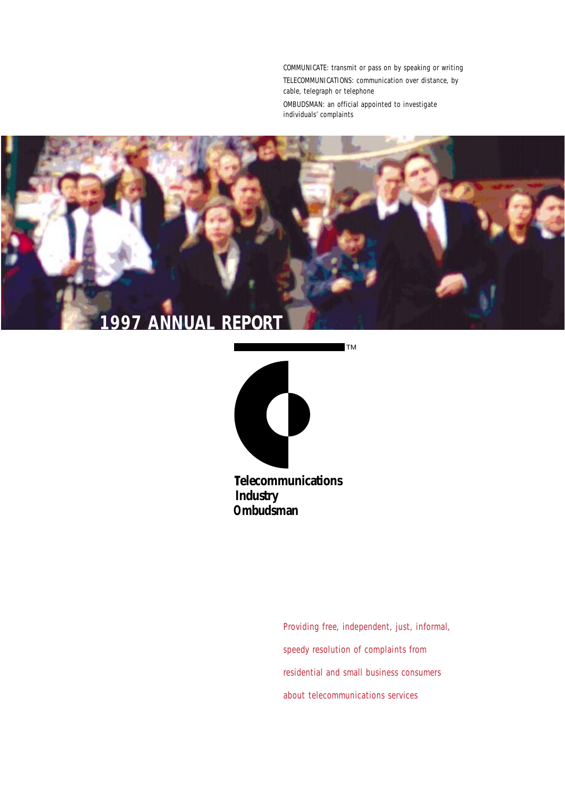COMMUNICATE: transmit or pass on by speaking or writing TELECOMMUNICATIONS: communication over distance, by cable, telegraph or telephone OMBUDSMAN: an official appointed to investigate individuals' complaints





**elecommunications ndustry I Ombudsman**

> Providing free, independent, just, informal, speedy resolution of complaints from residential and small business consumers about telecommunications services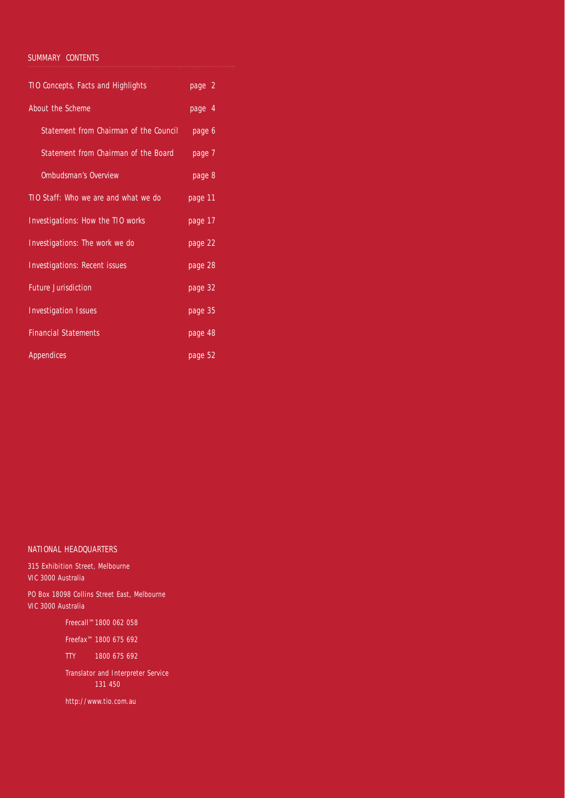## *SUMMARY CONTENTS*

| TIO Concepts, Facts and Highlights     | page 2  |
|----------------------------------------|---------|
| About the Scheme                       | page 4  |
| Statement from Chairman of the Council | page 6  |
| Statement from Chairman of the Board   | page 7  |
| <b>Ombudsman's Overview</b>            | page 8  |
| TIO Staff: Who we are and what we do   | page 11 |
| Investigations: How the TIO works      | page 17 |
| Investigations: The work we do         | page 22 |
| <b>Investigations: Recent issues</b>   | page 28 |
| <b>Future Jurisdiction</b>             | page 32 |
| <b>Investigation Issues</b>            | page 35 |
| <b>Financial Statements</b>            | page 48 |
| <b>Appendices</b>                      | page 52 |

## *NATIONAL HEADQUARTERS*

315 Exhibition Street, Melbourne VIC 3000 Australia

PO Box 18098 Collins Street East, Melbourne VIC 3000 Australia

Freecall™1800 062 058

Freefax™ 1800 675 692

TTY 1800 675 692

Translator and Interpreter Service 131 450

http://www.tio.com.au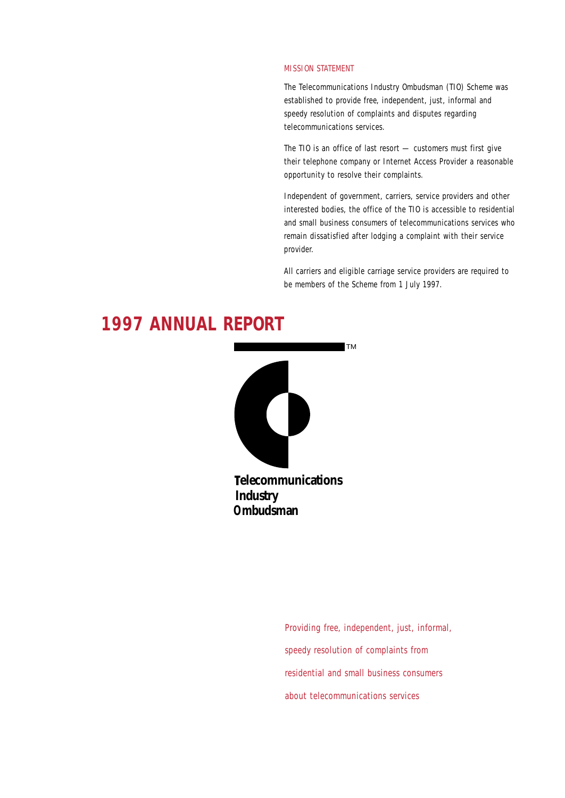## *MISSION STATEMENT*

The Telecommunications Industry Ombudsman (TIO) Scheme was established to provide free, independent, just, informal and speedy resolution of complaints and disputes regarding telecommunications services.

The TIO is an office of last resort — customers must first give their telephone company or Internet Access Provider a reasonable opportunity to resolve their complaints.

Independent of government, carriers, service providers and other interested bodies, the office of the TIO is accessible to residential and small business consumers of telecommunications services who remain dissatisfied after lodging a complaint with their service provider.

All carriers and eligible carriage service providers are required to be members of the Scheme from 1 July 1997.



Providing free, independent, just, informal, speedy resolution of complaints from residential and small business consumers about telecommunications services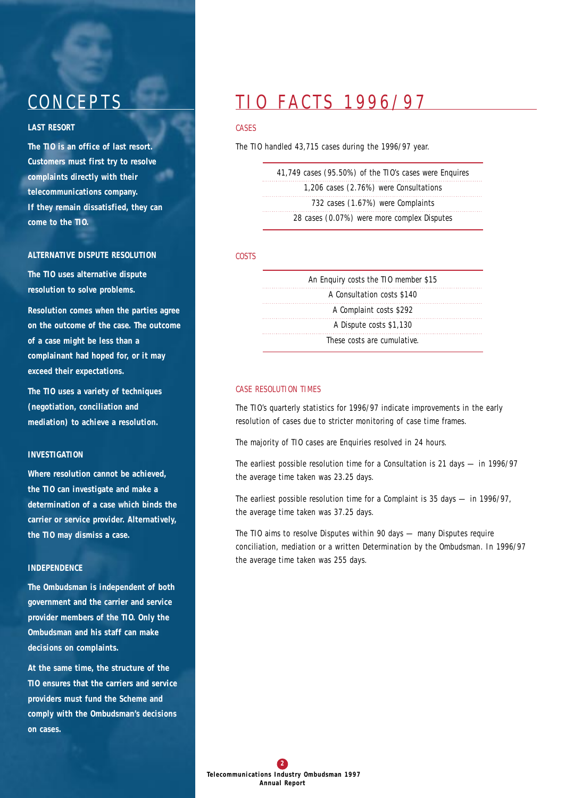# **CONCEPTS**

## *LAST RESORT*

**The TIO is an office of last resort. Customers must first try to resolve complaints directly with their telecommunications company. If they remain dissatisfied, they can come to the TIO.**

## *ALTERNATIVE DISPUTE RESOLUTION*

**The TIO uses alternative dispute resolution to solve problems.** 

**Resolution comes when the parties agree on the outcome of the case. The outcome of a case might be less than a complainant had hoped for, or it may exceed their expectations.** 

**The TIO uses a variety of techniques (negotiation, conciliation and mediation) to achieve a resolution.** 

## *INVESTIGATION*

**Where resolution cannot be achieved, the TIO can investigate and make a determination of a case which binds the carrier or service provider. Alternatively, the TIO may dismiss a case.** 

## *INDEPENDENCE*

**The Ombudsman is independent of both government and the carrier and service provider members of the TIO. Only the Ombudsman and his staff can make decisions on complaints.** 

**At the same time, the structure of the TIO ensures that the carriers and service providers must fund the Scheme and comply with the Ombudsman's decisions on cases.**

## T10 FACTS 1996/97

#### *CASES*

The TIO handled 43,715 cases during the 1996/97 year.

### *COSTS*

| An Enguiry costs the TIO member \$15 |  |
|--------------------------------------|--|
| A Consultation costs \$140           |  |
| A Complaint costs \$292              |  |
| A Dispute costs \$1,130              |  |
| These costs are cumulative.          |  |

## *CASE RESOLUTION TIMES*

 $\cdots$ 

. . . . .

The TIO's quarterly statistics for 1996/97 indicate improvements in the early resolution of cases due to stricter monitoring of case time frames.

The majority of TIO cases are Enquiries resolved in 24 hours.

The earliest possible resolution time for a Consultation is 21 days — in 1996/97 the average time taken was 23.25 days.

The earliest possible resolution time for a Complaint is 35 days — in 1996/97, the average time taken was 37.25 days.

The TIO aims to resolve Disputes within 90 days — many Disputes require conciliation, mediation or a written Determination by the Ombudsman. In 1996/97 the average time taken was 255 days.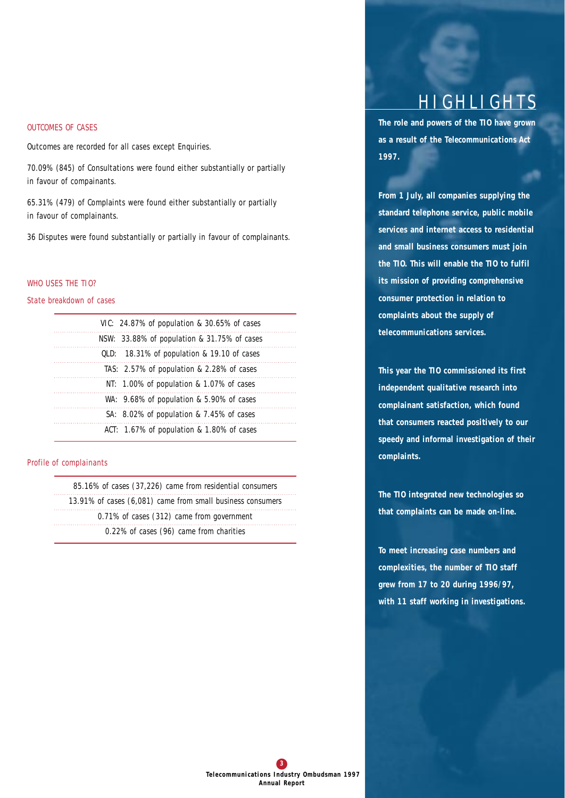## *OUTCOMES OF CASES*

Outcomes are recorded for all cases except Enquiries.

70.09% (845) of Consultations were found either substantially or partially in favour of compainants.

65.31% (479) of Complaints were found either substantially or partially in favour of complainants.

36 Disputes were found substantially or partially in favour of complainants.

## *WHO USES THE TIO?*

#### *State breakdown of cases*

| VIC: 24.87% of population & 30.65% of cases    |
|------------------------------------------------|
| $NSW: 33.88\%$ of population & 31.75% of cases |
| QLD: 18.31% of population & 19.10 of cases     |
| TAS: 2.57% of population & 2.28% of cases      |
| NT: $1.00\%$ of population & 1.07% of cases    |
| WA: $9.68\%$ of population & 5.90% of cases    |
| SA: $8.02\%$ of population & 7.45% of cases    |
| ACT: 1.67% of population & 1.80% of cases      |

### *Profile of complainants*

*85.16% of cases (37,226) came from residential consumers 13.91% of cases (6,081) came from small business consumers 0.71% of cases (312) came from government 0.22% of cases (96) came from charities*

# **HIGHLIGHTS**

**The role and powers of the TIO have grown as a result of the** *Telecommunications Act 1997***.** 

**From 1 July, all companies supplying the standard telephone service, public mobile services and internet access to residential and small business consumers must join the TIO. This will enable the TIO to fulfil its mission of providing comprehensive consumer protection in relation to complaints about the supply of telecommunications services.** 

**This year the TIO commissioned its first independent qualitative research into complainant satisfaction, which found that consumers reacted positively to our speedy and informal investigation of their complaints.** 

**The TIO integrated new technologies so that complaints can be made on-line.**

**To meet increasing case numbers and complexities, the number of TIO staff grew from 17 to 20 during 1996/97, with 11 staff working in investigations.**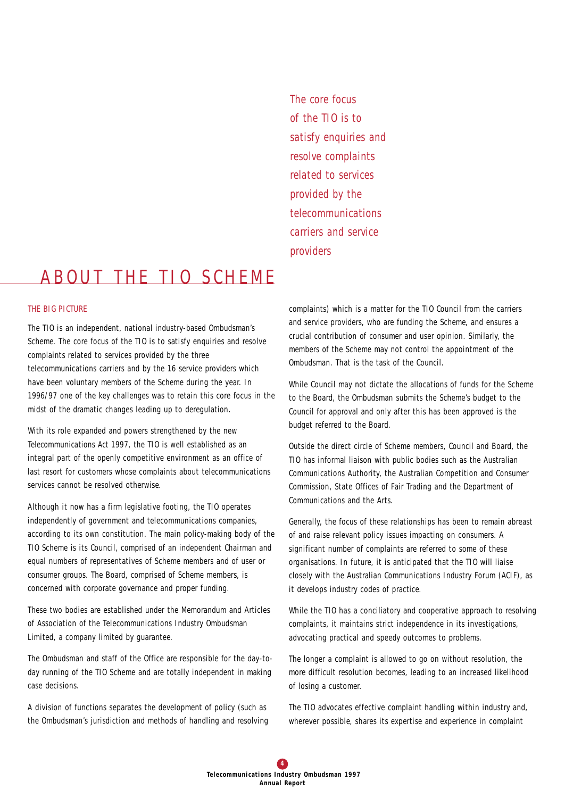*The core focus of the TIO is to satisfy enquiries and resolve complaints related to services provided by the telecommunications carriers and service providers*

## A BOUT THE TIO SCHEME

## *THE BIG PICTURE*

The TIO is an independent, national industry-based Ombudsman's Scheme. The core focus of the TIO is to satisfy enquiries and resolve complaints related to services provided by the three telecommunications carriers and by the 16 service providers which have been voluntary members of the Scheme during the year. In 1996/97 one of the key challenges was to retain this core focus in the midst of the dramatic changes leading up to deregulation.

With its role expanded and powers strengthened by the new *Telecommunications Act 1997*, the TIO is well established as an integral part of the openly competitive environment as an office of last resort for customers whose complaints about telecommunications services cannot be resolved otherwise.

Although it now has a firm legislative footing, the TIO operates independently of government and telecommunications companies, according to its own constitution. The main policy-making body of the TIO Scheme is its Council, comprised of an independent Chairman and equal numbers of representatives of Scheme members and of user or consumer groups. The Board, comprised of Scheme members, is concerned with corporate governance and proper funding.

These two bodies are established under the Memorandum and Articles of Association of the Telecommunications Industry Ombudsman Limited, a company limited by guarantee.

The Ombudsman and staff of the Office are responsible for the day-today running of the TIO Scheme and are totally independent in making case decisions.

A division of functions separates the development of policy (such as the Ombudsman's jurisdiction and methods of handling and resolving complaints) which is a matter for the TIO Council from the carriers and service providers, who are funding the Scheme, and ensures a crucial contribution of consumer and user opinion. Similarly, the members of the Scheme may not control the appointment of the Ombudsman. That is the task of the Council.

While Council may not dictate the allocations of funds for the Scheme to the Board, the Ombudsman submits the Scheme's budget to the Council for approval and only after this has been approved is the budget referred to the Board.

Outside the direct circle of Scheme members, Council and Board, the TIO has informal liaison with public bodies such as the Australian Communications Authority, the Australian Competition and Consumer Commission, State Offices of Fair Trading and the Department of Communications and the Arts.

Generally, the focus of these relationships has been to remain abreast of and raise relevant policy issues impacting on consumers. A significant number of complaints are referred to some of these organisations. In future, it is anticipated that the TIO will liaise closely with the Australian Communications Industry Forum (ACIF), as it develops industry codes of practice.

While the TIO has a conciliatory and cooperative approach to resolving complaints, it maintains strict independence in its investigations, advocating practical and speedy outcomes to problems.

The longer a complaint is allowed to go on without resolution, the more difficult resolution becomes, leading to an increased likelihood of losing a customer.

The TIO advocates effective complaint handling within industry and, wherever possible, shares its expertise and experience in complaint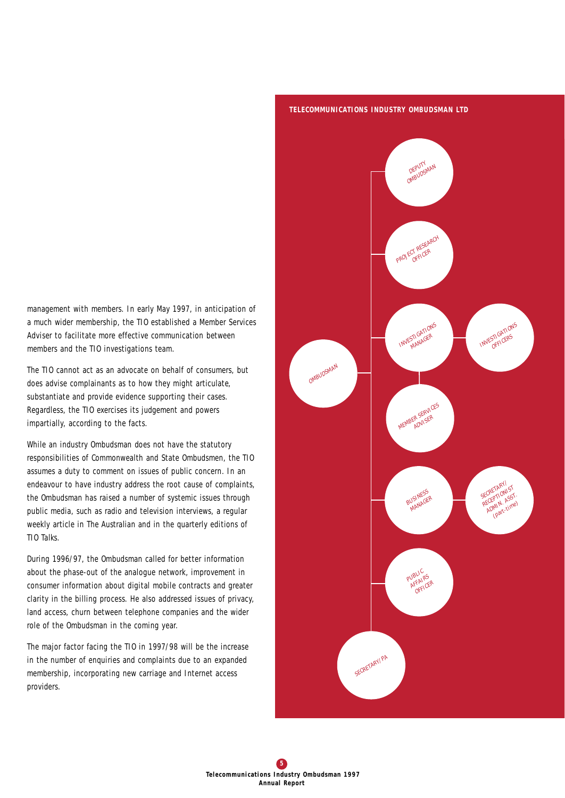management with members. In early May 1997, in anticipation of a much wider membership, the TIO established a Member Services Adviser to facilitate more effective communication between members and the TIO investigations team.

The TIO cannot act as an advocate on behalf of consumers, but does advise complainants as to how they might articulate, substantiate and provide evidence supporting their cases. Regardless, the TIO exercises its judgement and powers impartially, according to the facts.

While an industry Ombudsman does not have the statutory responsibilities of Commonwealth and State Ombudsmen, the TIO assumes a duty to comment on issues of public concern. In an endeavour to have industry address the root cause of complaints, the Ombudsman has raised a number of systemic issues through public media, such as radio and television interviews, a regular weekly article in *The Australian* and in the quarterly editions of *TIO Talks*.

During 1996/97, the Ombudsman called for better information about the phase-out of the analogue network, improvement in consumer information about digital mobile contracts and greater clarity in the billing process. He also addressed issues of privacy, land access, churn between telephone companies and the wider role of the Ombudsman in the coming year.

The major factor facing the TIO in 1997/98 will be the increase in the number of enquiries and complaints due to an expanded membership, incorporating new carriage and Internet access providers.

#### *TELECOMMUNICATIONS INDUSTRY OMBUDSMAN LTD*

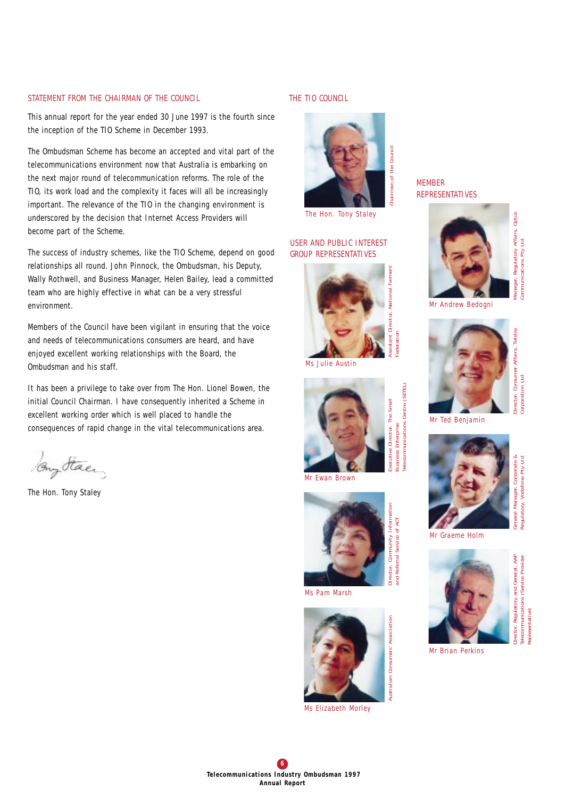## *STATEMENT FROM THE CHAIRMAN OF THE COUNCIL*

This annual report for the year ended 30 June 1997 is the fourth since the inception of the TIO Scheme in December 1993.

The Ombudsman Scheme has become an accepted and vital part of the telecommunications environment now that Australia is embarking on the next major round of telecommunication reforms. The role of the TIO, its work load and the complexity it faces will all be increasingly important. The relevance of the TIO in the changing environment is underscored by the decision that Internet Access Providers will become part of the Scheme.

The success of industry schemes, like the TIO Scheme, depend on good relationships all round. John Pinnock, the Ombudsman, his Deputy, Wally Rothwell, and Business Manager, Helen Bailey, lead a committed team who are highly effective in what can be a very stressful environment.

Members of the Council have been vigilant in ensuring that the voice and needs of telecommunications consumers are heard, and have enjoyed excellent working relationships with the Board, the Ombudsman and his staff.

It has been a privilege to take over from The Hon. Lionel Bowen, the initial Council Chairman. I have consequently inherited a Scheme in excellent working order which is well placed to handle the consequences of rapid change in the vital telecommunications area.

Buy Staer

The Hon. Tony Staley

## *THE TIO COUNCIL*



*The Hon. Tony Staley* 

## *USER AND PUBLIC INTEREST GROUP REPRESENTATIVES*



*Ms Julie Austin*





*and Referral Service of ACT*

*Ms Pam Marsh*



*Ms Elizabeth Morley*

## *MEMBER REPRESENTATIVES*



*Manager, Regulatory Affairs, Optus Communications Pty Ltd*

anager,

ommunications Pty Ltd

Regulatory Affairs, Optus

*Corporation Ltd*

*Regulatory, Vodafone Pty Ltd*

aulatory.

AAP



*Mr Ted Benjamin*



*Mr Graeme Holm*



*Director, Regulatory and General, AAP* Service Provider *Telecommunications (Service Provider* and General, Regulatory sentative<sup>'</sup> *Representative)* tor,

*Mr Brian Perkins*



**Susiness Enterprise** *Business Enterprise Mr Ewan Brown*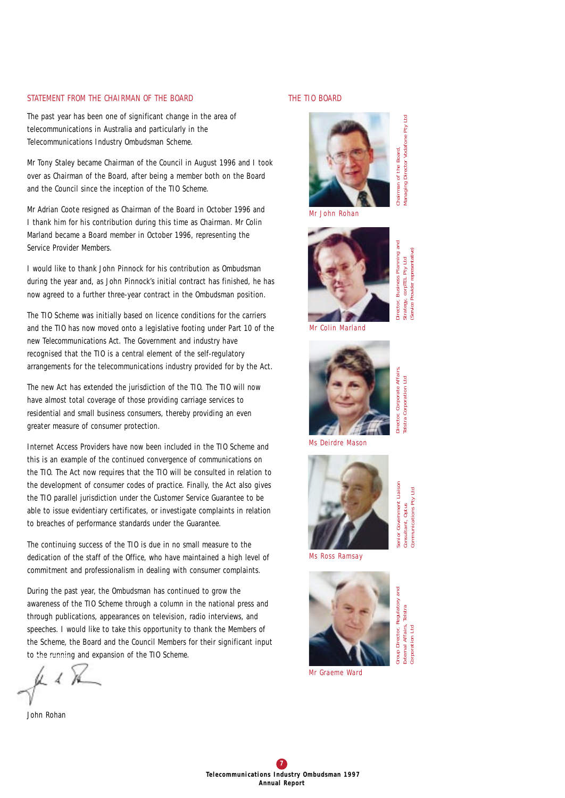### *STATEMENT FROM THE CHAIRMAN OF THE BOARD*

The past year has been one of significant change in the area of telecommunications in Australia and particularly in the Telecommunications Industry Ombudsman Scheme.

Mr Tony Staley became Chairman of the Council in August 1996 and I took over as Chairman of the Board, after being a member both on the Board and the Council since the inception of the TIO Scheme.

Mr Adrian Coote resigned as Chairman of the Board in October 1996 and I thank him for his contribution during this time as Chairman. Mr Colin Marland became a Board member in October 1996, representing the Service Provider Members.

I would like to thank John Pinnock for his contribution as Ombudsman during the year and, as John Pinnock's initial contract has finished, he has now agreed to a further three-year contract in the Ombudsman position.

The TIO Scheme was initially based on licence conditions for the carriers and the TIO has now moved onto a legislative footing under *Part 10* of the new *Telecommunications Act*. The Government and industry have recognised that the TIO is a central element of the self-regulatory arrangements for the telecommunications industry provided for by the Act.

The new Act has extended the jurisdiction of the TIO. The TIO will now have almost total coverage of those providing carriage services to residential and small business consumers, thereby providing an even greater measure of consumer protection.

Internet Access Providers have now been included in the TIO Scheme and this is an example of the continued convergence of communications on the TIO. The Act now requires that the TIO will be consulted in relation to the development of consumer codes of practice. Finally, the Act also gives the TIO parallel jurisdiction under the Customer Service Guarantee to be able to issue evidentiary certificates, or investigate complaints in relation to breaches of performance standards under the Guarantee.

The continuing success of the TIO is due in no small measure to the dedication of the staff of the Office, who have maintained a high level of commitment and professionalism in dealing with consumer complaints.

During the past year, the Ombudsman has continued to grow the awareness of the TIO Scheme through a column in the national press and through publications, appearances on television, radio interviews, and speeches. I would like to take this opportunity to thank the Members of the Scheme, the Board and the Council Members for their significant input to the running and expansion of the TIO Scheme.

John Rohan

## *THE TIO BOARD*



*Mr John Rohan*



*Director, Business Planning and (Service Provider representative)*  service Provider representative) **Business Planning** *Strategy, corpTEL Pty Ltd*  corpTEL Pty Ltd Director, trategy,

**Put** 

*Managing Director Vodafone Pty Ltd*

*Mr Colin Marland*



*Director, Corporate Affairs,*  Corporate Affairs elstra Corporation Ltd *Telstra Corporation Ltd* )irector,

*Ms Deirdre Mason*



senior Government Liaison *Senior Government Liaison* ommunications Pty Ltd *Communications Pty Ltd* **Optus** *Consultant, Optus*  :onsultant,

*Ms Ross Ramsay*



Regulatory and *Group Director, Regulatory and* Telstra *External Affairs, Telstra* External Affairs, orporation Ltd Group Director, *Corporation Ltd*

*Mr Graeme Ward*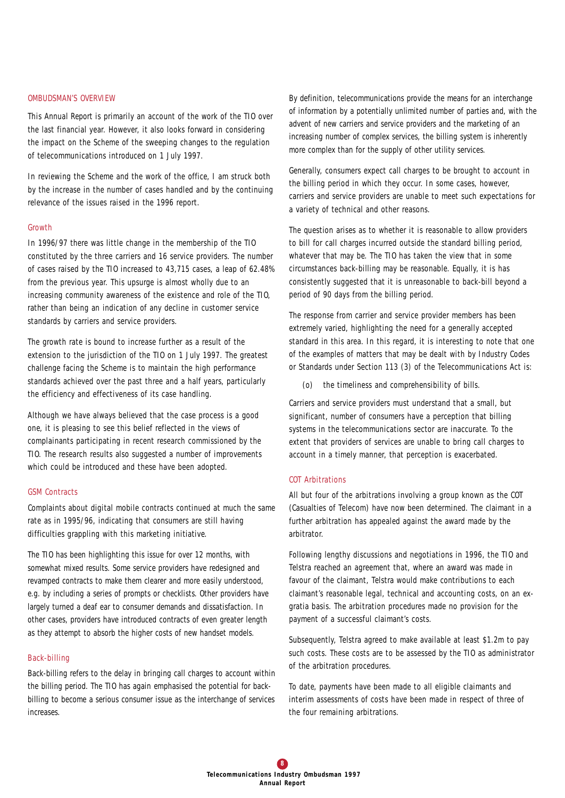#### *OMBUDSMAN'S OVERVIEW*

This *Annual Report* is primarily an account of the work of the TIO over the last financial year. However, it also looks forward in considering the impact on the Scheme of the sweeping changes to the regulation of telecommunications introduced on 1 July 1997.

In reviewing the Scheme and the work of the office, I am struck both by the increase in the number of cases handled and by the continuing relevance of the issues raised in the 1996 report.

#### Growth

In 1996/97 there was little change in the membership of the TIO constituted by the three carriers and 16 service providers. The number of cases raised by the TIO increased to 43,715 cases, a leap of 62.48% from the previous year. This upsurge is almost wholly due to an increasing community awareness of the existence and role of the TIO, rather than being an indication of any decline in customer service standards by carriers and service providers.

The growth rate is bound to increase further as a result of the extension to the jurisdiction of the TIO on 1 July 1997. The greatest challenge facing the Scheme is to maintain the high performance standards achieved over the past three and a half years, particularly the efficiency and effectiveness of its case handling.

Although we have always believed that the case process is a good one, it is pleasing to see this belief reflected in the views of complainants participating in recent research commissioned by the TIO. The research results also suggested a number of improvements which could be introduced and these have been adopted.

### GSM Contracts

Complaints about digital mobile contracts continued at much the same rate as in 1995/96, indicating that consumers are still having difficulties grappling with this marketing initiative.

The TIO has been highlighting this issue for over 12 months, with somewhat mixed results. Some service providers have redesigned and revamped contracts to make them clearer and more easily understood, e.g. by including a series of prompts or checklists. Other providers have largely turned a deaf ear to consumer demands and dissatisfaction. In other cases, providers have introduced contracts of even greater length as they attempt to absorb the higher costs of new handset models.

#### Back-billing

Back-billing refers to the delay in bringing call charges to account within the billing period. The TIO has again emphasised the potential for backbilling to become a serious consumer issue as the interchange of services increases.

By definition, telecommunications provide the means for an interchange of information by a potentially unlimited number of parties and, with the advent of new carriers and service providers and the marketing of an increasing number of complex services, the billing system is inherently more complex than for the supply of other utility services.

Generally, consumers expect call charges to be brought to account in the billing period in which they occur. In some cases, however, carriers and service providers are unable to meet such expectations for a variety of technical and other reasons.

The question arises as to whether it is reasonable to allow providers to bill for call charges incurred outside the standard billing period, whatever that may be. The TIO has taken the view that in some circumstances back-billing may be reasonable. Equally, it is has consistently suggested that it is unreasonable to back-bill beyond a period of 90 days from the billing period.

The response from carrier and service provider members has been extremely varied, highlighting the need for a generally accepted standard in this area. In this regard, it is interesting to note that one of the examples of matters that may be dealt with by Industry Codes or Standards under Section 113 (3) of the Telecommunications Act is:

(o) the timeliness and comprehensibility of bills.

Carriers and service providers must understand that a small, but significant, number of consumers have a perception that billing systems in the telecommunications sector are inaccurate. To the extent that providers of services are unable to bring call charges to account in a timely manner, that perception is exacerbated.

## COT Arbitrations

All but four of the arbitrations involving a group known as the COT (Casualties of Telecom) have now been determined. The claimant in a further arbitration has appealed against the award made by the arbitrator.

Following lengthy discussions and negotiations in 1996, the TIO and Telstra reached an agreement that, where an award was made in favour of the claimant, Telstra would make contributions to each claimant's reasonable legal, technical and accounting costs, on an exgratia basis. The arbitration procedures made no provision for the payment of a successful claimant's costs.

Subsequently, Telstra agreed to make available at least \$1.2m to pay such costs. These costs are to be assessed by the TIO as administrator of the arbitration procedures.

To date, payments have been made to all eligible claimants and interim assessments of costs have been made in respect of three of the four remaining arbitrations.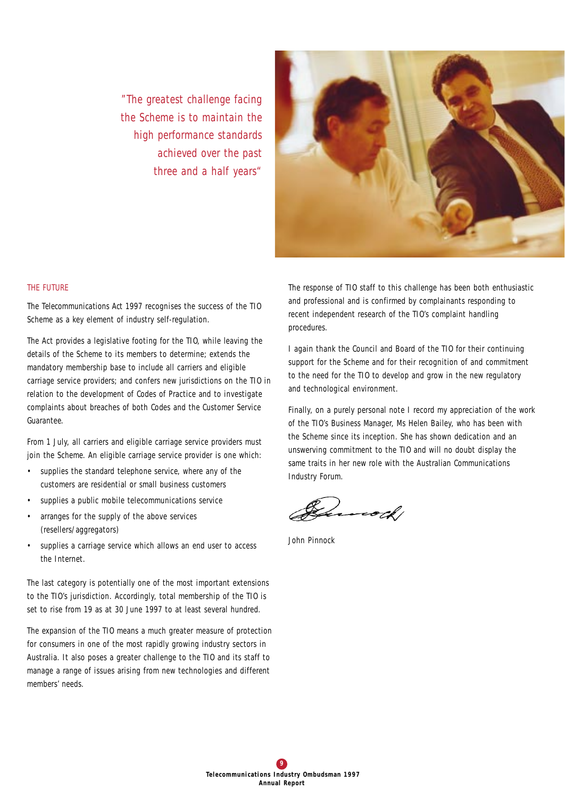*"The greatest challenge facing the Scheme is to maintain the high performance standards achieved over the past three and a half years"*



## *THE FUTURE*

The *Telecommunications Act 1997* recognises the success of the TIO Scheme as a key element of industry self-regulation.

The Act provides a legislative footing for the TIO, while leaving the details of the Scheme to its members to determine; extends the mandatory membership base to include all carriers and eligible carriage service providers; and confers new jurisdictions on the TIO in relation to the development of Codes of Practice and to investigate complaints about breaches of both Codes and the Customer Service Guarantee.

From 1 July, all carriers and eligible carriage service providers must join the Scheme. An eligible carriage service provider is one which:

- supplies the standard telephone service, where any of the customers are residential or small business customers
- supplies a public mobile telecommunications service
- arranges for the supply of the above services (resellers/aggregators)
- supplies a carriage service which allows an end user to access the Internet.

The last category is potentially one of the most important extensions to the TIO's jurisdiction. Accordingly, total membership of the TIO is set to rise from 19 as at 30 June 1997 to at least several hundred.

The expansion of the TIO means a much greater measure of protection for consumers in one of the most rapidly growing industry sectors in Australia. It also poses a greater challenge to the TIO and its staff to manage a range of issues arising from new technologies and different members' needs.

The response of TIO staff to this challenge has been both enthusiastic and professional and is confirmed by complainants responding to recent independent research of the TIO's complaint handling procedures.

I again thank the Council and Board of the TIO for their continuing support for the Scheme and for their recognition of and commitment to the need for the TIO to develop and grow in the new regulatory and technological environment.

Finally, on a purely personal note I record my appreciation of the work of the TIO's Business Manager, Ms Helen Bailey, who has been with the Scheme since its inception. She has shown dedication and an unswerving commitment to the TIO and will no doubt display the same traits in her new role with the Australian Communications Industry Forum.

Lucock,

John Pinnock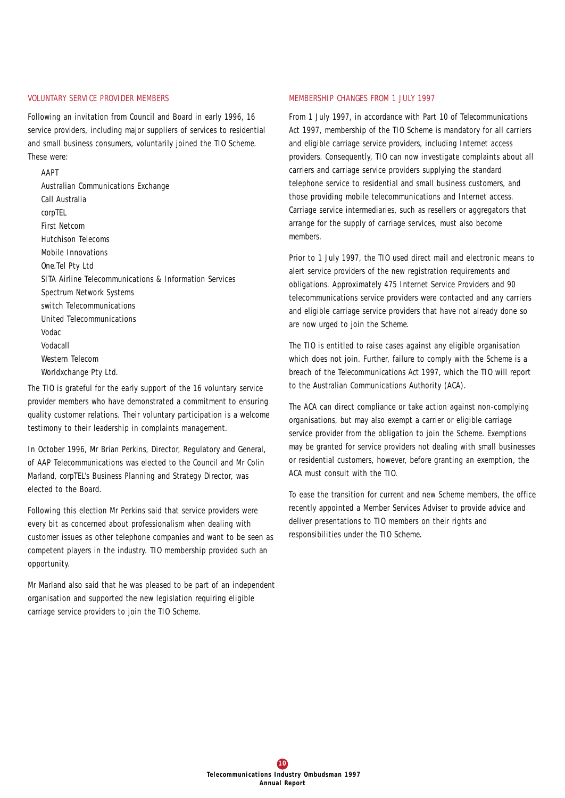### *VOLUNTARY SERVICE PROVIDER MEMBERS*

Following an invitation from Council and Board in early 1996, 16 service providers, including major suppliers of services to residential and small business consumers, voluntarily joined the TIO Scheme. These were:

#### AAPT

Australian Communications Exchange Call Australia *corp*TEL First Netcom Hutchison Telecoms Mobile Innovations One.Tel Pty Ltd SITA Airline Telecommunications & Information Services Spectrum Network Systems switch Telecommunications United Telecommunications Vodac Vodacall Western Telecom Worldxchange Pty Ltd.

The TIO is grateful for the early support of the 16 voluntary service provider members who have demonstrated a commitment to ensuring quality customer relations. Their voluntary participation is a welcome testimony to their leadership in complaints management.

In October 1996, Mr Brian Perkins, Director, Regulatory and General, of AAP Telecommunications was elected to the Council and Mr Colin Marland, *corp*TEL's Business Planning and Strategy Director, was elected to the Board.

Following this election Mr Perkins said that service providers were every bit as concerned about professionalism when dealing with customer issues as other telephone companies and want to be seen as competent players in the industry. TIO membership provided such an opportunity.

Mr Marland also said that he was pleased to be part of an independent organisation and supported the new legislation requiring eligible carriage service providers to join the TIO Scheme.

## *MEMBERSHIP CHANGES FROM 1 JULY 1997*

From 1 July 1997, in accordance with Part 10 of *Telecommunications Act 1997*, membership of the TIO Scheme is mandatory for all carriers and eligible carriage service providers, including Internet access providers. Consequently, TIO can now investigate complaints about all carriers and carriage service providers supplying the standard telephone service to residential and small business customers, and those providing mobile telecommunications and Internet access. Carriage service intermediaries, such as resellers or aggregators that arrange for the supply of carriage services, must also become members.

Prior to 1 July 1997, the TIO used direct mail and electronic means to alert service providers of the new registration requirements and obligations. Approximately 475 Internet Service Providers and 90 telecommunications service providers were contacted and any carriers and eligible carriage service providers that have not already done so are now urged to join the Scheme.

The TIO is entitled to raise cases against any eligible organisation which does not join. Further, failure to comply with the Scheme is a breach of the *Telecommunications Act 1997*, which the TIO will report to the Australian Communications Authority (ACA).

The ACA can direct compliance or take action against non-complying organisations, but may also exempt a carrier or eligible carriage service provider from the obligation to join the Scheme. Exemptions may be granted for service providers not dealing with small businesses or residential customers, however, before granting an exemption, the ACA must consult with the TIO.

To ease the transition for current and new Scheme members, the office recently appointed a Member Services Adviser to provide advice and deliver presentations to TIO members on their rights and responsibilities under the TIO Scheme.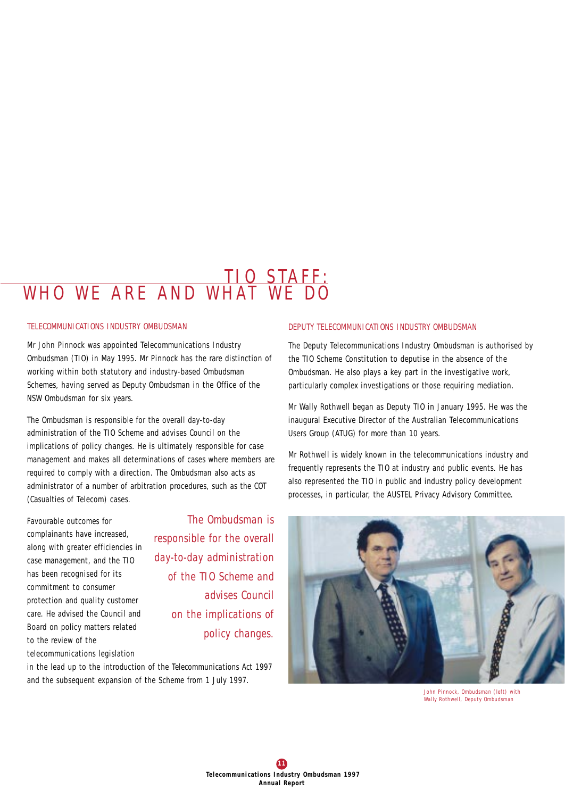## TIO STAFF:<br>WHAT WF DO WHO WE ARF AND

## *TELECOMMUNICATIONS INDUSTRY OMBUDSMAN*

Mr John Pinnock was appointed Telecommunications Industry Ombudsman (TIO) in May 1995. Mr Pinnock has the rare distinction of working within both statutory and industry-based Ombudsman Schemes, having served as Deputy Ombudsman in the Office of the NSW Ombudsman for six years.

The Ombudsman is responsible for the overall day-to-day administration of the TIO Scheme and advises Council on the implications of policy changes. He is ultimately responsible for case management and makes all determinations of cases where members are required to comply with a direction. The Ombudsman also acts as administrator of a number of arbitration procedures, such as the COT (Casualties of Telecom) cases.

Favourable outcomes for complainants have increased, along with greater efficiencies in case management, and the TIO has been recognised for its commitment to consumer protection and quality customer care. He advised the Council and Board on policy matters related to the review of the

telecommunications legislation

*The Ombudsman is responsible for the overall day-to-day administration of the TIO Scheme and advises Council on the implications of policy changes.*

in the lead up to the introduction of the *Telecommunications Act 1997* and the subsequent expansion of the Scheme from 1 July 1997.

## *DEPUTY TELECOMMUNICATIONS INDUSTRY OMBUDSMAN*

The Deputy Telecommunications Industry Ombudsman is authorised by the TIO Scheme Constitution to deputise in the absence of the Ombudsman. He also plays a key part in the investigative work, particularly complex investigations or those requiring mediation.

Mr Wally Rothwell began as Deputy TIO in January 1995. He was the inaugural Executive Director of the Australian Telecommunications Users Group (ATUG) for more than 10 years.

Mr Rothwell is widely known in the telecommunications industry and frequently represents the TIO at industry and public events. He has also represented the TIO in public and industry policy development processes, in particular, the AUSTEL Privacy Advisory Committee.



*John Pinnock, Ombudsman (left) with Wally Rothwell, Deputy Ombudsman*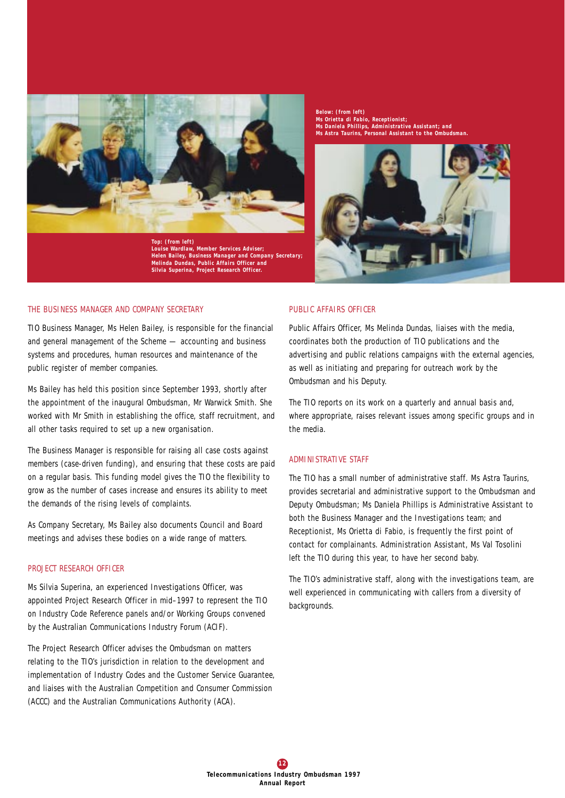

*Top: (from left) Louise Wardlaw, Member Services Adviser; Helen Bailey, Business Manager and Company Secretary; Melinda Dundas, Public Affairs Officer and Silvia Superina, Project Research Officer.*

#### *THE BUSINESS MANAGER AND COMPANY SECRETARY*

TIO Business Manager, Ms Helen Bailey, is responsible for the financial and general management of the Scheme — accounting and business systems and procedures, human resources and maintenance of the public register of member companies.

Ms Bailey has held this position since September 1993, shortly after the appointment of the inaugural Ombudsman, Mr Warwick Smith. She worked with Mr Smith in establishing the office, staff recruitment, and all other tasks required to set up a new organisation.

The Business Manager is responsible for raising all case costs against members (case-driven funding), and ensuring that these costs are paid on a regular basis. This funding model gives the TIO the flexibility to grow as the number of cases increase and ensures its ability to meet the demands of the rising levels of complaints.

As Company Secretary, Ms Bailey also documents Council and Board meetings and advises these bodies on a wide range of matters.

#### *PROJECT RESEARCH OFFICER*

Ms Silvia Superina, an experienced Investigations Officer, was appointed Project Research Officer in mid–1997 to represent the TIO on Industry Code Reference panels and/or Working Groups convened by the Australian Communications Industry Forum (ACIF).

The Project Research Officer advises the Ombudsman on matters relating to the TIO's jurisdiction in relation to the development and implementation of Industry Codes and the Customer Service Guarantee, and liaises with the Australian Competition and Consumer Commission (ACCC) and the Australian Communications Authority (ACA).

*Below: (from left) Ms Orietta di Fabio, Receptionist; Ms Daniela Phillips, Administrative Assistant; and Ms Astra Taurins, Personal Assistant to the Ombudsman.*



#### *PUBLIC AFFAIRS OFFICER*

Public Affairs Officer, Ms Melinda Dundas, liaises with the media, coordinates both the production of TIO publications and the advertising and public relations campaigns with the external agencies, as well as initiating and preparing for outreach work by the Ombudsman and his Deputy.

The TIO reports on its work on a quarterly and annual basis and, where appropriate, raises relevant issues among specific groups and in the media.

## *ADMINISTRATIVE STAFF*

The TIO has a small number of administrative staff. Ms Astra Taurins, provides secretarial and administrative support to the Ombudsman and Deputy Ombudsman; Ms Daniela Phillips is Administrative Assistant to both the Business Manager and the Investigations team; and Receptionist, Ms Orietta di Fabio, is frequently the first point of contact for complainants. Administration Assistant, Ms Val Tosolini left the TIO during this year, to have her second baby.

The TIO's administrative staff, along with the investigations team, are well experienced in communicating with callers from a diversity of backgrounds.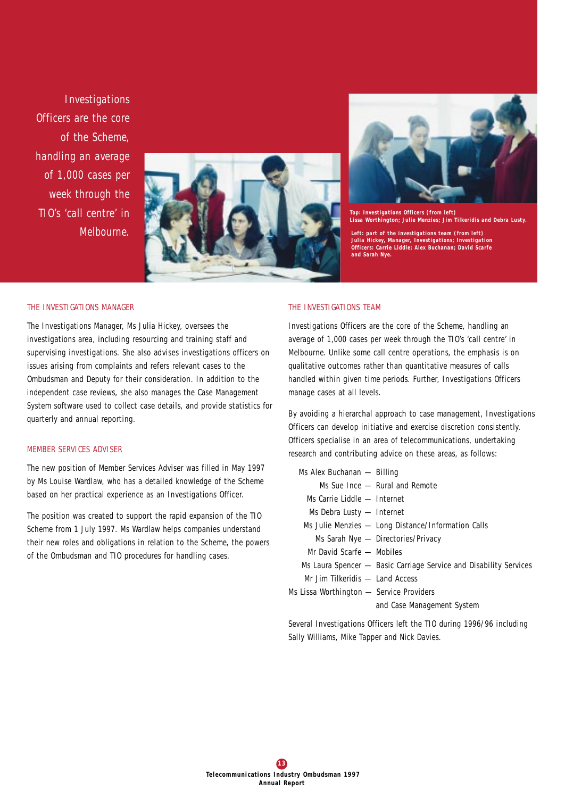*Investigations Officers are the core of the Scheme, handling an average of 1,000 cases per week through the TIO's 'call centre' in Melbourne.*





*Top: Investigations Officers (from left) Lissa Worthington; Julie Menzies; Jim Tilkeridis and Debra Lusty.* 

*Left: part of the investigations team (from left) Julia Hickey, Manager, Investigations; Investigation Officers: Carrie Liddle; Alex Buchanan; David Scarfe and Sarah Nye.*

#### *THE INVESTIGATIONS MANAGER*

The Investigations Manager, Ms Julia Hickey, oversees the investigations area, including resourcing and training staff and supervising investigations. She also advises investigations officers on issues arising from complaints and refers relevant cases to the Ombudsman and Deputy for their consideration. In addition to the independent case reviews, she also manages the Case Management System software used to collect case details, and provide statistics for quarterly and annual reporting.

#### *MEMBER SERVICES ADVISER*

The new position of Member Services Adviser was filled in May 1997 by Ms Louise Wardlaw, who has a detailed knowledge of the Scheme based on her practical experience as an Investigations Officer.

The position was created to support the rapid expansion of the TIO Scheme from 1 July 1997. Ms Wardlaw helps companies understand their new roles and obligations in relation to the Scheme, the powers of the Ombudsman and TIO procedures for handling cases.

## *THE INVESTIGATIONS TEAM*

Investigations Officers are the core of the Scheme, handling an average of 1,000 cases per week through the TIO's 'call centre' in Melbourne. Unlike some call centre operations, the emphasis is on qualitative outcomes rather than quantitative measures of calls handled within given time periods. Further, Investigations Officers manage cases at all levels.

By avoiding a hierarchal approach to case management, Investigations Officers can develop initiative and exercise discretion consistently. Officers specialise in an area of telecommunications, undertaking research and contributing advice on these areas, as follows:

- Ms Alex Buchanan Billing
	- Ms Sue Ince Rural and Remote
	- Ms Carrie Liddle Internet
	- Ms Debra Lusty Internet
	- Ms Julie Menzies Long Distance/Information Calls
		- Ms Sarah Nye Directories/Privacy
	- Mr David Scarfe Mobiles
- Ms Laura Spencer Basic Carriage Service and Disability Services
- Mr Jim Tilkeridis Land Access
- Ms Lissa Worthington Service Providers

and Case Management System

Several Investigations Officers left the TIO during 1996/96 including Sally Williams, Mike Tapper and Nick Davies.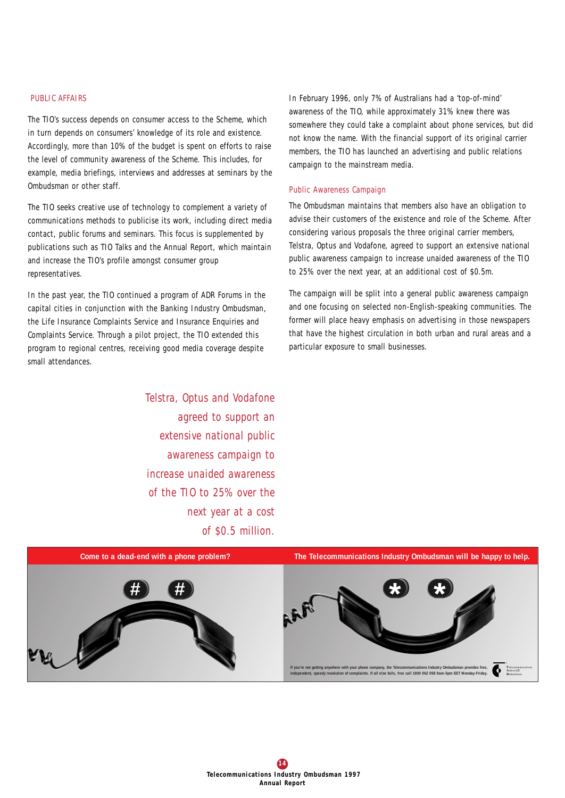### *PUBLIC AFFAIRS*

The TIO's success depends on consumer access to the Scheme, which in turn depends on consumers' knowledge of its role and existence. Accordingly, more than 10% of the budget is spent on efforts to raise the level of community awareness of the Scheme. This includes, for example, media briefings, interviews and addresses at seminars by the Ombudsman or other staff.

The TIO seeks creative use of technology to complement a variety of communications methods to publicise its work, including direct media contact, public forums and seminars. This focus is supplemented by publications such as TIO Talks and the Annual Report, which maintain and increase the TIO's profile amongst consumer group representatives.

In the past year, the TIO continued a program of ADR Forums in the capital cities in conjunction with the Banking Industry Ombudsman, the Life Insurance Complaints Service and Insurance Enquiries and Complaints Service. Through a pilot project, the TIO extended this program to regional centres, receiving good media coverage despite small attendances.

> *Telstra, Optus and Vodafone agreed to support an extensive national public awareness campaign to increase unaided awareness of the TIO to 25% over the next year at a cost of \$0.5 million.*

In February 1996, only 7% of Australians had a 'top-of-mind' awareness of the TIO, while approximately 31% knew there was somewhere they could take a complaint about phone services, but did not know the name. With the financial support of its original carrier members, the TIO has launched an advertising and public relations campaign to the mainstream media.

## Public Awareness Campaign

The Ombudsman maintains that members also have an obligation to advise their customers of the existence and role of the Scheme. After considering various proposals the three original carrier members, Telstra, Optus and Vodafone, agreed to support an extensive national public awareness campaign to increase unaided awareness of the TIO to 25% over the next year, at an additional cost of \$0.5m.

The campaign will be split into a general public awareness campaign and one focusing on selected non-English-speaking communities. The former will place heavy emphasis on advertising in those newspapers that have the highest circulation in both urban and rural areas and a particular exposure to small businesses.

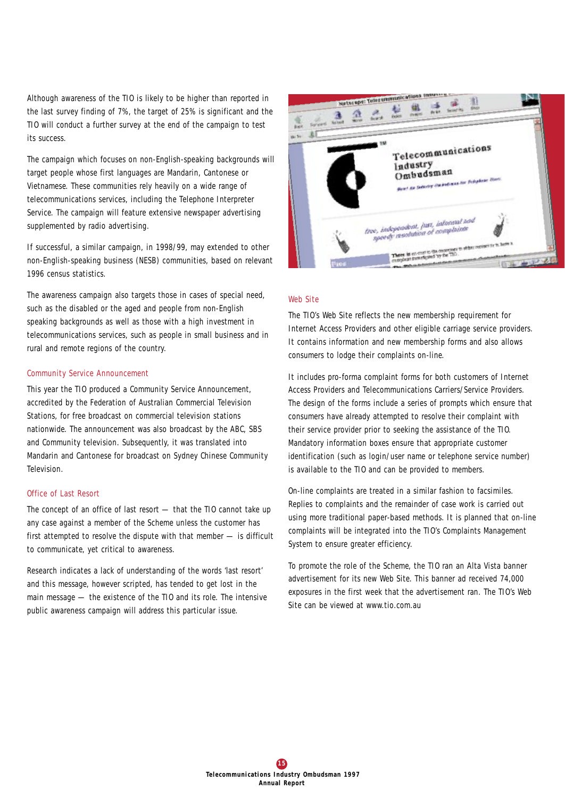Although awareness of the TIO is likely to be higher than reported in the last survey finding of 7%, the target of 25% is significant and the TIO will conduct a further survey at the end of the campaign to test its success.

The campaign which focuses on non-English-speaking backgrounds will target people whose first languages are Mandarin, Cantonese or Vietnamese. These communities rely heavily on a wide range of telecommunications services, including the Telephone Interpreter Service. The campaign will feature extensive newspaper advertising supplemented by radio advertising.

If successful, a similar campaign, in 1998/99, may extended to other non-English-speaking business (NESB) communities, based on relevant 1996 census statistics.

The awareness campaign also targets those in cases of special need, such as the disabled or the aged and people from non-English speaking backgrounds as well as those with a high investment in telecommunications services, such as people in small business and in rural and remote regions of the country.

## Community Service Announcement

This year the TIO produced a Community Service Announcement, accredited by the Federation of Australian Commercial Television Stations, for free broadcast on commercial television stations nationwide. The announcement was also broadcast by the ABC, SBS and Community television. Subsequently, it was translated into Mandarin and Cantonese for broadcast on Sydney Chinese Community Television.

## Office of Last Resort

The concept of an office of last resort — that the TIO cannot take up any case against a member of the Scheme unless the customer has first attempted to resolve the dispute with that member — is difficult to communicate, yet critical to awareness.

Research indicates a lack of understanding of the words 'last resort' and this message, however scripted, has tended to get lost in the main message — the existence of the TIO and its role. The intensive public awareness campaign will address this particular issue.



#### Web Site

The TIO's Web Site reflects the new membership requirement for Internet Access Providers and other eligible carriage service providers. It contains information and new membership forms and also allows consumers to lodge their complaints on-line.

It includes pro-forma complaint forms for both customers of Internet Access Providers and Telecommunications Carriers/Service Providers. The design of the forms include a series of prompts which ensure that consumers have already attempted to resolve their complaint with their service provider prior to seeking the assistance of the TIO. Mandatory information boxes ensure that appropriate customer identification (such as login/user name or telephone service number) is available to the TIO and can be provided to members.

On-line complaints are treated in a similar fashion to facsimiles. Replies to complaints and the remainder of case work is carried out using more traditional paper-based methods. It is planned that on-line complaints will be integrated into the TIO's Complaints Management System to ensure greater efficiency.

To promote the role of the Scheme, the TIO ran an Alta Vista banner advertisement for its new Web Site. This banner ad received 74,000 exposures in the first week that the advertisement ran. The TIO's Web Site can be viewed at www.tio.com.au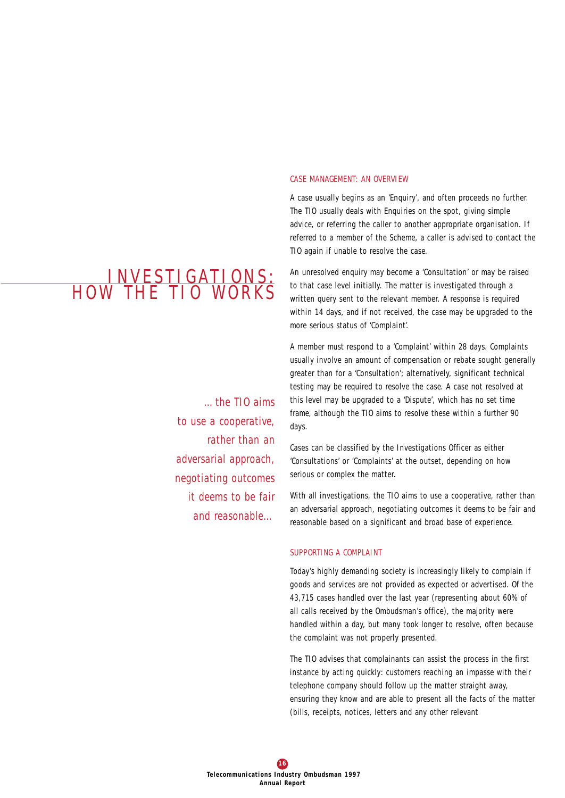## INVESTIGATIONS: HOW THE TIO WORKS

*…the TIO aims to use a cooperative, rather than an adversarial approach, negotiating outcomes it deems to be fair and reasonable…*

#### *CASE MANAGEMENT: AN OVERVIEW*

A case usually begins as an 'Enquiry', and often proceeds no further. The TIO usually deals with Enquiries on the spot, giving simple advice, or referring the caller to another appropriate organisation. If referred to a member of the Scheme, a caller is advised to contact the TIO again if unable to resolve the case.

An unresolved enquiry may become a 'Consultation' or may be raised to that case level initially. The matter is investigated through a written query sent to the relevant member. A response is required within 14 days, and if not received, the case may be upgraded to the more serious status of 'Complaint'.

A member must respond to a 'Complaint' within 28 days. Complaints usually involve an amount of compensation or rebate sought generally greater than for a 'Consultation'; alternatively, significant technical testing may be required to resolve the case. A case not resolved at this level may be upgraded to a 'Dispute', which has no set time frame, although the TIO aims to resolve these within a further 90 days.

Cases can be classified by the Investigations Officer as either 'Consultations' or 'Complaints' at the outset, depending on how serious or complex the matter.

With all investigations, the TIO aims to use a cooperative, rather than an adversarial approach, negotiating outcomes it deems to be fair and reasonable based on a significant and broad base of experience.

## *SUPPORTING A COMPLAINT*

Today's highly demanding society is increasingly likely to complain if goods and services are not provided as expected or advertised. Of the 43,715 cases handled over the last year (representing about 60% of all calls received by the Ombudsman's office), the majority were handled within a day, but many took longer to resolve, often because the complaint was not properly presented.

The TIO advises that complainants can assist the process in the first instance by acting quickly: customers reaching an impasse with their telephone company should follow up the matter straight away, ensuring they know and are able to present all the facts of the matter (bills, receipts, notices, letters and any other relevant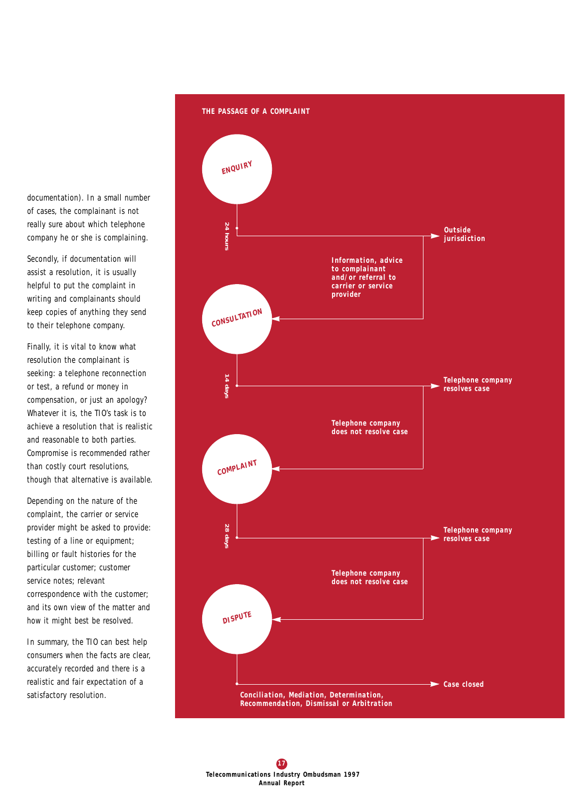documentation). In a small number of cases, the complainant is not really sure about which telephone company he or she is complaining.

Secondly, if documentation will assist a resolution, it is usually helpful to put the complaint in writing and complainants should keep copies of anything they send to their telephone company.

Finally, it is vital to know what resolution the complainant is seeking: a telephone reconnection or test, a refund or money in compensation, or just an apology? Whatever it is, the TIO's task is to achieve a resolution that is realistic and reasonable to both parties. Compromise is recommended rather than costly court resolutions, though that alternative is available.

Depending on the nature of the complaint, the carrier or service provider might be asked to provide: testing of a line or equipment; billing or fault histories for the particular customer; customer service notes; relevant correspondence with the customer; and its own view of the matter and how it might best be resolved.

In summary, the TIO can best help consumers when the facts are clear, accurately recorded and there is a realistic and fair expectation of a satisfactory resolution.

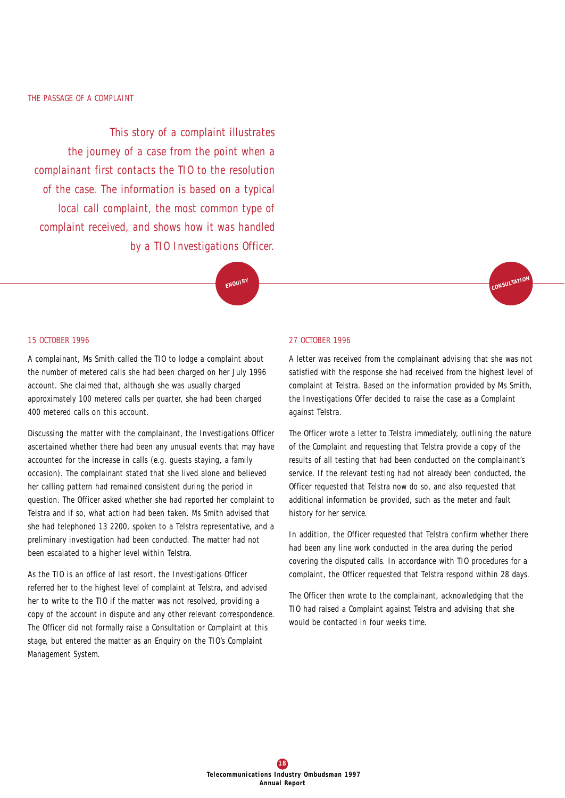*This story of a complaint illustrates the journey of a case from the point when a complainant first contacts the TIO to the resolution of the case. The information is based on a typical local call complaint, the most common type of complaint received, and shows how it was handled by a TIO Investigations Officer.*

**ENQUIRY**

#### *15 OCTOBER 1996*

A complainant, Ms Smith called the TIO to lodge a complaint about the number of metered calls she had been charged on her July 1996 account. She claimed that, although she was usually charged approximately 100 metered calls per quarter, she had been charged 400 metered calls on this account.

Discussing the matter with the complainant, the Investigations Officer ascertained whether there had been any unusual events that may have accounted for the increase in calls (e.g. guests staying, a family occasion). The complainant stated that she lived alone and believed her calling pattern had remained consistent during the period in question. The Officer asked whether she had reported her complaint to Telstra and if so, what action had been taken. Ms Smith advised that she had telephoned 13 2200, spoken to a Telstra representative, and a preliminary investigation had been conducted. The matter had not been escalated to a higher level within Telstra.

As the TIO is an office of last resort, the Investigations Officer referred her to the highest level of complaint at Telstra, and advised her to write to the TIO if the matter was not resolved, providing a copy of the account in dispute and any other relevant correspondence. The Officer did not formally raise a Consultation or Complaint at this stage, but entered the matter as an Enquiry on the TIO's Complaint Management System.

#### *27 OCTOBER 1996*

A letter was received from the complainant advising that she was not satisfied with the response she had received from the highest level of complaint at Telstra. Based on the information provided by Ms Smith, the Investigations Offer decided to raise the case as a Complaint against Telstra.

**CONSULTATIO<sup>N</sup>**

The Officer wrote a letter to Telstra immediately, outlining the nature of the Complaint and requesting that Telstra provide a copy of the results of all testing that had been conducted on the complainant's service. If the relevant testing had not already been conducted, the Officer requested that Telstra now do so, and also requested that additional information be provided, such as the meter and fault history for her service.

In addition, the Officer requested that Telstra confirm whether there had been any line work conducted in the area during the period covering the disputed calls. In accordance with TIO procedures for a complaint, the Officer requested that Telstra respond within 28 days.

The Officer then wrote to the complainant, acknowledging that the TIO had raised a Complaint against Telstra and advising that she would be contacted in four weeks time.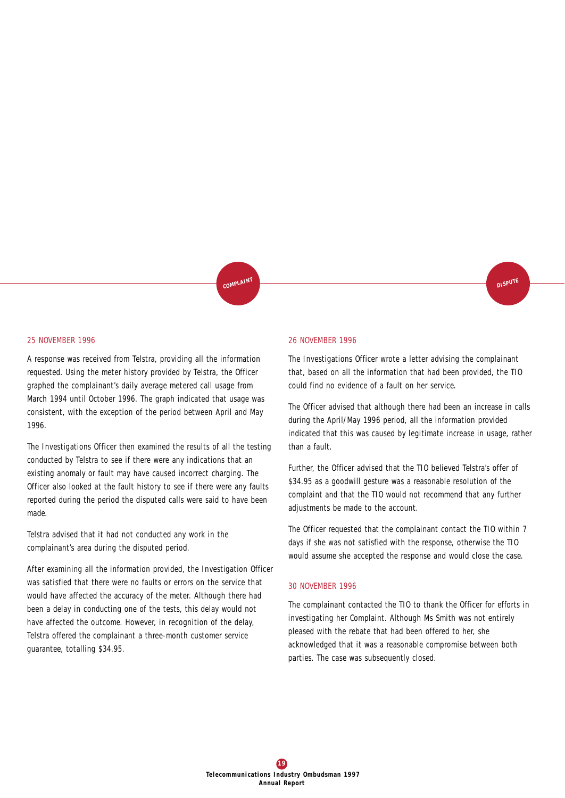## **DISPUT<sup>E</sup>**

## *25 NOVEMBER 1996*

A response was received from Telstra, providing all the information requested. Using the meter history provided by Telstra, the Officer graphed the complainant's daily average metered call usage from March 1994 until October 1996. The graph indicated that usage was consistent, with the exception of the period between April and May 1996.

The Investigations Officer then examined the results of all the testing conducted by Telstra to see if there were any indications that an existing anomaly or fault may have caused incorrect charging. The Officer also looked at the fault history to see if there were any faults reported during the period the disputed calls were said to have been made.

Telstra advised that it had not conducted any work in the complainant's area during the disputed period.

After examining all the information provided, the Investigation Officer was satisfied that there were no faults or errors on the service that would have affected the accuracy of the meter. Although there had been a delay in conducting one of the tests, this delay would not have affected the outcome. However, in recognition of the delay, Telstra offered the complainant a three-month customer service guarantee, totalling \$34.95.

#### *26 NOVEMBER 1996*

**COMPLAIN<sup>T</sup>**

The Investigations Officer wrote a letter advising the complainant that, based on all the information that had been provided, the TIO could find no evidence of a fault on her service.

The Officer advised that although there had been an increase in calls during the April/May 1996 period, all the information provided indicated that this was caused by legitimate increase in usage, rather than a fault.

Further, the Officer advised that the TIO believed Telstra's offer of \$34.95 as a goodwill gesture was a reasonable resolution of the complaint and that the TIO would not recommend that any further adjustments be made to the account.

The Officer requested that the complainant contact the TIO within 7 days if she was not satisfied with the response, otherwise the TIO would assume she accepted the response and would close the case.

#### *30 NOVEMBER 1996*

The complainant contacted the TIO to thank the Officer for efforts in investigating her Complaint. Although Ms Smith was not entirely pleased with the rebate that had been offered to her, she acknowledged that it was a reasonable compromise between both parties. The case was subsequently closed.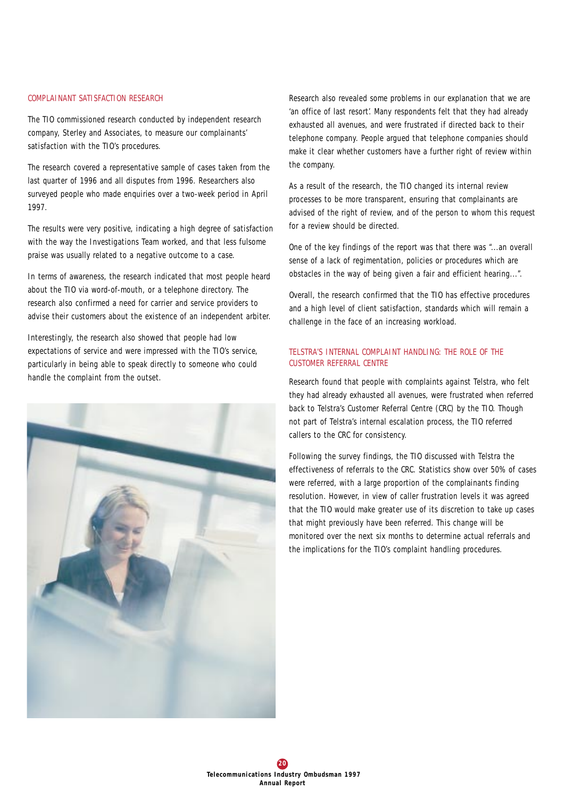### *COMPLAINANT SATISFACTION RESEARCH*

The TIO commissioned research conducted by independent research company, Sterley and Associates, to measure our complainants' satisfaction with the TIO's procedures.

The research covered a representative sample of cases taken from the last quarter of 1996 and all disputes from 1996. Researchers also surveyed people who made enquiries over a two-week period in April 1997.

The results were very positive, indicating a high degree of satisfaction with the way the Investigations Team worked, and that less fulsome praise was usually related to a negative outcome to a case.

In terms of awareness, the research indicated that most people heard about the TIO via word-of-mouth, or a telephone directory. The research also confirmed a need for carrier and service providers to advise their customers about the existence of an independent arbiter.

Interestingly, the research also showed that people had low expectations of service and were impressed with the TIO's service, particularly in being able to speak directly to someone who could handle the complaint from the outset.



Research also revealed some problems in our explanation that we are 'an office of last resort'. Many respondents felt that they had already exhausted all avenues, and were frustrated if directed back to their telephone company. People argued that telephone companies should make it clear whether customers have a further right of review within the company.

As a result of the research, the TIO changed its internal review processes to be more transparent, ensuring that complainants are advised of the right of review, and of the person to whom this request for a review should be directed.

One of the key findings of the report was that there was "...an overall sense of a lack of regimentation, policies or procedures which are obstacles in the way of being given a fair and efficient hearing...".

Overall, the research confirmed that the TIO has effective procedures and a high level of client satisfaction, standards which will remain a challenge in the face of an increasing workload.

## *TELSTRA'S INTERNAL COMPLAINT HANDLING: THE ROLE OF THE CUSTOMER REFERRAL CENTRE*

Research found that people with complaints against Telstra, who felt they had already exhausted all avenues, were frustrated when referred back to Telstra's Customer Referral Centre (CRC) by the TIO. Though not part of Telstra's internal escalation process, the TIO referred callers to the CRC for consistency.

Following the survey findings, the TIO discussed with Telstra the effectiveness of referrals to the CRC. Statistics show over 50% of cases were referred, with a large proportion of the complainants finding resolution. However, in view of caller frustration levels it was agreed that the TIO would make greater use of its discretion to take up cases that might previously have been referred. This change will be monitored over the next six months to determine actual referrals and the implications for the TIO's complaint handling procedures.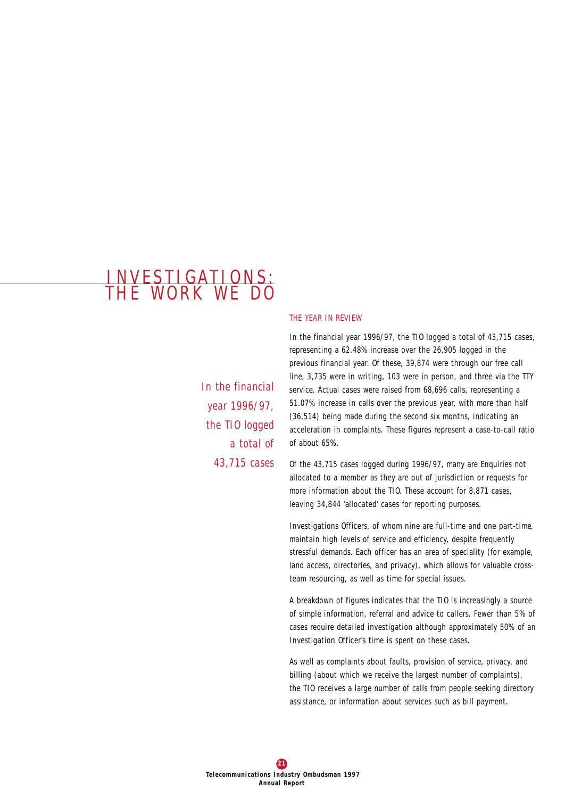## INV E S T IGAT IONS : THE WORK WE DO

*In the financial year 1996/97, the TIO logged a total of 43,715 cases*

#### *THE YEAR IN REVIEW*

In the financial year 1996/97, the TIO logged a total of 43,715 cases, representing a 62.48% increase over the 26,905 logged in the previous financial year. Of these, 39,874 were through our free call line, 3,735 were in writing, 103 were in person, and three via the TTY service. Actual cases were raised from 68,696 calls, representing a 51.07% increase in calls over the previous year, with more than half (36,514) being made during the second six months, indicating an acceleration in complaints. These figures represent a case-to-call ratio of about 65%.

Of the 43,715 cases logged during 1996/97, many are Enquiries not allocated to a member as they are out of jurisdiction or requests for more information about the TIO. These account for 8,871 cases, leaving 34,844 'allocated' cases for reporting purposes.

Investigations Officers, of whom nine are full-time and one part-time, maintain high levels of service and efficiency, despite frequently stressful demands. Each officer has an area of speciality (for example, land access, directories, and privacy), which allows for valuable crossteam resourcing, as well as time for special issues.

A breakdown of figures indicates that the TIO is increasingly a source of simple information, referral and advice to callers. Fewer than 5% of cases require detailed investigation although approximately 50% of an Investigation Officer's time is spent on these cases.

As well as complaints about faults, provision of service, privacy, and billing (about which we receive the largest number of complaints), the TIO receives a large number of calls from people seeking directory assistance, or information about services such as bill payment.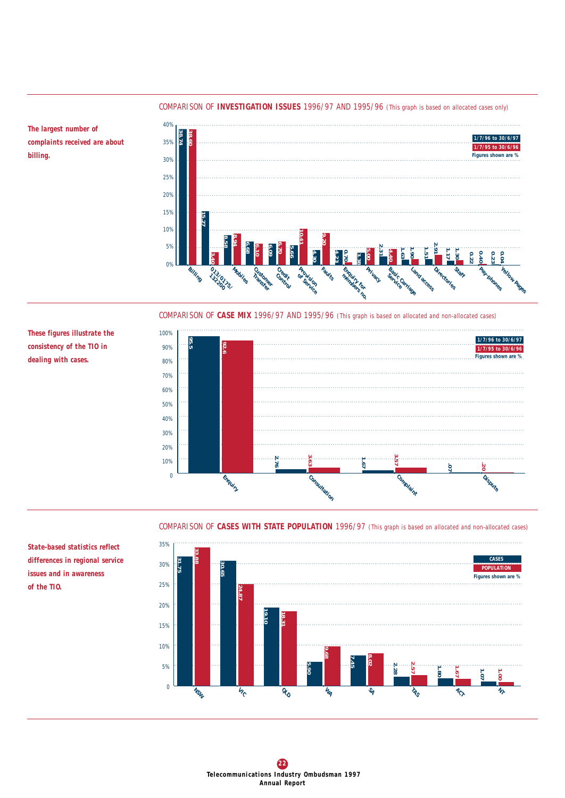## *COMPARISON OF INVESTIGATION ISSUES 1996/97 AND 1995/96 (This graph is based on allocated cases only)*

*The largest number of complaints received are about billing.*

*These figures illustrate the consistency of the TIO in dealing with cases.*



*COMPARISON OF CASE MIX 1996/97 AND 1995/96 (This graph is based on allocated and non-allocated cases)*



*COMPARISON OF CASES WITH STATE POPULATION 1996/97 (This graph is based on allocated and non-allocated cases)*



*State-based statistics reflect differences in regional service issues and in awareness of the TIO.*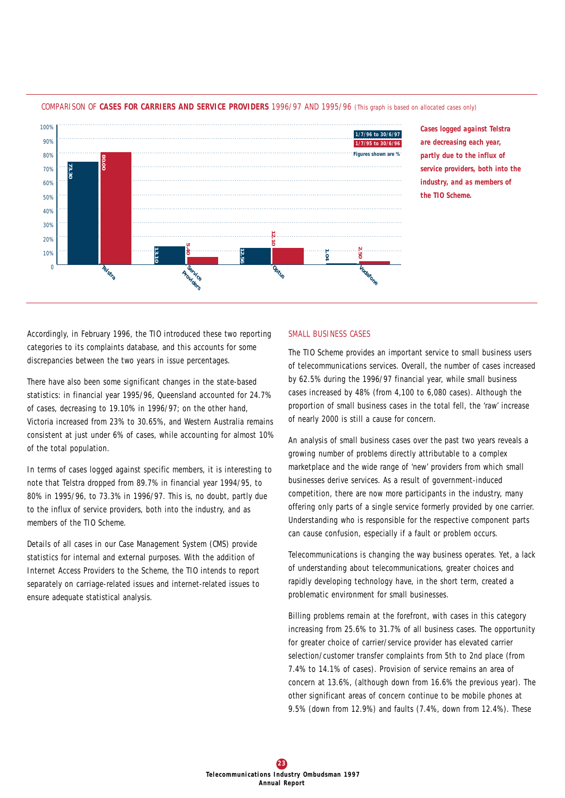

*COMPARISON OF CASES FOR CARRIERS AND SERVICE PROVIDERS 1996/97 AND 1995/96 (This graph is based on allocated cases only)*

*Cases logged against Telstra are decreasing each year, partly due to the influx of service providers, both into the industry, and as members of the TIO Scheme.*

Accordingly, in February 1996, the TIO introduced these two reporting categories to its complaints database, and this accounts for some discrepancies between the two years in issue percentages.

There have also been some significant changes in the state-based statistics: in financial year 1995/96, Queensland accounted for 24.7% of cases, decreasing to 19.10% in 1996/97; on the other hand, Victoria increased from 23% to 30.65%, and Western Australia remains consistent at just under 6% of cases, while accounting for almost 10% of the total population.

In terms of cases logged against specific members, it is interesting to note that Telstra dropped from 89.7% in financial year 1994/95, to 80% in 1995/96, to 73.3% in 1996/97. This is, no doubt, partly due to the influx of service providers, both into the industry, and as members of the TIO Scheme.

Details of all cases in our Case Management System (CMS) provide statistics for internal and external purposes. With the addition of Internet Access Providers to the Scheme, the TIO intends to report separately on carriage-related issues and internet-related issues to ensure adequate statistical analysis.

## *SMALL BUSINESS CASES*

The TIO Scheme provides an important service to small business users of telecommunications services. Overall, the number of cases increased by 62.5% during the 1996/97 financial year, while small business cases increased by 48% (from 4,100 to 6,080 cases). Although the proportion of small business cases in the total fell, the 'raw' increase of nearly 2000 is still a cause for concern.

An analysis of small business cases over the past two years reveals a growing number of problems directly attributable to a complex marketplace and the wide range of 'new' providers from which small businesses derive services. As a result of government-induced competition, there are now more participants in the industry, many offering only parts of a single service formerly provided by one carrier. Understanding who is responsible for the respective component parts can cause confusion, especially if a fault or problem occurs.

Telecommunications is changing the way business operates. Yet, a lack of understanding about telecommunications, greater choices and rapidly developing technology have, in the short term, created a problematic environment for small businesses.

Billing problems remain at the forefront, with cases in this category increasing from 25.6% to 31.7% of all business cases. The opportunity for greater choice of carrier/service provider has elevated carrier selection/customer transfer complaints from 5th to 2nd place (from 7.4% to 14.1% of cases). Provision of service remains an area of concern at 13.6%, (although down from 16.6% the previous year). The other significant areas of concern continue to be mobile phones at 9.5% (down from 12.9%) and faults (7.4%, down from 12.4%). These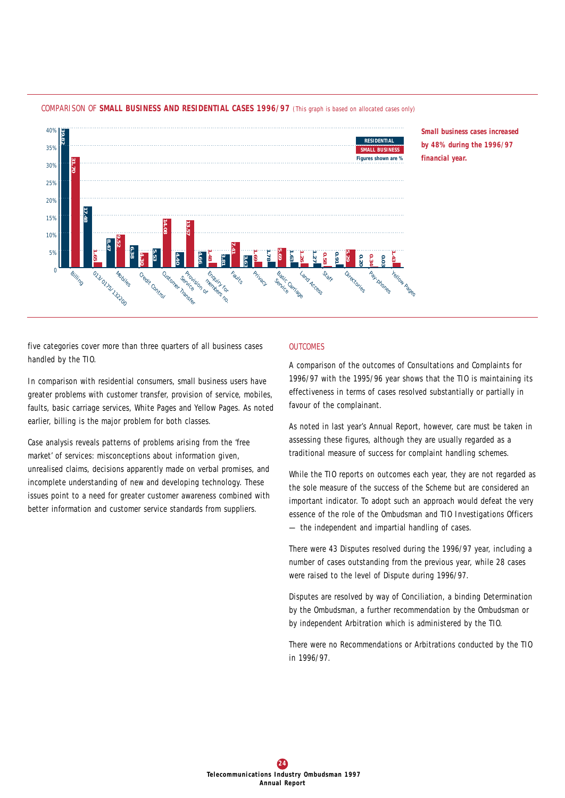

*COMPARISON OF SMALL BUSINESS AND RESIDENTIAL CASES 1996/97 (This graph is based on allocated cases only)*

*Small business cases increased by 48% during the 1996/97 financial year.*

five categories cover more than three quarters of all business cases handled by the TIO.

In comparison with residential consumers, small business users have greater problems with customer transfer, provision of service, mobiles, faults, basic carriage services, White Pages and Yellow Pages. As noted earlier, billing is the major problem for both classes.

Case analysis reveals patterns of problems arising from the 'free market' of services: misconceptions about information given, unrealised claims, decisions apparently made on verbal promises, and incomplete understanding of new and developing technology. These issues point to a need for greater customer awareness combined with better information and customer service standards from suppliers.

## *OUTCOMES*

A comparison of the outcomes of Consultations and Complaints for 1996/97 with the 1995/96 year shows that the TIO is maintaining its effectiveness in terms of cases resolved substantially or partially in favour of the complainant.

As noted in last year's Annual Report, however, care must be taken in assessing these figures, although they are usually regarded as a traditional measure of success for complaint handling schemes.

While the TIO reports on outcomes each year, they are not regarded as the sole measure of the success of the Scheme but are considered an important indicator. To adopt such an approach would defeat the very essence of the role of the Ombudsman and TIO Investigations Officers — the independent and impartial handling of cases.

There were 43 Disputes resolved during the 1996/97 year, including a number of cases outstanding from the previous year, while 28 cases were raised to the level of Dispute during 1996/97.

Disputes are resolved by way of Conciliation, a binding Determination by the Ombudsman, a further recommendation by the Ombudsman or by independent Arbitration which is administered by the TIO.

There were no Recommendations or Arbitrations conducted by the TIO in 1996/97.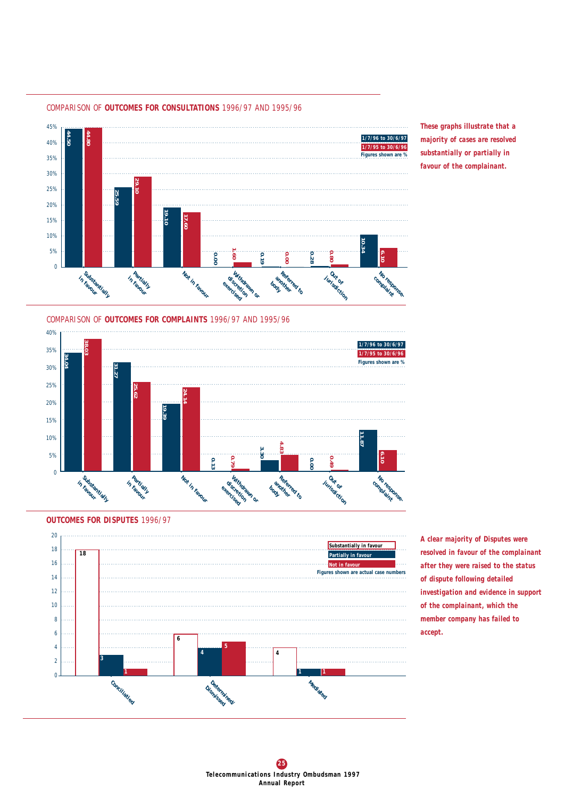

*COMPARISON OF OUTCOMES FOR CONSULTATIONS 1996/97 AND 1995/96*

*COMPARISON OF OUTCOMES FOR COMPLAINTS 1996/97 AND 1995/96*







*A clear majority of Disputes were resolved in favour of the complainant after they were raised to the status of dispute following detailed investigation and evidence in support of the complainant, which the member company has failed to accept.*

*These graphs illustrate that a majority of cases are resolved substantially or partially in favour of the complainant.*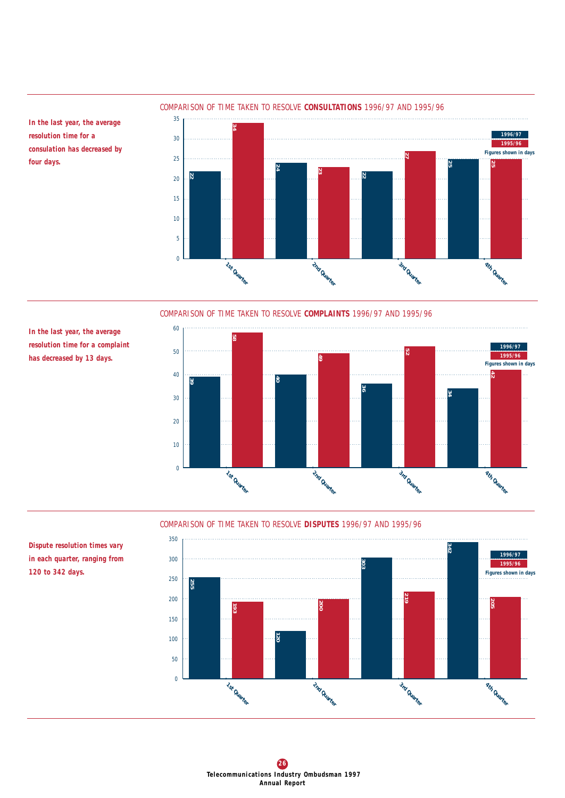

*COMPARISON OF TIME TAKEN TO RESOLVE CONSULTATIONS 1996/97 AND 1995/96*

*In the last year, the average resolution time for a consulation has decreased by four days.*

*COMPARISON OF TIME TAKEN TO RESOLVE COMPLAINTS 1996/97 AND 1995/96*

*In the last year, the average resolution time for a complaint has decreased by 13 days.*



## *COMPARISON OF TIME TAKEN TO RESOLVE DISPUTES 1996/97 AND 1995/96*



*Dispute resolution times vary in each quarter, ranging from 120 to 342 days.*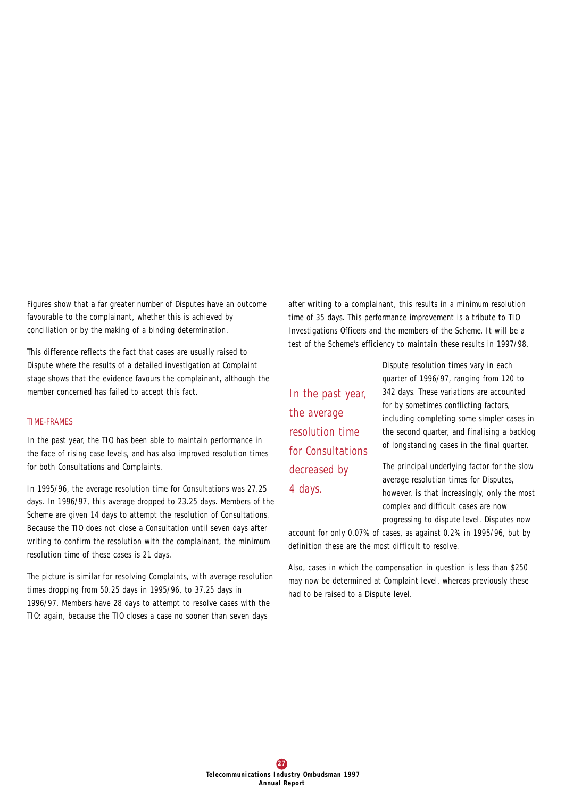Figures show that a far greater number of Disputes have an outcome favourable to the complainant, whether this is achieved by conciliation or by the making of a binding determination.

This difference reflects the fact that cases are usually raised to Dispute where the results of a detailed investigation at Complaint stage shows that the evidence favours the complainant, although the member concerned has failed to accept this fact.

#### *TIME-FRAMES*

In the past year, the TIO has been able to maintain performance in the face of rising case levels, and has also improved resolution times for both Consultations and Complaints.

In 1995/96, the average resolution time for Consultations was 27.25 days. In 1996/97, this average dropped to 23.25 days. Members of the Scheme are given 14 days to attempt the resolution of Consultations. Because the TIO does not close a Consultation until seven days after writing to confirm the resolution with the complainant, the minimum resolution time of these cases is 21 days.

The picture is similar for resolving Complaints, with average resolution times dropping from 50.25 days in 1995/96, to 37.25 days in 1996/97. Members have 28 days to attempt to resolve cases with the TIO: again, because the TIO closes a case no sooner than seven days

after writing to a complainant, this results in a minimum resolution time of 35 days. This performance improvement is a tribute to TIO Investigations Officers and the members of the Scheme. It will be a test of the Scheme's efficiency to maintain these results in 1997/98.

*In the past year, the average resolution time for Consultations decreased by 4 days.*

Dispute resolution times vary in each quarter of 1996/97, ranging from 120 to 342 days. These variations are accounted for by sometimes conflicting factors, including completing some simpler cases in the second quarter, and finalising a backlog of longstanding cases in the final quarter.

The principal underlying factor for the slow average resolution times for Disputes, however, is that increasingly, only the most complex and difficult cases are now progressing to dispute level. Disputes now

account for only 0.07% of cases, as against 0.2% in 1995/96, but by definition these are the most difficult to resolve.

Also, cases in which the compensation in question is less than \$250 may now be determined at Complaint level, whereas previously these had to be raised to a Dispute level.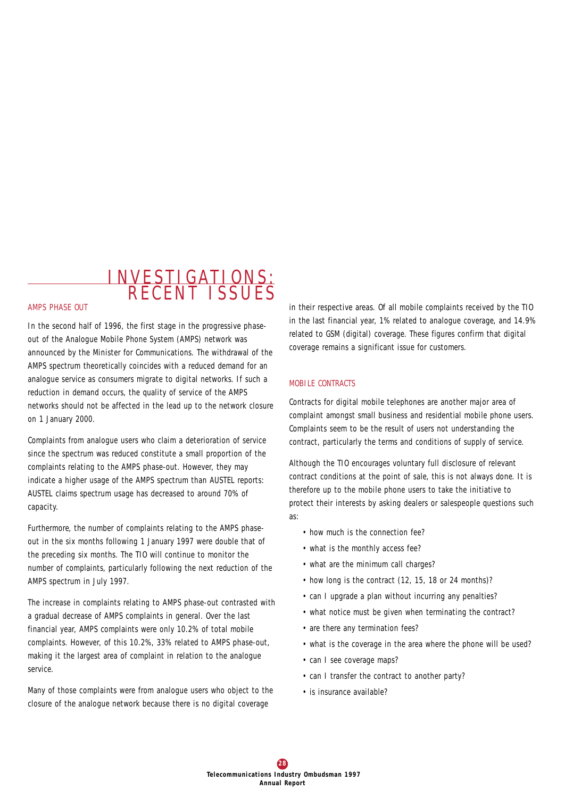## INVESTIGATIONS: R E C ENT I S SUE S

#### *AMPS PHASE OUT*

In the second half of 1996, the first stage in the progressive phaseout of the Analogue Mobile Phone System (AMPS) network was announced by the Minister for Communications. The withdrawal of the AMPS spectrum theoretically coincides with a reduced demand for an analogue service as consumers migrate to digital networks. If such a reduction in demand occurs, the quality of service of the AMPS networks should not be affected in the lead up to the network closure on 1 January 2000.

Complaints from analogue users who claim a deterioration of service since the spectrum was reduced constitute a small proportion of the complaints relating to the AMPS phase-out. However, they may indicate a higher usage of the AMPS spectrum than AUSTEL reports: AUSTEL claims spectrum usage has decreased to around 70% of capacity.

Furthermore, the number of complaints relating to the AMPS phaseout in the six months following 1 January 1997 were double that of the preceding six months. The TIO will continue to monitor the number of complaints, particularly following the next reduction of the AMPS spectrum in July 1997.

The increase in complaints relating to AMPS phase-out contrasted with a gradual decrease of AMPS complaints in general. Over the last financial year, AMPS complaints were only 10.2% of total mobile complaints. However, of this 10.2%, 33% related to AMPS phase-out, making it the largest area of complaint in relation to the analogue service.

Many of those complaints were from analogue users who object to the closure of the analogue network because there is no digital coverage

in their respective areas. Of all mobile complaints received by the TIO in the last financial year, 1% related to analogue coverage, and 14.9% related to GSM (digital) coverage. These figures confirm that digital coverage remains a significant issue for customers.

#### *MOBILE CONTRACTS*

Contracts for digital mobile telephones are another major area of complaint amongst small business and residential mobile phone users. Complaints seem to be the result of users not understanding the contract, particularly the terms and conditions of supply of service.

Although the TIO encourages voluntary full disclosure of relevant contract conditions at the point of sale, this is not always done. It is therefore up to the mobile phone users to take the initiative to protect their interests by asking dealers or salespeople questions such as:

- how much is the connection fee?
- what is the monthly access fee?
- what are the minimum call charges?
- how long is the contract (12, 15, 18 or 24 months)?
- can I upgrade a plan without incurring any penalties?
- what notice must be given when terminating the contract?
- are there any termination fees?
- what is the coverage in the area where the phone will be used?
- can I see coverage maps?
- can I transfer the contract to another party?
- is insurance available?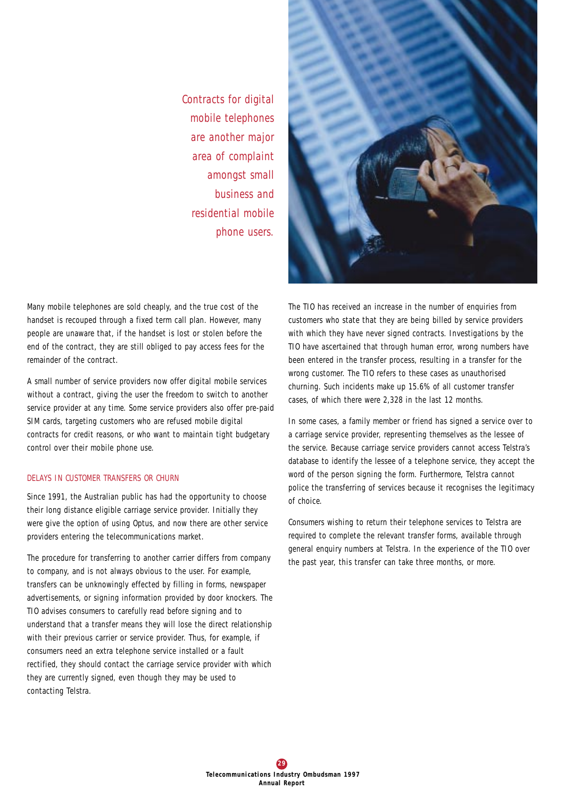*Contracts for digital mobile telephones are another major area of complaint amongst small business and residential mobile phone users.* 



Many mobile telephones are sold cheaply, and the true cost of the handset is recouped through a fixed term call plan. However, many people are unaware that, if the handset is lost or stolen before the end of the contract, they are still obliged to pay access fees for the remainder of the contract.

A small number of service providers now offer digital mobile services without a contract, giving the user the freedom to switch to another service provider at any time. Some service providers also offer pre-paid SIM cards, targeting customers who are refused mobile digital contracts for credit reasons, or who want to maintain tight budgetary control over their mobile phone use.

## *DELAYS IN CUSTOMER TRANSFERS OR CHURN*

Since 1991, the Australian public has had the opportunity to choose their long distance eligible carriage service provider. Initially they were give the option of using Optus, and now there are other service providers entering the telecommunications market.

The procedure for transferring to another carrier differs from company to company, and is not always obvious to the user. For example, transfers can be unknowingly effected by filling in forms, newspaper advertisements, or signing information provided by door knockers. The TIO advises consumers to carefully read before signing and to understand that a transfer means they will lose the direct relationship with their previous carrier or service provider. Thus, for example, if consumers need an extra telephone service installed or a fault rectified, they should contact the carriage service provider with which they are currently signed, even though they may be used to contacting Telstra.

The TIO has received an increase in the number of enquiries from customers who state that they are being billed by service providers with which they have never signed contracts. Investigations by the TIO have ascertained that through human error, wrong numbers have been entered in the transfer process, resulting in a transfer for the wrong customer. The TIO refers to these cases as unauthorised churning. Such incidents make up 15.6% of all customer transfer cases, of which there were 2,328 in the last 12 months.

In some cases, a family member or friend has signed a service over to a carriage service provider, representing themselves as the lessee of the service. Because carriage service providers cannot access Telstra's database to identify the lessee of a telephone service, they accept the word of the person signing the form. Furthermore, Telstra cannot police the transferring of services because it recognises the legitimacy of choice.

Consumers wishing to return their telephone services to Telstra are required to complete the relevant transfer forms, available through general enquiry numbers at Telstra. In the experience of the TIO over the past year, this transfer can take three months, or more.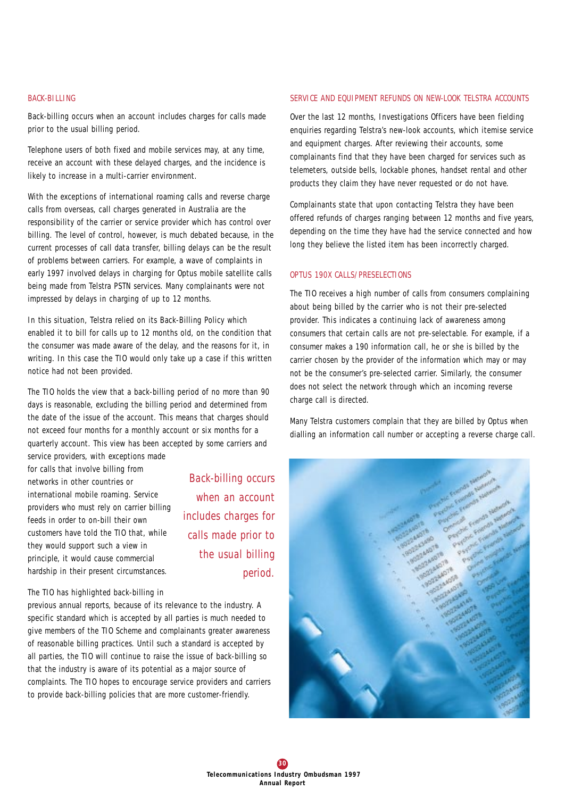## *BACK-BILLING*

Back-billing occurs when an account includes charges for calls made prior to the usual billing period.

Telephone users of both fixed and mobile services may, at any time, receive an account with these delayed charges, and the incidence is likely to increase in a multi-carrier environment.

With the exceptions of international roaming calls and reverse charge calls from overseas, call charges generated in Australia are the responsibility of the carrier or service provider which has control over billing. The level of control, however, is much debated because, in the current processes of call data transfer, billing delays can be the result of problems between carriers. For example, a wave of complaints in early 1997 involved delays in charging for Optus mobile satellite calls being made from Telstra PSTN services. Many complainants were not impressed by delays in charging of up to 12 months.

In this situation, Telstra relied on its Back-Billing Policy which enabled it to bill for calls up to 12 months old, on the condition that the consumer was made aware of the delay, and the reasons for it, in writing. In this case the TIO would only take up a case if this written notice had not been provided.

The TIO holds the view that a back-billing period of no more than 90 days is reasonable, excluding the billing period and determined from the date of the issue of the account. This means that charges should not exceed four months for a monthly account or six months for a quarterly account. This view has been accepted by some carriers and service providers, with exceptions made

for calls that involve billing from networks in other countries or international mobile roaming. Service providers who must rely on carrier billing feeds in order to on-bill their own customers have told the TIO that, while they would support such a view in principle, it would cause commercial hardship in their present circumstances.

*Back-billing occurs when an account includes charges for calls made prior to the usual billing period.* 

## The TIO has highlighted back-billing in

previous annual reports, because of its relevance to the industry. A specific standard which is accepted by all parties is much needed to give members of the TIO Scheme and complainants greater awareness of reasonable billing practices. Until such a standard is accepted by all parties, the TIO will continue to raise the issue of back-billing so that the industry is aware of its potential as a major source of complaints. The TIO hopes to encourage service providers and carriers to provide back-billing policies that are more customer-friendly.

#### *SERVICE AND EQUIPMENT REFUNDS ON NEW-LOOK TELSTRA ACCOUNTS*

Over the last 12 months, Investigations Officers have been fielding enquiries regarding Telstra's new-look accounts, which itemise service and equipment charges. After reviewing their accounts, some complainants find that they have been charged for services such as telemeters, outside bells, lockable phones, handset rental and other products they claim they have never requested or do not have.

Complainants state that upon contacting Telstra they have been offered refunds of charges ranging between 12 months and five years, depending on the time they have had the service connected and how long they believe the listed item has been incorrectly charged.

## *OPTUS 190X CALLS/PRESELECTIONS*

The TIO receives a high number of calls from consumers complaining about being billed by the carrier who is not their pre-selected provider. This indicates a continuing lack of awareness among consumers that certain calls are not pre-selectable. For example, if a consumer makes a 190 information call, he or she is billed by the carrier chosen by the provider of the information which may or may not be the consumer's pre-selected carrier. Similarly, the consumer does not select the network through which an incoming reverse charge call is directed.

Many Telstra customers complain that they are billed by Optus when dialling an information call number or accepting a reverse charge call.

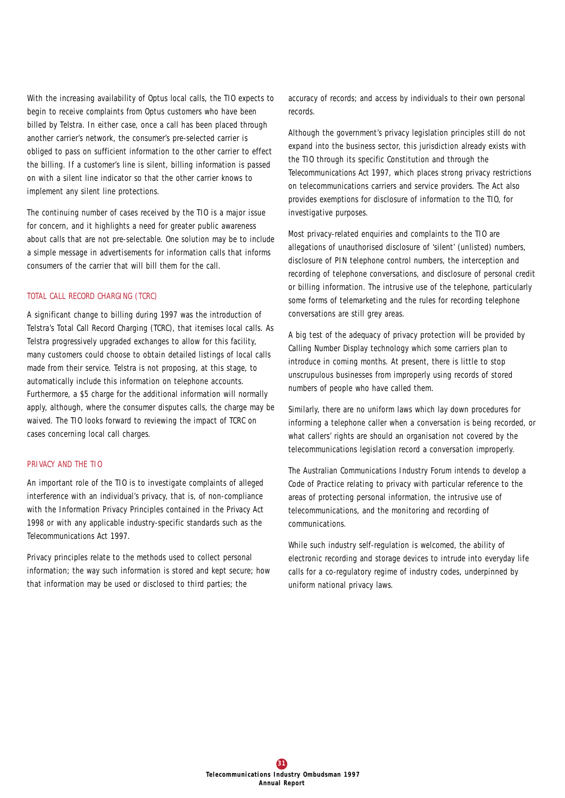With the increasing availability of Optus local calls, the TIO expects to begin to receive complaints from Optus customers who have been billed by Telstra. In either case, once a call has been placed through another carrier's network, the consumer's pre-selected carrier is obliged to pass on sufficient information to the other carrier to effect the billing. If a customer's line is silent, billing information is passed on with a silent line indicator so that the other carrier knows to implement any silent line protections.

The continuing number of cases received by the TIO is a major issue for concern, and it highlights a need for greater public awareness about calls that are not pre-selectable. One solution may be to include a simple message in advertisements for information calls that informs consumers of the carrier that will bill them for the call.

## *TOTAL CALL RECORD CHARGING (TCRC)*

A significant change to billing during 1997 was the introduction of Telstra's Total Call Record Charging (TCRC), that itemises local calls. As Telstra progressively upgraded exchanges to allow for this facility, many customers could choose to obtain detailed listings of local calls made from their service. Telstra is not proposing, at this stage, to automatically include this information on telephone accounts. Furthermore, a \$5 charge for the additional information will normally apply, although, where the consumer disputes calls, the charge may be waived. The TIO looks forward to reviewing the impact of TCRC on cases concerning local call charges.

## *PRIVACY AND THE TIO*

An important role of the TIO is to investigate complaints of alleged interference with an individual's privacy, that is, of non-compliance with the Information Privacy Principles contained in the *Privacy Act 1998* or with any applicable industry-specific standards such as the *Telecommunications Act 1997*.

Privacy principles relate to the methods used to collect personal information; the way such information is stored and kept secure; how that information may be used or disclosed to third parties; the

accuracy of records; and access by individuals to their own personal records.

Although the government's privacy legislation principles still do not expand into the business sector, this jurisdiction already exists with the TIO through its specific Constitution and through the *Telecommunications Act 1997*, which places strong privacy restrictions on telecommunications carriers and service providers. The Act also provides exemptions for disclosure of information to the TIO, for investigative purposes.

Most privacy-related enquiries and complaints to the TIO are allegations of unauthorised disclosure of 'silent' (unlisted) numbers, disclosure of PIN telephone control numbers, the interception and recording of telephone conversations, and disclosure of personal credit or billing information. The intrusive use of the telephone, particularly some forms of telemarketing and the rules for recording telephone conversations are still grey areas.

A big test of the adequacy of privacy protection will be provided by Calling Number Display technology which some carriers plan to introduce in coming months. At present, there is little to stop unscrupulous businesses from improperly using records of stored numbers of people who have called them.

Similarly, there are no uniform laws which lay down procedures for informing a telephone caller when a conversation is being recorded, or what callers' rights are should an organisation not covered by the telecommunications legislation record a conversation improperly.

The Australian Communications Industry Forum intends to develop a Code of Practice relating to privacy with particular reference to the areas of protecting personal information, the intrusive use of telecommunications, and the monitoring and recording of communications.

While such industry self-regulation is welcomed, the ability of electronic recording and storage devices to intrude into everyday life calls for a co-regulatory regime of industry codes, underpinned by uniform national privacy laws.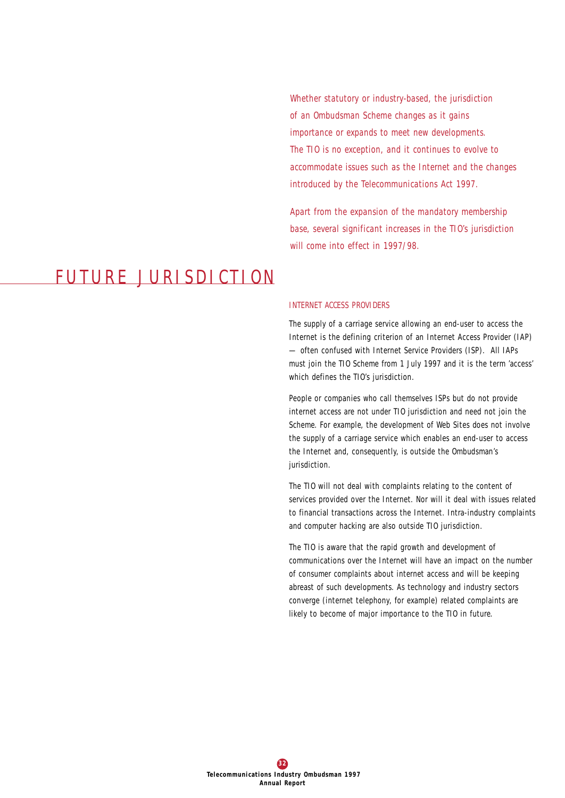*Whether statutory or industry-based, the jurisdiction of an Ombudsman Scheme changes as it gains importance or expands to meet new developments. The TIO is no exception, and it continues to evolve to accommodate issues such as the Internet and the changes introduced by the Telecommunications Act 1997.*

*Apart from the expansion of the mandatory membership base, several significant increases in the TIO's jurisdiction will come into effect in 1997/98.*

# FUTURE JURISDICTION

#### *INTERNET ACCESS PROVIDERS*

The supply of a carriage service allowing an end-user to access the Internet is the defining criterion of an Internet Access Provider (IAP) — often confused with Internet Service Providers (ISP). All IAPs must join the TIO Scheme from 1 July 1997 and it is the term 'access' which defines the TIO's jurisdiction.

People or companies who call themselves ISPs but do not provide internet access are not under TIO jurisdiction and need not join the Scheme. For example, the development of Web Sites does not involve the supply of a carriage service which enables an end-user to access the Internet and, consequently, is outside the Ombudsman's jurisdiction.

The TIO will not deal with complaints relating to the content of services provided over the Internet. Nor will it deal with issues related to financial transactions across the Internet. Intra-industry complaints and computer hacking are also outside TIO jurisdiction.

The TIO is aware that the rapid growth and development of communications over the Internet will have an impact on the number of consumer complaints about internet access and will be keeping abreast of such developments. As technology and industry sectors converge (internet telephony, for example) related complaints are likely to become of major importance to the TIO in future.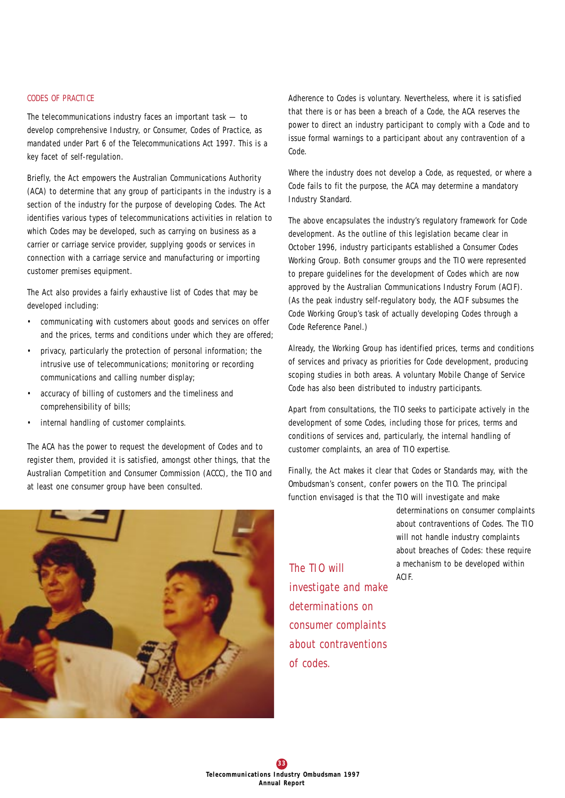## *CODES OF PRACTICE*

The telecommunications industry faces an important task — to develop comprehensive Industry, or Consumer, Codes of Practice, as mandated under Part 6 of the *Telecommunications Act 1997*. This is a key facet of self-regulation.

Briefly, the Act empowers the Australian Communications Authority (ACA) to determine that any group of participants in the industry is a section of the industry for the purpose of developing Codes. The Act identifies various types of telecommunications activities in relation to which Codes may be developed, such as carrying on business as a carrier or carriage service provider, supplying goods or services in connection with a carriage service and manufacturing or importing customer premises equipment.

The Act also provides a fairly exhaustive list of Codes that may be developed including:

- communicating with customers about goods and services on offer and the prices, terms and conditions under which they are offered;
- privacy, particularly the protection of personal information; the intrusive use of telecommunications; monitoring or recording communications and calling number display;
- accuracy of billing of customers and the timeliness and comprehensibility of bills;
- internal handling of customer complaints.

The ACA has the power to request the development of Codes and to register them, provided it is satisfied, amongst other things, that the Australian Competition and Consumer Commission (ACCC), the TIO and at least one consumer group have been consulted.



Adherence to Codes is voluntary. Nevertheless, where it is satisfied that there is or has been a breach of a Code, the ACA reserves the power to direct an industry participant to comply with a Code and to issue formal warnings to a participant about any contravention of a Code.

Where the industry does not develop a Code, as requested, or where a Code fails to fit the purpose, the ACA may determine a mandatory Industry Standard.

The above encapsulates the industry's regulatory framework for Code development. As the outline of this legislation became clear in October 1996, industry participants established a Consumer Codes Working Group. Both consumer groups and the TIO were represented to prepare guidelines for the development of Codes which are now approved by the Australian Communications Industry Forum (ACIF). (As the peak industry self-regulatory body, the ACIF subsumes the Code Working Group's task of actually developing Codes through a Code Reference Panel.)

Already, the Working Group has identified prices, terms and conditions of services and privacy as priorities for Code development, producing scoping studies in both areas. A voluntary Mobile Change of Service Code has also been distributed to industry participants.

Apart from consultations, the TIO seeks to participate actively in the development of some Codes, including those for prices, terms and conditions of services and, particularly, the internal handling of customer complaints, an area of TIO expertise.

Finally, the Act makes it clear that Codes or Standards may, with the Ombudsman's consent, confer powers on the TIO. The principal function envisaged is that the TIO will investigate and make

> determinations on consumer complaints about contraventions of Codes. The TIO will not handle industry complaints about breaches of Codes: these require a mechanism to be developed within

The TIO will a mean of the TIO will *investigate and make determinations on consumer complaints about contraventions of codes.*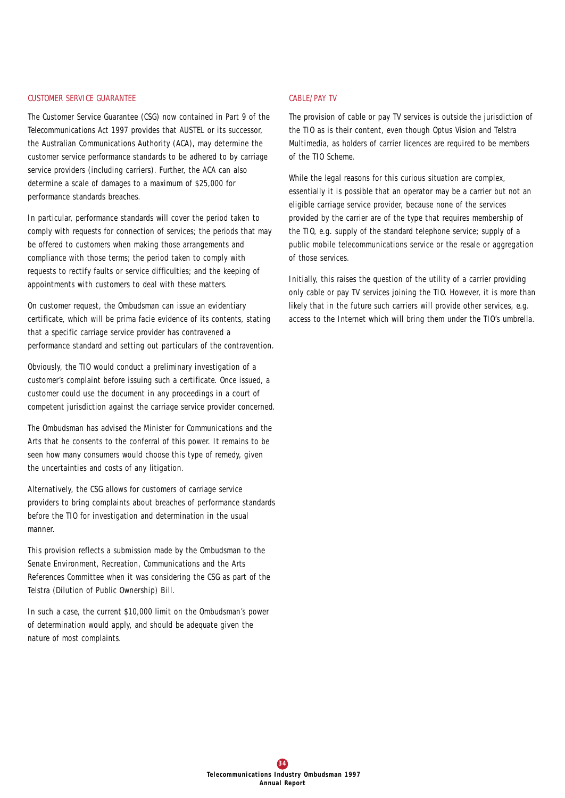#### *CUSTOMER SERVICE GUARANTEE*

The Customer Service Guarantee (CSG) now contained in Part 9 of the *Telecommunications Act 1997* provides that AUSTEL or its successor, the Australian Communications Authority (ACA), may determine the customer service performance standards to be adhered to by carriage service providers (including carriers). Further, the ACA can also determine a scale of damages to a maximum of \$25,000 for performance standards breaches.

In particular, performance standards will cover the period taken to comply with requests for connection of services; the periods that may be offered to customers when making those arrangements and compliance with those terms; the period taken to comply with requests to rectify faults or service difficulties; and the keeping of appointments with customers to deal with these matters.

On customer request, the Ombudsman can issue an evidentiary certificate, which will be prima facie evidence of its contents, stating that a specific carriage service provider has contravened a performance standard and setting out particulars of the contravention.

Obviously, the TIO would conduct a preliminary investigation of a customer's complaint before issuing such a certificate. Once issued, a customer could use the document in any proceedings in a court of competent jurisdiction against the carriage service provider concerned.

The Ombudsman has advised the Minister for Communications and the Arts that he consents to the conferral of this power. It remains to be seen how many consumers would choose this type of remedy, given the uncertainties and costs of any litigation.

Alternatively, the CSG allows for customers of carriage service providers to bring complaints about breaches of performance standards before the TIO for investigation and determination in the usual manner.

This provision reflects a submission made by the Ombudsman to the Senate Environment, Recreation, Communications and the Arts References Committee when it was considering the CSG as part of the Telstra (Dilution of Public Ownership) Bill.

In such a case, the current \$10,000 limit on the Ombudsman's power of determination would apply, and should be adequate given the nature of most complaints.

## *CABLE/PAY TV*

The provision of cable or pay TV services is outside the jurisdiction of the TIO as is their content, even though Optus Vision and Telstra Multimedia, as holders of carrier licences are required to be members of the TIO Scheme.

While the legal reasons for this curious situation are complex, essentially it is possible that an operator may be a carrier but not an eligible carriage service provider, because none of the services provided by the carrier are of the type that requires membership of the TIO, e.g. supply of the standard telephone service; supply of a public mobile telecommunications service or the resale or aggregation of those services.

Initially, this raises the question of the utility of a carrier providing only cable or pay TV services joining the TIO. However, it is more than likely that in the future such carriers will provide other services, e.g. access to the Internet which will bring them under the TIO's umbrella.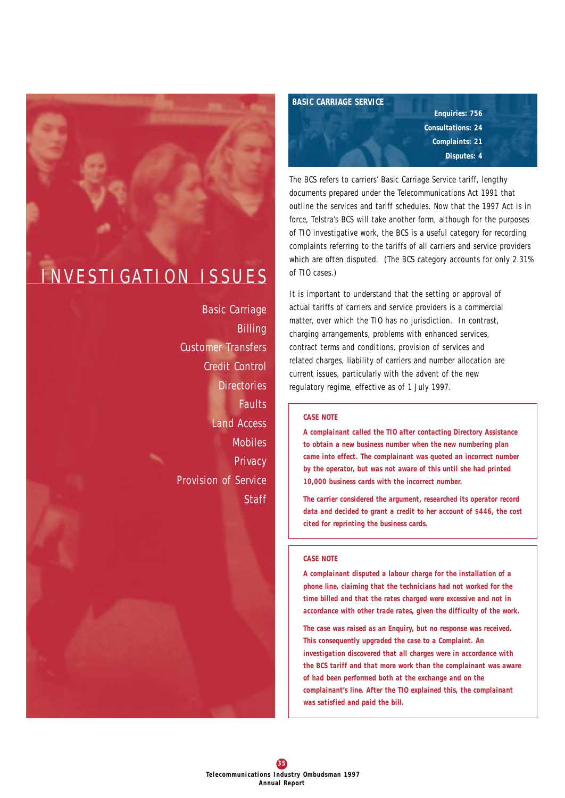# INVESTIGATION ISSUES

*Basic Carriage Billing Customer Transfers Credit Control Directories Faults Land Access Mobiles Privacy Provision of Service Staff*

*BASIC CARRIAGE SERVICE*

*Enquiries: 756 Consultations: 24 Complaints: 21 Disputes: 4*

The BCS refers to carriers' Basic Carriage Service tariff, lengthy documents prepared under the *Telecommunications Act 1991* that outline the services and tariff schedules. Now that the 1997 Act is in force, Telstra's BCS will take another form, although for the purposes of TIO investigative work, the BCS is a useful category for recording complaints referring to the tariffs of all carriers and service providers which are often disputed. (The BCS category accounts for only 2.31% of TIO cases.)

It is important to understand that the setting or approval of actual tariffs of carriers and service providers is a commercial matter, over which the TIO has no jurisdiction. In contrast, charging arrangements, problems with enhanced services, contract terms and conditions, provision of services and related charges, liability of carriers and number allocation are current issues, particularly with the advent of the new regulatory regime, effective as of 1 July 1997.

## *CASE NOTE*

*A complainant called the TIO after contacting Directory Assistance to obtain a new business number when the new numbering plan came into effect. The complainant was quoted an incorrect number by the operator, but was not aware of this until she had printed 10,000 business cards with the incorrect number.* 

*The carrier considered the argument, researched its operator record data and decided to grant a credit to her account of \$446, the cost cited for reprinting the business cards.* 

#### *CASE NOTE*

*A complainant disputed a labour charge for the installation of a phone line, claiming that the technicians had not worked for the time billed and that the rates charged were excessive and not in accordance with other trade rates, given the difficulty of the work.* 

*The case was raised as an Enquiry, but no response was received. This consequently upgraded the case to a Complaint. An investigation discovered that all charges were in accordance with the BCS tariff and that more work than the complainant was aware of had been performed both at the exchange and on the complainant's line. After the TIO explained this, the complainant was satisfied and paid the bill.*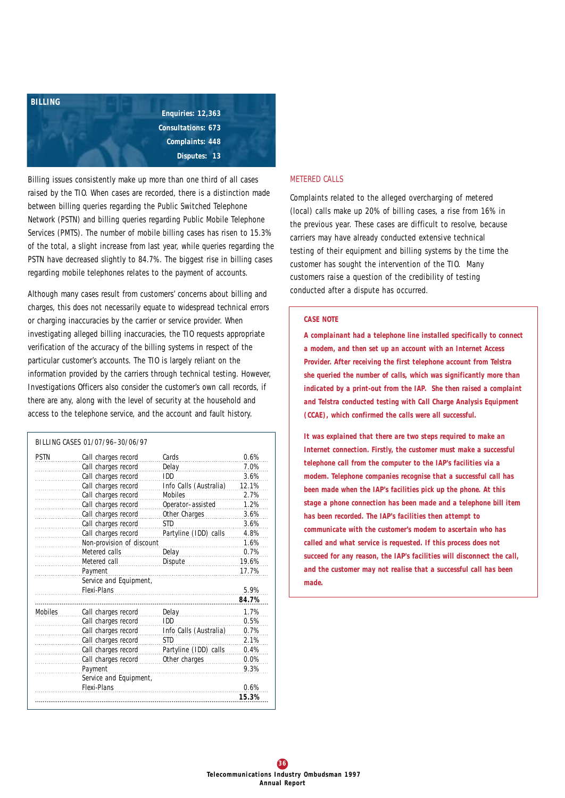

Billing issues consistently make up more than one third of all cases raised by the TIO. When cases are recorded, there is a distinction made between billing queries regarding the Public Switched Telephone Network (PSTN) and billing queries regarding Public Mobile Telephone Services (PMTS). The number of mobile billing cases has risen to 15.3% of the total, a slight increase from last year, while queries regarding the PSTN have decreased slightly to 84.7%. The biggest rise in billing cases regarding mobile telephones relates to the payment of accounts.

Although many cases result from customers' concerns about billing and charges, this does not necessarily equate to widespread technical errors or charging inaccuracies by the carrier or service provider. When investigating alleged billing inaccuracies, the TIO requests appropriate verification of the accuracy of the billing systems in respect of the particular customer's accounts. The TIO is largely reliant on the information provided by the carriers through technical testing. However, Investigations Officers also consider the customer's own call records, if there are any, along with the level of security at the household and access to the telephone service, and the account and fault history.

| PSTN           | Call charges record       | Cards                  | 0.6%  |
|----------------|---------------------------|------------------------|-------|
|                | Call charges record       | Delay                  | 7.0%  |
|                | Call charges record       | IDD                    | 3.6%  |
|                | Call charges record       | Info Calls (Australia) | 12.1% |
|                | Call charges record       | <b>Mobiles</b>         | 2.7%  |
|                | Call charges record       | Operator-assisted      | 1.2%  |
|                | Call charges record       | Other Charges          | 3.6%  |
|                | Call charges record       | <b>STD</b>             | 3.6%  |
|                | Call charges record       | Partyline (IDD) calls  | 4.8%  |
|                | Non-provision of discount |                        | 1.6%  |
|                | Metered calls             | Delay                  | 0.7%  |
|                | Metered call              | Dispute                | 19.6% |
|                | Payment                   |                        | 17.7% |
|                | Service and Equipment,    |                        |       |
|                | Flexi-Plans               |                        | 5.9%  |
|                |                           |                        | 84.7% |
| <b>Mobiles</b> | Call charges record       | Delay                  | 1.7%  |
|                | Call charges record       | IDD                    | 0.5%  |
|                | Call charges record       | Info Calls (Australia) | 0.7%  |
|                | Call charges record       | STD                    | 2.1%  |
|                | Call charges record       | Partyline (IDD) calls  | 0.4%  |
|                | Call charges record       | Other charges          | 0.0%  |
|                | Payment                   |                        | 9.3%  |
|                | Service and Equipment,    |                        |       |
|                | Flexi-Plans               |                        | 0.6%  |
|                |                           |                        | 15.3% |

## *METERED CALLS*

Complaints related to the alleged overcharging of metered (local) calls make up 20% of billing cases, a rise from 16% in the previous year. These cases are difficult to resolve, because carriers may have already conducted extensive technical testing of their equipment and billing systems by the time the customer has sought the intervention of the TIO. Many customers raise a question of the credibility of testing conducted after a dispute has occurred.

#### *CASE NOTE*

*A complainant had a telephone line installed specifically to connect a modem, and then set up an account with an Internet Access Provider. After receiving the first telephone account from Telstra she queried the number of calls, which was significantly more than indicated by a print-out from the IAP. She then raised a complaint and Telstra conducted testing with Call Charge Analysis Equipment (CCAE), which confirmed the calls were all successful.* 

*It was explained that there are two steps required to make an Internet connection. Firstly, the customer must make a successful telephone call from the computer to the IAP's facilities via a modem. Telephone companies recognise that a successful call has been made when the IAP's facilities pick up the phone. At this stage a phone connection has been made and a telephone bill item has been recorded. The IAP's facilities then attempt to communicate with the customer's modem to ascertain who has called and what service is requested. If this process does not succeed for any reason, the IAP's facilities will disconnect the call, and the customer may not realise that a successful call has been made.*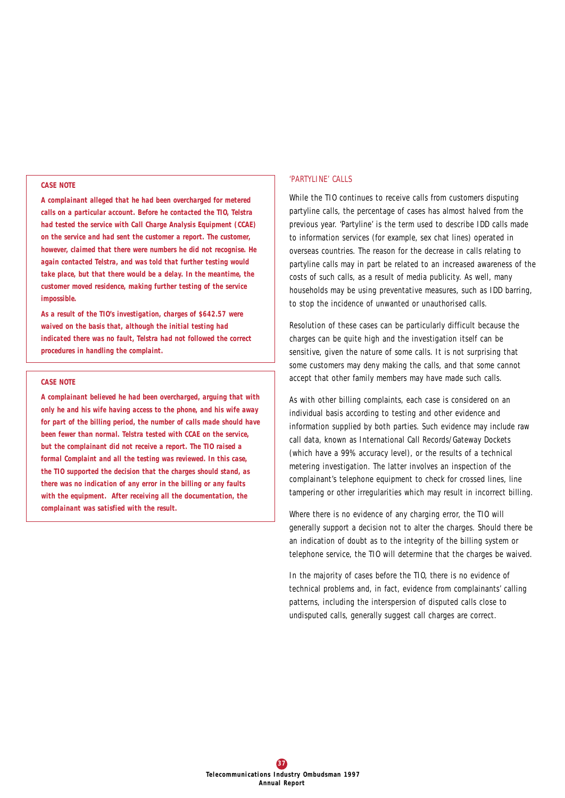#### *CASE NOTE*

*A complainant alleged that he had been overcharged for metered calls on a particular account. Before he contacted the TIO, Telstra had tested the service with Call Charge Analysis Equipment (CCAE) on the service and had sent the customer a report. The customer, however, claimed that there were numbers he did not recognise. He again contacted Telstra, and was told that further testing would take place, but that there would be a delay. In the meantime, the customer moved residence, making further testing of the service impossible.* 

*As a result of the TIO's investigation, charges of \$642.57 were waived on the basis that, although the initial testing had indicated there was no fault, Telstra had not followed the correct procedures in handling the complaint.*

#### *CASE NOTE*

*A complainant believed he had been overcharged, arguing that with only he and his wife having access to the phone, and his wife away for part of the billing period, the number of calls made should have been fewer than normal. Telstra tested with CCAE on the service, but the complainant did not receive a report. The TIO raised a formal Complaint and all the testing was reviewed. In this case, the TIO supported the decision that the charges should stand, as there was no indication of any error in the billing or any faults with the equipment. After receiving all the documentation, the complainant was satisfied with the result.*

#### *'PARTYLINE' CALLS*

While the TIO continues to receive calls from customers disputing partyline calls, the percentage of cases has almost halved from the previous year. 'Partyline' is the term used to describe IDD calls made to information services (for example, sex chat lines) operated in overseas countries. The reason for the decrease in calls relating to partyline calls may in part be related to an increased awareness of the costs of such calls, as a result of media publicity. As well, many households may be using preventative measures, such as IDD barring, to stop the incidence of unwanted or unauthorised calls.

Resolution of these cases can be particularly difficult because the charges can be quite high and the investigation itself can be sensitive, given the nature of some calls. It is not surprising that some customers may deny making the calls, and that some cannot accept that other family members may have made such calls.

As with other billing complaints, each case is considered on an individual basis according to testing and other evidence and information supplied by both parties. Such evidence may include raw call data, known as International Call Records/Gateway Dockets (which have a 99% accuracy level), or the results of a technical metering investigation. The latter involves an inspection of the complainant's telephone equipment to check for crossed lines, line tampering or other irregularities which may result in incorrect billing.

Where there is no evidence of any charging error, the TIO will generally support a decision not to alter the charges. Should there be an indication of doubt as to the integrity of the billing system or telephone service, the TIO will determine that the charges be waived.

In the majority of cases before the TIO, there is no evidence of technical problems and, in fact, evidence from complainants' calling patterns, including the interspersion of disputed calls close to undisputed calls, generally suggest call charges are correct.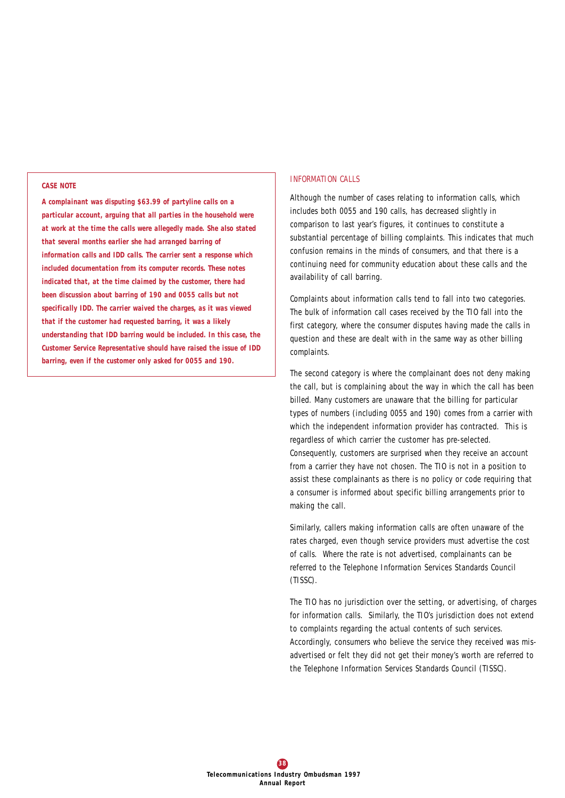#### *CASE NOTE*

*A complainant was disputing \$63.99 of partyline calls on a particular account, arguing that all parties in the household were at work at the time the calls were allegedly made. She also stated that several months earlier she had arranged barring of information calls and IDD calls. The carrier sent a response which included documentation from its computer records. These notes indicated that, at the time claimed by the customer, there had been discussion about barring of 190 and 0055 calls but not specifically IDD. The carrier waived the charges, as it was viewed that if the customer had requested barring, it was a likely understanding that IDD barring would be included. In this case, the Customer Service Representative should have raised the issue of IDD barring, even if the customer only asked for 0055 and 190.* 

#### *INFORMATION CALLS*

Although the number of cases relating to information calls, which includes both 0055 and 190 calls, has decreased slightly in comparison to last year's figures, it continues to constitute a substantial percentage of billing complaints. This indicates that much confusion remains in the minds of consumers, and that there is a continuing need for community education about these calls and the availability of call barring.

Complaints about information calls tend to fall into two categories. The bulk of information call cases received by the TIO fall into the first category, where the consumer disputes having made the calls in question and these are dealt with in the same way as other billing complaints.

The second category is where the complainant does not deny making the call, but is complaining about the way in which the call has been billed. Many customers are unaware that the billing for particular types of numbers (including 0055 and 190) comes from a carrier with which the independent information provider has contracted. This is regardless of which carrier the customer has pre-selected. Consequently, customers are surprised when they receive an account from a carrier they have not chosen. The TIO is not in a position to assist these complainants as there is no policy or code requiring that a consumer is informed about specific billing arrangements prior to making the call.

Similarly, callers making information calls are often unaware of the rates charged, even though service providers must advertise the cost of calls. Where the rate is not advertised, complainants can be referred to the Telephone Information Services Standards Council (TISSC).

The TIO has no jurisdiction over the setting, or advertising, of charges for information calls. Similarly, the TIO's jurisdiction does not extend to complaints regarding the actual contents of such services. Accordingly, consumers who believe the service they received was misadvertised or felt they did not get their money's worth are referred to the Telephone Information Services Standards Council (TISSC).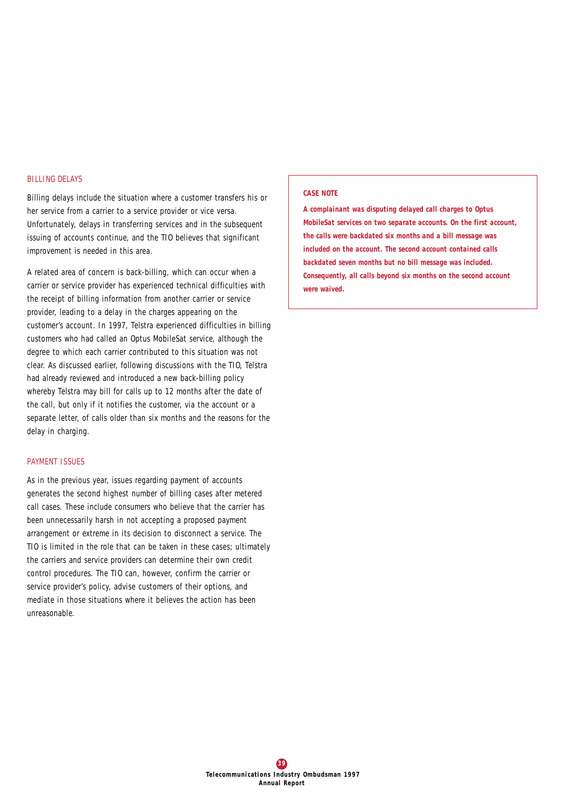## *BILLING DELAYS*

Billing delays include the situation where a customer transfers his or her service from a carrier to a service provider or vice versa. Unfortunately, delays in transferring services and in the subsequent issuing of accounts continue, and the TIO believes that significant improvement is needed in this area.

A related area of concern is back-billing, which can occur when a carrier or service provider has experienced technical difficulties with the receipt of billing information from another carrier or service provider, leading to a delay in the charges appearing on the customer's account. In 1997, Telstra experienced difficulties in billing customers who had called an Optus MobileSat service, although the degree to which each carrier contributed to this situation was not clear. As discussed earlier, following discussions with the TIO, Telstra had already reviewed and introduced a new back-billing policy whereby Telstra may bill for calls up to 12 months after the date of the call, but only if it notifies the customer, via the account or a separate letter, of calls older than six months and the reasons for the delay in charging.

## *PAYMENT ISSUES*

As in the previous year, issues regarding payment of accounts generates the second highest number of billing cases after metered call cases. These include consumers who believe that the carrier has been unnecessarily harsh in not accepting a proposed payment arrangement or extreme in its decision to disconnect a service. The TIO is limited in the role that can be taken in these cases; ultimately the carriers and service providers can determine their own credit control procedures. The TIO can, however, confirm the carrier or service provider's policy, advise customers of their options, and mediate in those situations where it believes the action has been unreasonable.

#### *CASE NOTE*

*A complainant was disputing delayed call charges to Optus MobileSat services on two separate accounts. On the first account, the calls were backdated six months and a bill message was included on the account. The second account contained calls backdated seven months but no bill message was included. Consequently, all calls beyond six months on the second account were waived.*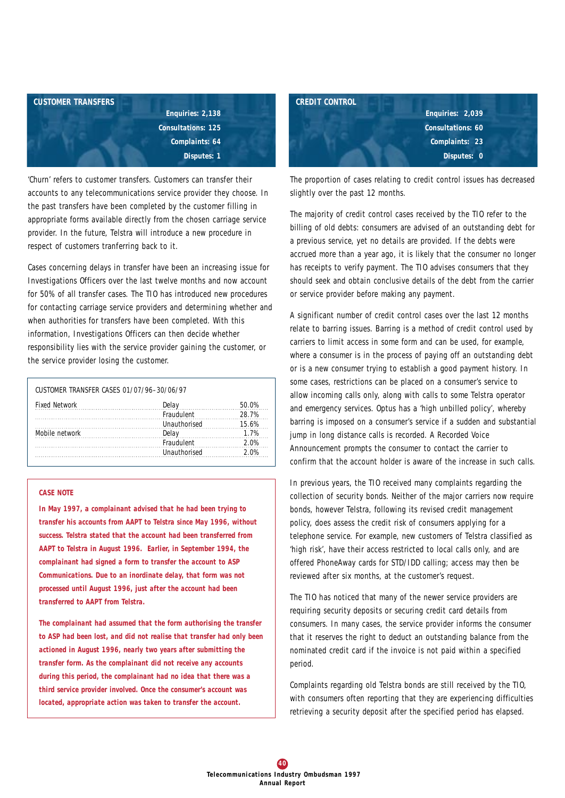

'Churn' refers to customer transfers. Customers can transfer their accounts to any telecommunications service provider they choose. In the past transfers have been completed by the customer filling in appropriate forms available directly from the chosen carriage service provider. In the future, Telstra will introduce a new procedure in respect of customers tranferring back to it.

Cases concerning delays in transfer have been an increasing issue for Investigations Officers over the last twelve months and now account for 50% of all transfer cases. The TIO has introduced new procedures for contacting carriage service providers and determining whether and when authorities for transfers have been completed. With this information, Investigations Officers can then decide whether responsibility lies with the service provider gaining the customer, or the service provider losing the customer.

| CUSTOMER TRANSFER CASES 01/07/96-30/06/97 |                      |       |
|-------------------------------------------|----------------------|-------|
| <b>Fixed Network</b>                      | Delay                | 50.O% |
|                                           | <b>Fraudulent</b>    | 28.7% |
|                                           | <b>Ilnauthorised</b> | 15.6% |
| Mobile network                            | Delav                | 1 7%  |
|                                           | <b>Fraudulent</b>    | 2 በ%  |
|                                           | <b>Ilnauthorised</b> |       |

#### *CASE NOTE*

*In May 1997, a complainant advised that he had been trying to transfer his accounts from AAPT to Telstra since May 1996, without success. Telstra stated that the account had been transferred from AAPT to Telstra in August 1996. Earlier, in September 1994, the complainant had signed a form to transfer the account to ASP Communications. Due to an inordinate delay, that form was not processed until August 1996, just after the account had been transferred to AAPT from Telstra.* 

*The complainant had assumed that the form authorising the transfer to ASP had been lost, and did not realise that transfer had only been actioned in August 1996, nearly two years after submitting the transfer form. As the complainant did not receive any accounts during this period, the complainant had no idea that there was a third service provider involved. Once the consumer's account was located, appropriate action was taken to transfer the account.*



The proportion of cases relating to credit control issues has decreased slightly over the past 12 months.

The majority of credit control cases received by the TIO refer to the billing of old debts: consumers are advised of an outstanding debt for a previous service, yet no details are provided. If the debts were accrued more than a year ago, it is likely that the consumer no longer has receipts to verify payment. The TIO advises consumers that they should seek and obtain conclusive details of the debt from the carrier or service provider before making any payment.

A significant number of credit control cases over the last 12 months relate to barring issues. Barring is a method of credit control used by carriers to limit access in some form and can be used, for example, where a consumer is in the process of paying off an outstanding debt or is a new consumer trying to establish a good payment history. In some cases, restrictions can be placed on a consumer's service to allow incoming calls only, along with calls to some Telstra operator and emergency services. Optus has a 'high unbilled policy', whereby barring is imposed on a consumer's service if a sudden and substantial jump in long distance calls is recorded. A Recorded Voice Announcement prompts the consumer to contact the carrier to confirm that the account holder is aware of the increase in such calls.

In previous years, the TIO received many complaints regarding the collection of security bonds. Neither of the major carriers now require bonds, however Telstra, following its revised credit management policy, does assess the credit risk of consumers applying for a telephone service. For example, new customers of Telstra classified as 'high risk', have their access restricted to local calls only, and are offered PhoneAway cards for STD/IDD calling; access may then be reviewed after six months, at the customer's request.

The TIO has noticed that many of the newer service providers are requiring security deposits or securing credit card details from consumers. In many cases, the service provider informs the consumer that it reserves the right to deduct an outstanding balance from the nominated credit card if the invoice is not paid within a specified period.

Complaints regarding old Telstra bonds are still received by the TIO, with consumers often reporting that they are experiencing difficulties retrieving a security deposit after the specified period has elapsed.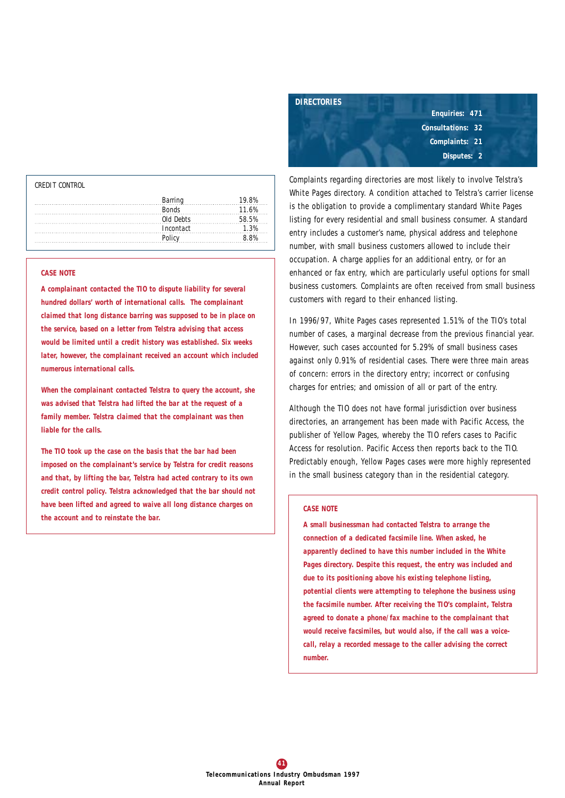| CREDIT CONTROL |           |       |
|----------------|-----------|-------|
|                | Barring   | ig ol |
|                | Ronds     | 11.6% |
|                | Old Dehts |       |
|                | Incontact |       |
|                | Policy    |       |
|                |           |       |

## *CASE NOTE*

*A complainant contacted the TIO to dispute liability for several hundred dollars' worth of international calls. The complainant claimed that long distance barring was supposed to be in place on the service, based on a letter from Telstra advising that access would be limited until a credit history was established. Six weeks later, however, the complainant received an account which included numerous international calls.*

*When the complainant contacted Telstra to query the account, she was advised that Telstra had lifted the bar at the request of a family member. Telstra claimed that the complainant was then liable for the calls.*

*The TIO took up the case on the basis that the bar had been imposed on the complainant's service by Telstra for credit reasons and that, by lifting the bar, Telstra had acted contrary to its own credit control policy. Telstra acknowledged that the bar should not have been lifted and agreed to waive all long distance charges on the account and to reinstate the bar.*



Complaints regarding directories are most likely to involve Telstra's White Pages directory. A condition attached to Telstra's carrier license is the obligation to provide a complimentary standard White Pages listing for every residential and small business consumer. A standard entry includes a customer's name, physical address and telephone number, with small business customers allowed to include their occupation. A charge applies for an additional entry, or for an enhanced or fax entry, which are particularly useful options for small business customers. Complaints are often received from small business customers with regard to their enhanced listing.

In 1996/97, White Pages cases represented 1.51% of the TIO's total number of cases, a marginal decrease from the previous financial year. However, such cases accounted for 5.29% of small business cases against only 0.91% of residential cases. There were three main areas of concern: errors in the directory entry; incorrect or confusing charges for entries; and omission of all or part of the entry.

Although the TIO does not have formal jurisdiction over business directories, an arrangement has been made with Pacific Access, the publisher of Yellow Pages, whereby the TIO refers cases to Pacific Access for resolution. Pacific Access then reports back to the TIO. Predictably enough, Yellow Pages cases were more highly represented in the small business category than in the residential category.

#### *CASE NOTE*

*A small businessman had contacted Telstra to arrange the connection of a dedicated facsimile line. When asked, he apparently declined to have this number included in the White Pages directory. Despite this request, the entry was included and due to its positioning above his existing telephone listing, potential clients were attempting to telephone the business using the facsimile number. After receiving the TIO's complaint, Telstra agreed to donate a phone/fax machine to the complainant that would receive facsimiles, but would also, if the call was a voicecall, relay a recorded message to the caller advising the correct number.*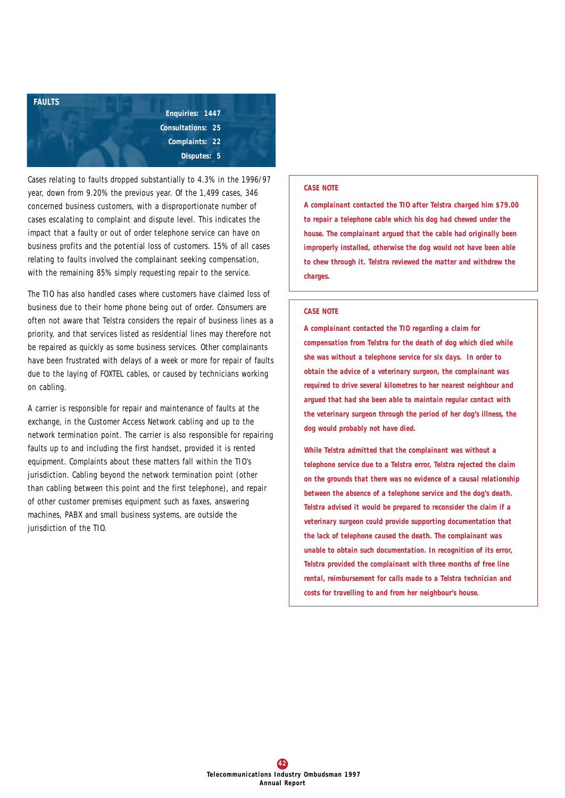

Cases relating to faults dropped substantially to 4.3% in the 1996/97 year, down from 9.20% the previous year. Of the 1,499 cases, 346 concerned business customers, with a disproportionate number of cases escalating to complaint and dispute level. This indicates the impact that a faulty or out of order telephone service can have on business profits and the potential loss of customers. 15% of all cases relating to faults involved the complainant seeking compensation, with the remaining 85% simply requesting repair to the service.

The TIO has also handled cases where customers have claimed loss of business due to their home phone being out of order. Consumers are often not aware that Telstra considers the repair of business lines as a priority, and that services listed as residential lines may therefore not be repaired as quickly as some business services. Other complainants have been frustrated with delays of a week or more for repair of faults due to the laying of *FOXTEL* cables, or caused by technicians working on cabling.

A carrier is responsible for repair and maintenance of faults at the exchange, in the Customer Access Network cabling and up to the network termination point. The carrier is also responsible for repairing faults up to and including the first handset, provided it is rented equipment. Complaints about these matters fall within the TIO's jurisdiction. Cabling beyond the network termination point (other than cabling between this point and the first telephone), and repair of other customer premises equipment such as faxes, answering machines, PABX and small business systems, are outside the jurisdiction of the TIO.

#### *CASE NOTE*

*A complainant contacted the TIO after Telstra charged him \$79.00 to repair a telephone cable which his dog had chewed under the house. The complainant argued that the cable had originally been improperly installed, otherwise the dog would not have been able to chew through it. Telstra reviewed the matter and withdrew the charges.*

#### *CASE NOTE*

*A complainant contacted the TIO regarding a claim for compensation from Telstra for the death of dog which died while she was without a telephone service for six days. In order to obtain the advice of a veterinary surgeon, the complainant was required to drive several kilometres to her nearest neighbour and argued that had she been able to maintain regular contact with the veterinary surgeon through the period of her dog's illness, the dog would probably not have died.*

*While Telstra admitted that the complainant was without a telephone service due to a Telstra error, Telstra rejected the claim on the grounds that there was no evidence of a causal relationship between the absence of a telephone service and the dog's death. Telstra advised it would be prepared to reconsider the claim if a veterinary surgeon could provide supporting documentation that the lack of telephone caused the death. The complainant was unable to obtain such documentation. In recognition of its error, Telstra provided the complainant with three months of free line rental, reimbursement for calls made to a Telstra technician and costs for travelling to and from her neighbour's house.*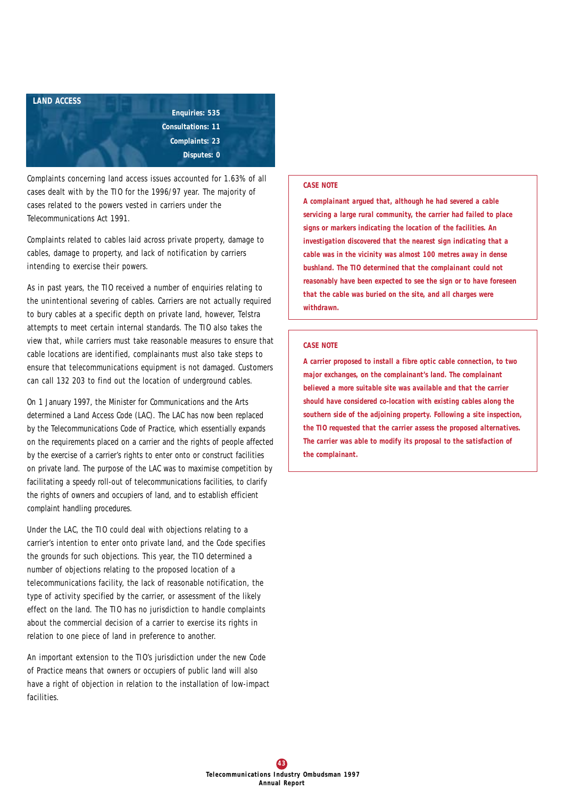

Complaints concerning land access issues accounted for 1.63% of all cases dealt with by the TIO for the 1996/97 year. The majority of cases related to the powers vested in carriers under the *Telecommunications Act 1991*.

Complaints related to cables laid across private property, damage to cables, damage to property, and lack of notification by carriers intending to exercise their powers.

As in past years, the TIO received a number of enquiries relating to the unintentional severing of cables. Carriers are not actually required to bury cables at a specific depth on private land, however, Telstra attempts to meet certain internal standards. The TIO also takes the view that, while carriers must take reasonable measures to ensure that cable locations are identified, complainants must also take steps to ensure that telecommunications equipment is not damaged. Customers can call 132 203 to find out the location of underground cables.

On 1 January 1997, the Minister for Communications and the Arts determined a Land Access Code (LAC). The LAC has now been replaced by the Telecommunications Code of Practice, which essentially expands on the requirements placed on a carrier and the rights of people affected by the exercise of a carrier's rights to enter onto or construct facilities on private land. The purpose of the LAC was to maximise competition by facilitating a speedy roll-out of telecommunications facilities, to clarify the rights of owners and occupiers of land, and to establish efficient complaint handling procedures.

Under the LAC, the TIO could deal with objections relating to a carrier's intention to enter onto private land, and the Code specifies the grounds for such objections. This year, the TIO determined a number of objections relating to the proposed location of a telecommunications facility, the lack of reasonable notification, the type of activity specified by the carrier, or assessment of the likely effect on the land. The TIO has no jurisdiction to handle complaints about the commercial decision of a carrier to exercise its rights in relation to one piece of land in preference to another.

An important extension to the TIO's jurisdiction under the new Code of Practice means that owners or occupiers of public land will also have a right of objection in relation to the installation of low-impact facilities.

#### *CASE NOTE*

*A complainant argued that, although he had severed a cable servicing a large rural community, the carrier had failed to place signs or markers indicating the location of the facilities. An investigation discovered that the nearest sign indicating that a cable was in the vicinity was almost 100 metres away in dense bushland. The TIO determined that the complainant could not reasonably have been expected to see the sign or to have foreseen that the cable was buried on the site, and all charges were withdrawn.*

#### *CASE NOTE*

*A carrier proposed to install a fibre optic cable connection, to two major exchanges, on the complainant's land. The complainant believed a more suitable site was available and that the carrier should have considered co-location with existing cables along the southern side of the adjoining property. Following a site inspection, the TIO requested that the carrier assess the proposed alternatives. The carrier was able to modify its proposal to the satisfaction of the complainant.*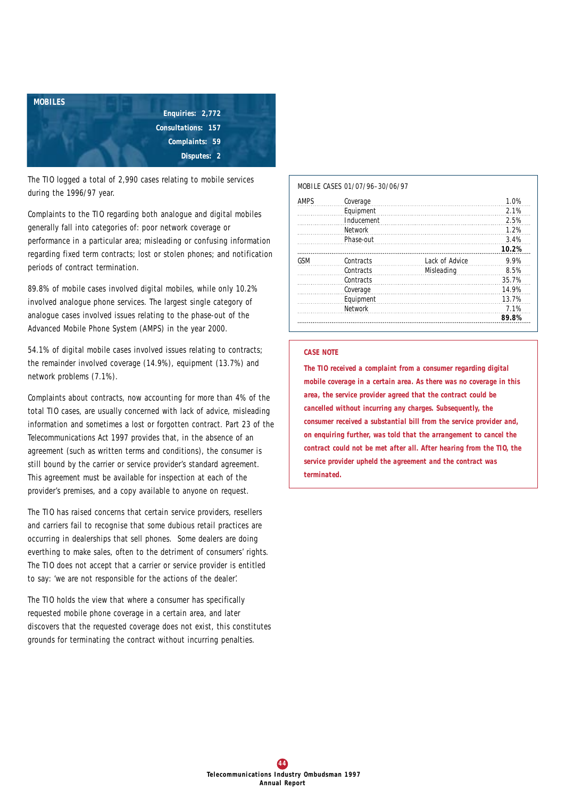

The TIO logged a total of 2,990 cases relating to mobile services during the 1996/97 year.

Complaints to the TIO regarding both analogue and digital mobiles generally fall into categories of: poor network coverage or performance in a particular area; misleading or confusing information regarding fixed term contracts; lost or stolen phones; and notification periods of contract termination.

89.8% of mobile cases involved digital mobiles, while only 10.2% involved analogue phone services. The largest single category of analogue cases involved issues relating to the phase-out of the Advanced Mobile Phone System (AMPS) in the year 2000.

54.1% of digital mobile cases involved issues relating to contracts; the remainder involved coverage (14.9%), equipment (13.7%) and network problems (7.1%).

Complaints about contracts, now accounting for more than 4% of the total TIO cases, are usually concerned with lack of advice, misleading information and sometimes a lost or forgotten contract. Part 23 of the *Telecommunications Act 1997* provides that, in the absence of an agreement (such as written terms and conditions), the consumer is still bound by the carrier or service provider's standard agreement. This agreement must be available for inspection at each of the provider's premises, and a copy available to anyone on request.

The TIO has raised concerns that certain service providers, resellers and carriers fail to recognise that some dubious retail practices are occurring in dealerships that sell phones. Some dealers are doing everthing to make sales, often to the detriment of consumers' rights. The TIO does not accept that a carrier or service provider is entitled to say: 'we are not responsible for the actions of the dealer'.

The TIO holds the view that where a consumer has specifically requested mobile phone coverage in a certain area, and later discovers that the requested coverage does not exist, this constitutes grounds for terminating the contract without incurring penalties.

#### *MOBILE CASES 01/07/96–30/06/97*

| <b>AMPS</b> | Coverage   |                | 1.0%  |
|-------------|------------|----------------|-------|
|             | Equipment  |                | 2.1%  |
|             | Inducement |                | 2.5%  |
|             | Network    |                | 1.2%  |
|             | Phase-out  |                | 3.4%  |
|             |            |                | 10.2% |
| GSM         | Contracts  | Lack of Advice | 9.9%  |
|             | Contracts  | Misleading     | 8.5%  |
|             | Contracts  |                | 35.7% |
| Coverage    |            |                | 14.9% |
|             | Equipment  |                | 13.7% |
|             | Network    |                | 7.1%  |
|             |            |                | 89.8% |

#### *CASE NOTE*

*The TIO received a complaint from a consumer regarding digital mobile coverage in a certain area. As there was no coverage in this area, the service provider agreed that the contract could be cancelled without incurring any charges. Subsequently, the consumer received a substantial bill from the service provider and, on enquiring further, was told that the arrangement to cancel the contract could not be met after all. After hearing from the TIO, the service provider upheld the agreement and the contract was terminated.*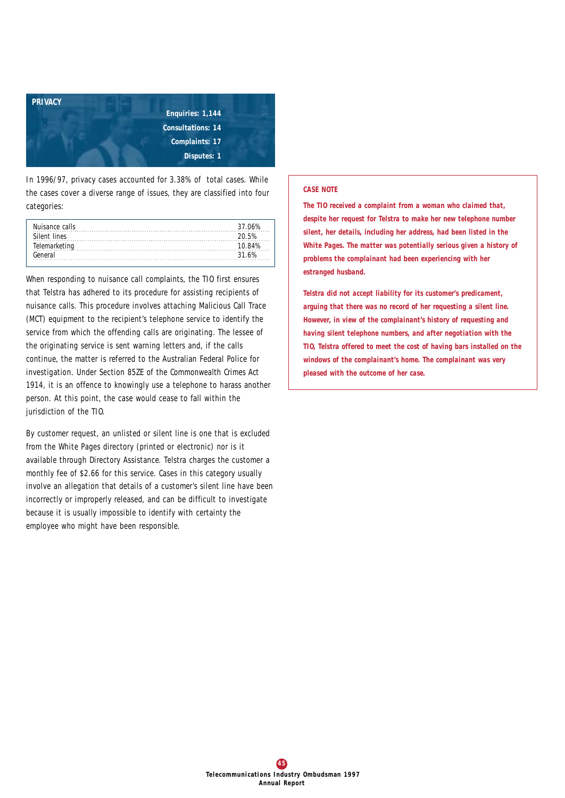

In 1996/97, privacy cases accounted for 3.38% of total cases. While the cases cover a diverse range of issues, they are classified into four categories:

| Nuisance calls     | 37 NA%  |
|--------------------|---------|
| Silent lines       | 20.5%   |
| Telemarketing<br>. | ו או זו |
| General            |         |

When responding to nuisance call complaints, the TIO first ensures that Telstra has adhered to its procedure for assisting recipients of nuisance calls. This procedure involves attaching Malicious Call Trace (MCT) equipment to the recipient's telephone service to identify the service from which the offending calls are originating. The lessee of the originating service is sent warning letters and, if the calls continue, the matter is referred to the Australian Federal Police for investigation. Under Section 85ZE of the *Commonwealth Crimes Act 1914*, it is an offence to knowingly use a telephone to harass another person. At this point, the case would cease to fall within the jurisdiction of the TIO.

By customer request, an unlisted or silent line is one that is excluded from the White Pages directory (printed or electronic) nor is it available through Directory Assistance. Telstra charges the customer a monthly fee of \$2.66 for this service. Cases in this category usually involve an allegation that details of a customer's silent line have been incorrectly or improperly released, and can be difficult to investigate because it is usually impossible to identify with certainty the employee who might have been responsible.

## *CASE NOTE*

*The TIO received a complaint from a woman who claimed that, despite her request for Telstra to make her new telephone number silent, her details, including her address, had been listed in the White Pages. The matter was potentially serious given a history of problems the complainant had been experiencing with her estranged husband.*

*Telstra did not accept liability for its customer's predicament, arguing that there was no record of her requesting a silent line. However, in view of the complainant's history of requesting and having silent telephone numbers, and after negotiation with the TIO, Telstra offered to meet the cost of having bars installed on the windows of the complainant's home. The complainant was very pleased with the outcome of her case.*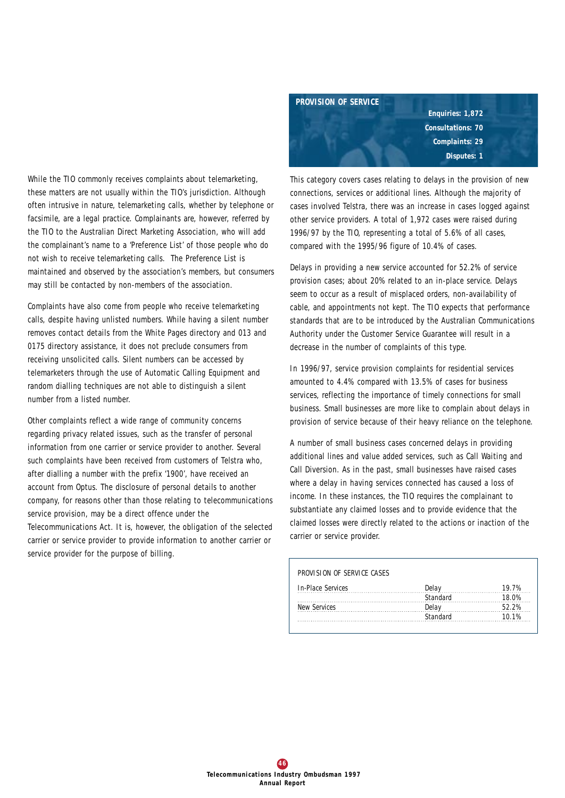While the TIO commonly receives complaints about telemarketing, these matters are not usually within the TIO's jurisdiction. Although often intrusive in nature, telemarketing calls, whether by telephone or facsimile, are a legal practice. Complainants are, however, referred by the TIO to the Australian Direct Marketing Association, who will add the complainant's name to a 'Preference List' of those people who do not wish to receive telemarketing calls. The Preference List is maintained and observed by the association's members, but consumers may still be contacted by non-members of the association.

Complaints have also come from people who receive telemarketing calls, despite having unlisted numbers. While having a silent number removes contact details from the White Pages directory and 013 and 0175 directory assistance, it does not preclude consumers from receiving unsolicited calls. Silent numbers can be accessed by telemarketers through the use of Automatic Calling Equipment and random dialling techniques are not able to distinguish a silent number from a listed number.

Other complaints reflect a wide range of community concerns regarding privacy related issues, such as the transfer of personal information from one carrier or service provider to another. Several such complaints have been received from customers of Telstra who, after dialling a number with the prefix '1900', have received an account from Optus. The disclosure of personal details to another company, for reasons other than those relating to telecommunications service provision, may be a direct offence under the Telecommunications Act. It is, however, the obligation of the selected carrier or service provider to provide information to another carrier or service provider for the purpose of billing.



This category covers cases relating to delays in the provision of new connections, services or additional lines. Although the majority of cases involved Telstra, there was an increase in cases logged against other service providers. A total of 1,972 cases were raised during 1996/97 by the TIO, representing a total of 5.6% of all cases, compared with the 1995/96 figure of 10.4% of cases.

Delays in providing a new service accounted for 52.2% of service provision cases; about 20% related to an in-place service. Delays seem to occur as a result of misplaced orders, non-availability of cable, and appointments not kept. The TIO expects that performance standards that are to be introduced by the Australian Communications Authority under the Customer Service Guarantee will result in a decrease in the number of complaints of this type.

In 1996/97, service provision complaints for residential services amounted to 4.4% compared with 13.5% of cases for business services, reflecting the importance of timely connections for small business. Small businesses are more like to complain about delays in provision of service because of their heavy reliance on the telephone.

A number of small business cases concerned delays in providing additional lines and value added services, such as Call Waiting and Call Diversion. As in the past, small businesses have raised cases where a delay in having services connected has caused a loss of income. In these instances, the TIO requires the complainant to substantiate any claimed losses and to provide evidence that the claimed losses were directly related to the actions or inaction of the carrier or service provider.

| PROVISION OF SERVICE CASES |          |       |
|----------------------------|----------|-------|
| In-Place Services          | Delay    | 19.7% |
|                            | Standard |       |
| <b>New Services</b>        | Delav    |       |
|                            | Standard | 10.1% |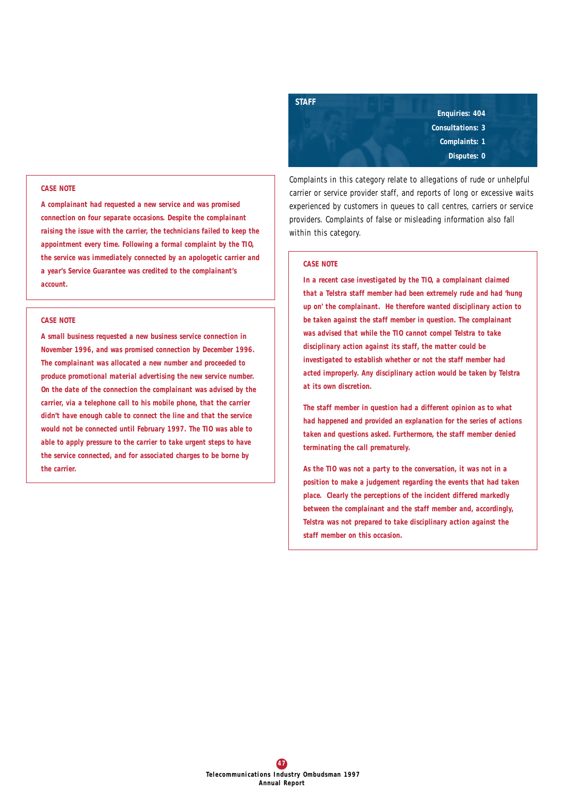#### *CASE NOTE*

*A complainant had requested a new service and was promised connection on four separate occasions. Despite the complainant raising the issue with the carrier, the technicians failed to keep the appointment every time. Following a formal complaint by the TIO, the service was immediately connected by an apologetic carrier and a year's Service Guarantee was credited to the complainant's account.*

#### *CASE NOTE*

*A small business requested a new business service connection in November 1996, and was promised connection by December 1996. The complainant was allocated a new number and proceeded to produce promotional material advertising the new service number. On the date of the connection the complainant was advised by the carrier, via a telephone call to his mobile phone, that the carrier didn't have enough cable to connect the line and that the service would not be connected until February 1997. The TIO was able to able to apply pressure to the carrier to take urgent steps to have the service connected, and for associated charges to be borne by the carrier.*

*Enquiries: 404 Consultations: 3 Complaints: 1 Disputes: 0*

Complaints in this category relate to allegations of rude or unhelpful carrier or service provider staff, and reports of long or excessive waits experienced by customers in queues to call centres, carriers or service providers. Complaints of false or misleading information also fall within this category.

## *CASE NOTE*

*STAFF*

*In a recent case investigated by the TIO, a complainant claimed that a Telstra staff member had been extremely rude and had 'hung up on' the complainant. He therefore wanted disciplinary action to be taken against the staff member in question. The complainant was advised that while the TIO cannot compel Telstra to take disciplinary action against its staff, the matter could be investigated to establish whether or not the staff member had acted improperly. Any disciplinary action would be taken by Telstra at its own discretion.*

*The staff member in question had a different opinion as to what had happened and provided an explanation for the series of actions taken and questions asked. Furthermore, the staff member denied terminating the call prematurely.* 

*As the TIO was not a party to the conversation, it was not in a position to make a judgement regarding the events that had taken place. Clearly the perceptions of the incident differed markedly between the complainant and the staff member and, accordingly, Telstra was not prepared to take disciplinary action against the staff member on this occasion.*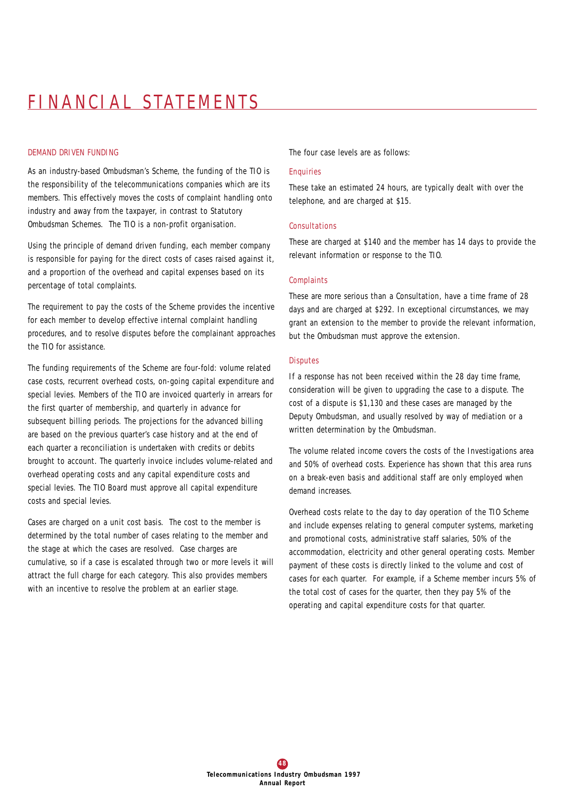# FINANCIAL STATEMENTS

## *DEMAND DRIVEN FUNDING*

As an industry-based Ombudsman's Scheme, the funding of the TIO is the responsibility of the telecommunications companies which are its members. This effectively moves the costs of complaint handling onto industry and away from the taxpayer, in contrast to Statutory Ombudsman Schemes. The TIO is a non-profit organisation.

Using the principle of demand driven funding, each member company is responsible for paying for the direct costs of cases raised against it, and a proportion of the overhead and capital expenses based on its percentage of total complaints.

The requirement to pay the costs of the Scheme provides the incentive for each member to develop effective internal complaint handling procedures, and to resolve disputes before the complainant approaches the TIO for assistance.

The funding requirements of the Scheme are four-fold: volume related case costs, recurrent overhead costs, on-going capital expenditure and special levies. Members of the TIO are invoiced quarterly in arrears for the first quarter of membership, and quarterly in advance for subsequent billing periods. The projections for the advanced billing are based on the previous quarter's case history and at the end of each quarter a reconciliation is undertaken with credits or debits brought to account. The quarterly invoice includes volume-related and overhead operating costs and any capital expenditure costs and special levies. The TIO Board must approve all capital expenditure costs and special levies.

Cases are charged on a unit cost basis. The cost to the member is determined by the total number of cases relating to the member and the stage at which the cases are resolved. Case charges are cumulative, so if a case is escalated through two or more levels it will attract the full charge for each category. This also provides members with an incentive to resolve the problem at an earlier stage.

The four case levels are as follows:

#### **Enquiries**

These take an estimated 24 hours, are typically dealt with over the telephone, and are charged at \$15.

#### Consultations

These are charged at \$140 and the member has 14 days to provide the relevant information or response to the TIO.

#### **Complaints**

These are more serious than a Consultation, have a time frame of 28 days and are charged at \$292. In exceptional circumstances, we may grant an extension to the member to provide the relevant information, but the Ombudsman must approve the extension.

#### **Disputes**

If a response has not been received within the 28 day time frame, consideration will be given to upgrading the case to a dispute. The cost of a dispute is \$1,130 and these cases are managed by the Deputy Ombudsman, and usually resolved by way of mediation or a written determination by the Ombudsman.

The volume related income covers the costs of the Investigations area and 50% of overhead costs. Experience has shown that this area runs on a break-even basis and additional staff are only employed when demand increases.

Overhead costs relate to the day to day operation of the TIO Scheme and include expenses relating to general computer systems, marketing and promotional costs, administrative staff salaries, 50% of the accommodation, electricity and other general operating costs. Member payment of these costs is directly linked to the volume and cost of cases for each quarter. For example, if a Scheme member incurs 5% of the total cost of cases for the quarter, then they pay 5% of the operating and capital expenditure costs for that quarter.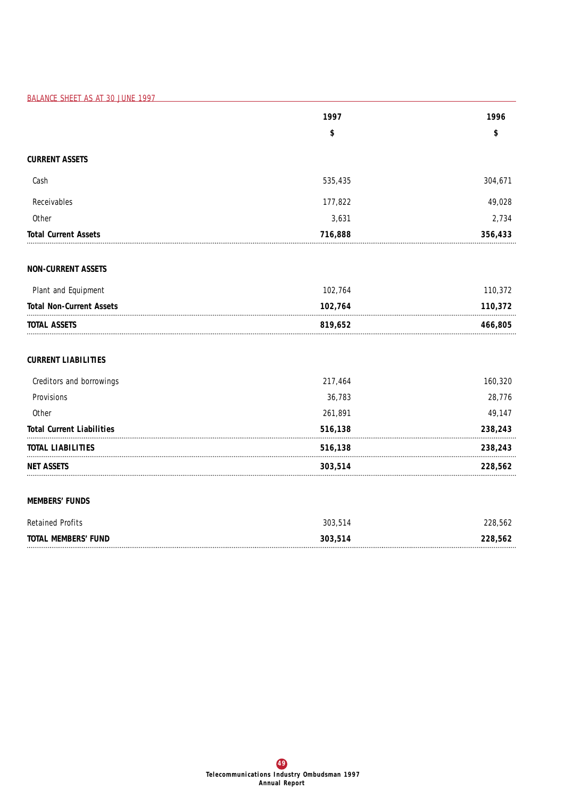*BALANCE SHEET AS AT 30 JUNE 1997*

|                                  | 1997    | 1996    |
|----------------------------------|---------|---------|
|                                  | \$      | \$      |
| <b>CURRENT ASSETS</b>            |         |         |
| Cash                             | 535,435 | 304,671 |
| Receivables                      | 177,822 | 49,028  |
| Other                            | 3,631   | 2,734   |
| <b>Total Current Assets</b>      | 716,888 | 356,433 |
| <b>NON-CURRENT ASSETS</b>        |         |         |
| Plant and Equipment              | 102,764 | 110,372 |
| <b>Total Non-Current Assets</b>  | 102,764 | 110,372 |
| TOTAL ASSETS                     | 819,652 | 466,805 |
| <b>CURRENT LIABILITIES</b>       |         |         |
| Creditors and borrowings         | 217,464 | 160,320 |
| Provisions                       | 36,783  | 28,776  |
| Other                            | 261,891 | 49,147  |
| <b>Total Current Liabilities</b> | 516,138 | 238,243 |
| <b>TOTAL LIABILITIES</b>         | 516,138 | 238,243 |
| NET ASSETS                       | 303,514 | 228,562 |
| <b>MEMBERS' FUNDS</b>            |         |         |
| <b>Retained Profits</b>          | 303,514 | 228,562 |
| <b>TOTAL MEMBERS' FUND</b>       | 303,514 | 228,562 |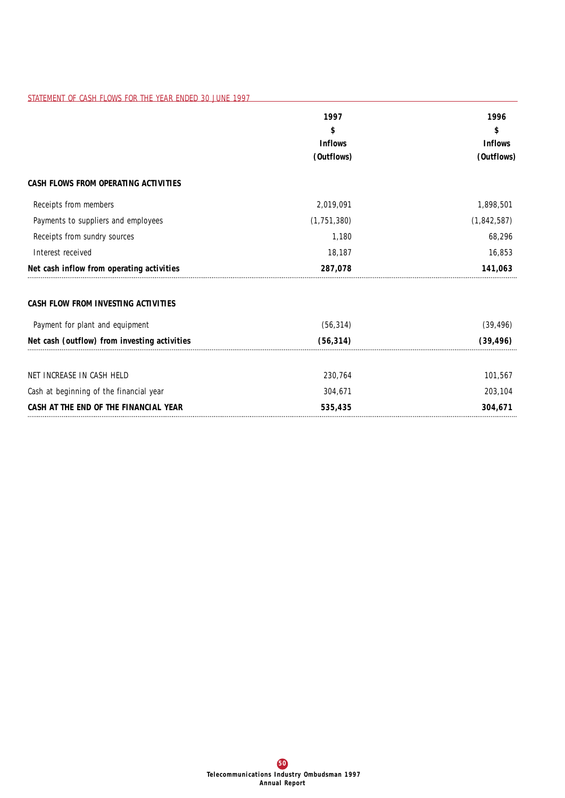|                                              | 1997<br>\$<br><b>Inflows</b> | 1996<br>\$<br><b>Inflows</b><br>(Outflows) |
|----------------------------------------------|------------------------------|--------------------------------------------|
|                                              | (Outflows)                   |                                            |
| CASH FLOWS FROM OPERATING ACTIVITIES         |                              |                                            |
| Receipts from members                        | 2,019,091                    | 1,898,501                                  |
| Payments to suppliers and employees          | (1, 751, 380)                | (1,842,587)                                |
| Receipts from sundry sources                 | 1,180                        | 68,296                                     |
| Interest received                            | 18,187                       | 16,853                                     |
| Net cash inflow from operating activities    | 287,078                      | 141,063                                    |
| CASH FLOW FROM INVESTING ACTIVITIES          |                              |                                            |
| Payment for plant and equipment              | (56, 314)                    | (39, 496)                                  |
| Net cash (outflow) from investing activities | (56, 314)                    | (39, 496)                                  |
| NET INCREASE IN CASH HELD                    | 230,764                      | 101,567                                    |
| Cash at beginning of the financial year      | 304,671                      | 203,104                                    |
| CASH AT THE END OF THE FINANCIAL YEAR        | 535,435                      | 304,671                                    |

*STATEMENT OF CASH FLOWS FOR THE YEAR ENDED 30 JUNE 1997*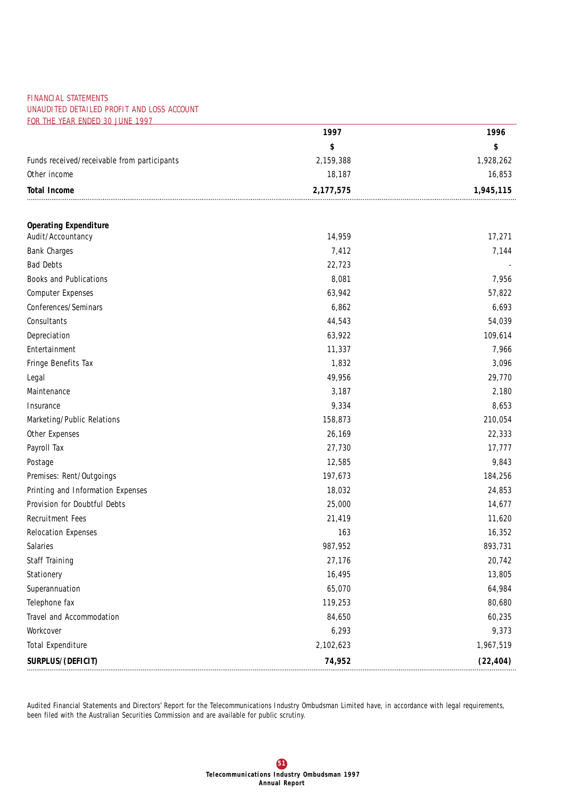## *FINANCIAL STATEMENTS UNAUDITED DETAILED PROFIT AND LOSS ACCOUNT FOR THE YEAR ENDED 30 JUNE 1997*

|                                             | 1997      | 1996      |
|---------------------------------------------|-----------|-----------|
|                                             | \$        | \$        |
| Funds received/receivable from participants | 2,159,388 | 1,928,262 |
| Other income                                | 18,187    | 16,853    |
| <b>Total Income</b>                         | 2,177,575 | 1,945,115 |
|                                             |           |           |
| <b>Operating Expenditure</b>                |           |           |
| Audit/Accountancy                           | 14,959    | 17,271    |
| <b>Bank Charges</b>                         | 7,412     | 7,144     |
| <b>Bad Debts</b>                            | 22,723    |           |
| Books and Publications                      | 8,081     | 7,956     |
| <b>Computer Expenses</b>                    | 63,942    | 57,822    |
| Conferences/Seminars                        | 6,862     | 6,693     |
| Consultants                                 | 44,543    | 54,039    |
| Depreciation                                | 63,922    | 109,614   |
| Entertainment                               | 11,337    | 7,966     |
| Fringe Benefits Tax                         | 1,832     | 3,096     |
| Legal                                       | 49,956    | 29,770    |
| Maintenance                                 | 3,187     | 2,180     |
| Insurance                                   | 9,334     | 8,653     |
| Marketing/Public Relations                  | 158,873   | 210,054   |
| Other Expenses                              | 26,169    | 22,333    |
| Payroll Tax                                 | 27,730    | 17,777    |
| Postage                                     | 12,585    | 9,843     |
| Premises: Rent/Outgoings                    | 197,673   | 184,256   |
| Printing and Information Expenses           | 18,032    | 24,853    |
| Provision for Doubtful Debts                | 25,000    | 14,677    |
| <b>Recruitment Fees</b>                     | 21,419    | 11,620    |
| <b>Relocation Expenses</b>                  | 163       | 16,352    |
| Salaries                                    | 987,952   | 893,731   |
| Staff Training                              | 27,176    | 20,742    |
| Stationery                                  | 16,495    | 13,805    |
| Superannuation                              | 65,070    | 64,984    |
| Telephone fax                               | 119,253   | 80,680    |
| Travel and Accommodation                    | 84,650    | 60,235    |
| Workcover                                   | 6,293     | 9,373     |
| <b>Total Expenditure</b>                    | 2,102,623 | 1,967,519 |
| SURPLUS/(DEFICIT)                           | 74,952    | (22, 404) |

Audited Financial Statements and Directors' Report for the Telecommunications Industry Ombudsman Limited have, in accordance with legal requirements, been filed with the Australian Securities Commission and are available for public scrutiny.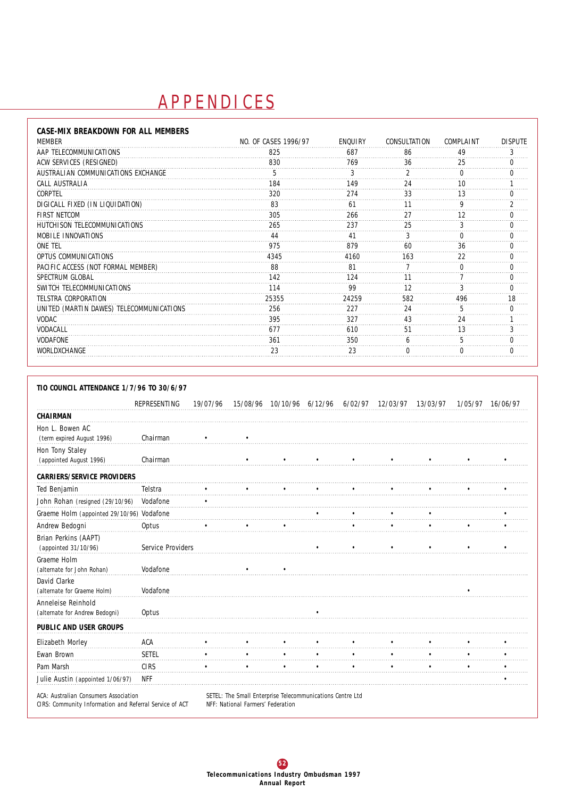# **A P P E N D I C E S**

| CASE-MIX BREAKDOWN FOR ALL MEMBERS       |                      |         |              |           |                |
|------------------------------------------|----------------------|---------|--------------|-----------|----------------|
| <b>MEMBER</b>                            | NO. OF CASES 1996/97 | ENQUIRY | CONSULTATION | COMPLAINT | <b>DISPUTE</b> |
| AAP TELECOMMUNICATIONS                   | 825                  | 687     | 86           | 49        |                |
| ACW SERVICES (RESIGNED)                  | 830                  | 769     | 36           | 25        |                |
| AUSTRALIAN COMMUNICATIONS EXCHANGE       | 5                    |         |              |           |                |
| CALL AUSTRALIA                           | 84                   | 149     |              |           |                |
| CORPTEL                                  | 320                  | 274     | 33           |           |                |
| DIGICALL FIXED (IN LIQUIDATION)          | 83                   | 61      |              |           |                |
| <b>FIRST NETCOM</b>                      | 305                  | 266     |              |           |                |
| HUTCHISON TELECOMMUNICATIONS             | 265                  | 237     | 25           |           |                |
| MOBILE INNOVATIONS                       |                      |         |              |           |                |
| ONE TEL                                  | 975                  | 879     |              |           |                |
| OPTUS COMMUNICATIONS                     | 4345                 | 4160    | 163          | 22        |                |
| PACIFIC ACCESS (NOT FORMAL MEMBER)       | 88                   | 81      |              |           |                |
| SPECTRUM GLOBAL                          | 142                  | 124     |              |           |                |
| SWITCH TELECOMMUNICATIONS                | 114                  | 99      | 12           | 3         |                |
| TELSTRA CORPORATION                      | 25355                | 24259   | 582          | 496       | 18             |
| UNITED (MARTIN DAWES) TELECOMMUNICATIONS | 256                  | 227     | 24           |           |                |
| <b>VODAC</b>                             | 395                  | 327     | 43           | 24        |                |
| VODACALL                                 |                      | 610     |              |           |                |
| <b>VODAFONE</b>                          | 361                  | 350     |              |           |                |
| WORLDXCHANGE                             | 23                   | 23      |              |           |                |

| TIO COUNCIL ATTENDANCE 1/7/96 TO 30/6/97 |  |  |
|------------------------------------------|--|--|
|                                          |  |  |

|                                                      | REPRESENTING      | 19/07/96 |                                                           | 15/08/96 10/10/96 6/12/96 |  | 6/02/97 12/03/97 13/03/97 | 1/05/97 | 16/06/97 |
|------------------------------------------------------|-------------------|----------|-----------------------------------------------------------|---------------------------|--|---------------------------|---------|----------|
| CHAIRMAN                                             |                   |          |                                                           |                           |  |                           |         |          |
| Hon L. Bowen AC<br>(term expired August 1996)        | Chairman          |          |                                                           |                           |  |                           |         |          |
| Hon Tony Staley<br>(appointed August 1996)           | Chairman          |          |                                                           |                           |  |                           |         |          |
| <b>CARRIERS/SERVICE PROVIDERS</b>                    |                   |          |                                                           |                           |  |                           |         |          |
| Ted Benjamin                                         | Telstra           |          |                                                           |                           |  |                           |         |          |
| John Rohan (resigned (29/10/96)                      | Vodafone          |          |                                                           |                           |  |                           |         |          |
| Graeme Holm (appointed 29/10/96) Vodafone            |                   |          |                                                           |                           |  |                           |         |          |
| Andrew Bedogni                                       | Optus             |          |                                                           |                           |  |                           |         |          |
| Brian Perkins (AAPT)<br>(appointed 31/10/96)         | Service Providers |          |                                                           |                           |  |                           |         |          |
| Graeme Holm<br>(alternate for John Rohan)            | Vodafone          |          |                                                           |                           |  |                           |         |          |
| David Clarke<br>(alternate for Graeme Holm)          | Vodafone          |          |                                                           |                           |  |                           |         |          |
| Anneleise Reinhold<br>(alternate for Andrew Bedogni) | Optus             |          |                                                           |                           |  |                           |         |          |
| PUBLIC AND USER GROUPS                               |                   |          |                                                           |                           |  |                           |         |          |
| Elizabeth Morley                                     | ACA               |          |                                                           |                           |  |                           |         |          |
| Ewan Brown                                           | <b>SETEL</b>      |          |                                                           |                           |  |                           |         |          |
| Pam Marsh                                            | CIRS              |          |                                                           |                           |  |                           |         |          |
| Julie Austin (appointed 1/06/97)                     | NFF               |          |                                                           |                           |  |                           |         |          |
| ACA: Australian Consumers Association                |                   |          | SETEL: The Small Enterprise Telecommunications Centre Ltd |                           |  |                           |         |          |

*CIRS: Community Information and Referral Service of ACT NFF: National Farmers' Federation*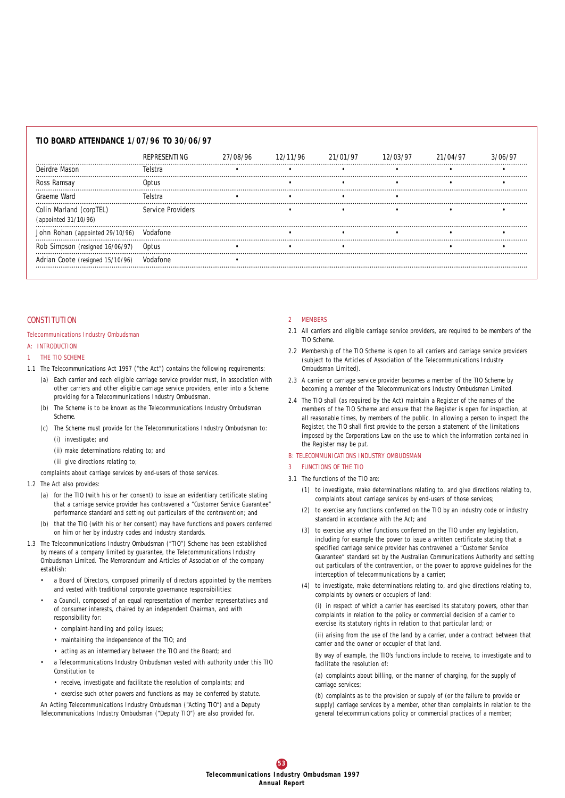| TIO BOARD ATTENDANCE 1/07/96 TO 30/06/97        |                   |          |          |          |          |          |         |
|-------------------------------------------------|-------------------|----------|----------|----------|----------|----------|---------|
|                                                 | REPRESENTING      | 27/08/96 | 12/11/96 | 21/01/97 | 12/03/97 | 21/04/97 | 3/06/97 |
| Deirdre Mason                                   | lelstra           |          |          |          |          |          |         |
| Ross Ramsay                                     | Ontus             |          |          |          |          |          |         |
| Graeme Ward                                     | Telstra           |          |          |          |          |          |         |
| Colin Marland (corpTEL)<br>(appointed 31/10/96) | Service Providers |          |          |          |          |          |         |
| John Rohan (appointed 29/10/96) Vodafone        |                   |          |          |          |          |          |         |
| Rob<br>Simpson <i>(resigned 16/06/97)</i>       | Optus             |          |          |          |          |          |         |
| Adrian Coote (resigned 15/10/96)                | Vodafone          |          |          |          |          |          |         |

#### *CONSTITUTION*

#### Telecommunications Industry Ombudsman

#### A: INTRODUCTION

- 1 THE TIO SCHEME
- 1.1 The Telecommunications Act 1997 ("the Act") contains the following requirements:
	- (a) Each carrier and each eligible carriage service provider must, in association with other carriers and other eligible carriage service providers, enter into a Scheme providing for a Telecommunications Industry Ombudsman.
	- (b) The Scheme is to be known as the Telecommunications Industry Ombudsman Scheme.
	- (c) The Scheme must provide for the Telecommunications Industry Ombudsman to: (i) investigate; and
		- (ii) make determinations relating to; and
		- (iii give directions relating to;

complaints about carriage services by end-users of those services.

- 1.2 The Act also provides:
	- (a) for the TIO (with his or her consent) to issue an evidentiary certificate stating that a carriage service provider has contravened a "Customer Service Guarantee" performance standard and setting out particulars of the contravention; and
	- (b) that the TIO (with his or her consent) may have functions and powers conferred on him or her by industry codes and industry standards.
- 1.3 The Telecommunications Industry Ombudsman ("TIO") Scheme has been established by means of a company limited by guarantee, the Telecommunications Industry Ombudsman Limited. The Memorandum and Articles of Association of the company establish:
	- a Board of Directors, composed primarily of directors appointed by the members and vested with traditional corporate governance responsibilities:
	- a Council, composed of an equal representation of member representatives and of consumer interests, chaired by an independent Chairman, and with responsibility for:
		- complaint-handling and policy issues;
		- maintaining the independence of the TIO; and
		- acting as an intermediary between the TIO and the Board; and
	- a Telecommunications Industry Ombudsman vested with authority under this TIO Constitution to
		- receive, investigate and facilitate the resolution of complaints; and

• exercise such other powers and functions as may be conferred by statute. An Acting Telecommunications Industry Ombudsman ("Acting TIO") and a Deputy Telecommunications Industry Ombudsman ("Deputy TIO") are also provided for.

#### 2 MEMBERS

- 2.1 All carriers and eligible carriage service providers, are required to be members of the TIO Scheme.
- 2.2 Membership of the TIO Scheme is open to all carriers and carriage service providers (subject to the Articles of Association of the Telecommunications Industry Ombudsman Limited).
- 2.3 A carrier or carriage service provider becomes a member of the TIO Scheme by becoming a member of the Telecommunications Industry Ombudsman Limited.
- 2.4 The TIO shall (as required by the Act) maintain a Register of the names of the members of the TIO Scheme and ensure that the Register is open for inspection, at all reasonable times, by members of the public. In allowing a person to inspect the Register, the TIO shall first provide to the person a statement of the limitations imposed by the Corporations Law on the use to which the information contained in the Register may be put.

#### B: TELECOMMUNICATIONS INDUSTRY OMBUDSMAN

**FUNCTIONS OF THE TIO** 

- 3.1 The functions of the TIO are:
	- (1) to investigate, make determinations relating to, and give directions relating to, complaints about carriage services by end-users of those services;
	- (2) to exercise any functions conferred on the TIO by an industry code or industry standard in accordance with the Act; and
	- (3) to exercise any other functions conferred on the TIO under any legislation. including for example the power to issue a written certificate stating that a specified carriage service provider has contravened a "Customer Service Guarantee" standard set by the Australian Communications Authority and setting out particulars of the contravention, or the power to approve guidelines for the interception of telecommunications by a carrier;
	- (4) to investigate, make determinations relating to, and give directions relating to, complaints by owners or occupiers of land:

(i) in respect of which a carrier has exercised its statutory powers, other than complaints in relation to the policy or commercial decision of a carrier to exercise its statutory rights in relation to that particular land; or

(ii) arising from the use of the land by a carrier, under a contract between that carrier and the owner or occupier of that land.

By way of example, the TIO's functions include to receive, to investigate and to facilitate the resolution of:

(a) complaints about billing, or the manner of charging, for the supply of carriage services;

(b) complaints as to the provision or supply of (or the failure to provide or supply) carriage services by a member, other than complaints in relation to the general telecommunications policy or commercial practices of a member;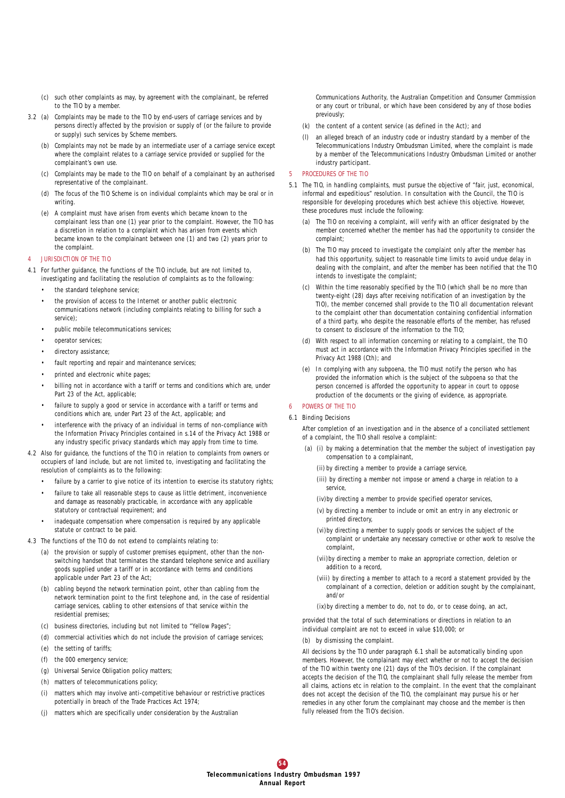- (c) such other complaints as may, by agreement with the complainant, be referred to the TIO by a member.
- 3.2 (a) Complaints may be made to the TIO by end-users of carriage services and by persons directly affected by the provision or supply of (or the failure to provide or supply) such services by Scheme members.
	- (b) Complaints may not be made by an intermediate user of a carriage service except where the complaint relates to a carriage service provided or supplied for the complainant's own use.
	- (c) Complaints may be made to the TIO on behalf of a complainant by an authorised representative of the complainant.
	- (d) The focus of the TIO Scheme is on individual complaints which may be oral or in writing.
	- (e) A complaint must have arisen from events which became known to the complainant less than one (1) year prior to the complaint. However, the TIO has a discretion in relation to a complaint which has arisen from events which became known to the complainant between one (1) and two (2) years prior to the complaint.

#### 4 JURISDICTION OF THE TIO

- 4.1 For further guidance, the functions of the TIO include, but are not limited to, investigating and facilitating the resolution of complaints as to the following:
	- the standard telephone service
	- the provision of access to the Internet or another public electronic communications network (including complaints relating to billing for such a service)
	- public mobile telecommunications services;
	- operator services;
	- directory assistance;
	- fault reporting and repair and maintenance services;
	- printed and electronic white pages;
	- billing not in accordance with a tariff or terms and conditions which are, under Part 23 of the Act, applicable;
	- failure to supply a good or service in accordance with a tariff or terms and conditions which are, under Part 23 of the Act, applicable; and
	- interference with the privacy of an individual in terms of non-compliance with the Information Privacy Principles contained in s.14 of the Privacy Act 1988 or any industry specific privacy standards which may apply from time to time.
- 4.2 Also for guidance, the functions of the TIO in relation to complaints from owners or occupiers of land include, but are not limited to, investigating and facilitating the resolution of complaints as to the following:
	- failure by a carrier to give notice of its intention to exercise its statutory rights;
	- failure to take all reasonable steps to cause as little detriment, inconvenience and damage as reasonably practicable, in accordance with any applicable statutory or contractual requirement; and
	- inadequate compensation where compensation is required by any applicable statute or contract to be paid.
- 4.3 The functions of the TIO do not extend to complaints relating to:
	- (a) the provision or supply of customer premises equipment, other than the nonswitching handset that terminates the standard telephone service and auxiliary goods supplied under a tariff or in accordance with terms and conditions applicable under Part 23 of the Act;
	- (b) cabling beyond the network termination point, other than cabling from the network termination point to the first telephone and, in the case of residential carriage services, cabling to other extensions of that service within the residential premises;
	- (c) business directories, including but not limited to "Yellow Pages";
	- (d) commercial activities which do not include the provision of carriage services;
	- (e) the setting of tariffs;
	- (f) the 000 emergency service;
	- (g) Universal Service Obligation policy matters;
	- (h) matters of telecommunications policy;
	- (i) matters which may involve anti-competitive behaviour or restrictive practices potentially in breach of the Trade Practices Act 1974;
	- (j) matters which are specifically under consideration by the Australian

Communications Authority, the Australian Competition and Consumer Commission or any court or tribunal, or which have been considered by any of those bodies previously;

- (k) the content of a content service (as defined in the Act); and
- (l) an alleged breach of an industry code or industry standard by a member of the Telecommunications Industry Ombudsman Limited, where the complaint is made by a member of the Telecommunications Industry Ombudsman Limited or another industry participant.

#### 5 PROCEDURES OF THE TIO

- 5.1 The TIO, in handling complaints, must pursue the objective of "fair, just, economical, informal and expeditious" resolution. In consultation with the Council, the TIO is responsible for developing procedures which best achieve this objective. However, these procedures must include the following:
	- (a) The TIO on receiving a complaint, will verify with an officer designated by the member concerned whether the member has had the opportunity to consider the complaint;
	- (b) The TIO may proceed to investigate the complaint only after the member has had this opportunity, subject to reasonable time limits to avoid undue delay in dealing with the complaint, and after the member has been notified that the TIO intends to investigate the complaint;
	- (c) Within the time reasonably specified by the TIO (which shall be no more than twenty-eight (28) days after receiving notification of an investigation by the TIO), the member concerned shall provide to the TIO all documentation relevant to the complaint other than documentation containing confidential information of a third party, who despite the reasonable efforts of the member, has refused to consent to disclosure of the information to the TIO;
	- (d) With respect to all information concerning or relating to a complaint, the TIO must act in accordance with the Information Privacy Principles specified in the Privacy Act 1988 (Cth); and
	- (e) In complying with any subpoena, the TIO must notify the person who has provided the information which is the subject of the subpoena so that the person concerned is afforded the opportunity to appear in court to oppose production of the documents or the giving of evidence, as appropriate.

#### 6 POWERS OF THE TIO

6.1 Binding Decisions

After completion of an investigation and in the absence of a conciliated settlement of a complaint, the TIO shall resolve a complaint:

- (a) (i) by making a determination that the member the subject of investigation pay compensation to a complainant,
	- (ii) by directing a member to provide a carriage service,
	- (iii) by directing a member not impose or amend a charge in relation to a service,
	- (iv)by directing a member to provide specified operator services,
	- (v) by directing a member to include or omit an entry in any electronic or printed directory,
	- (vi)by directing a member to supply goods or services the subject of the complaint or undertake any necessary corrective or other work to resolve the complaint,
	- (vii)by directing a member to make an appropriate correction, deletion or addition to a record,
	- (viii) by directing a member to attach to a record a statement provided by the complainant of a correction, deletion or addition sought by the complainant, and/or
	- (ix)by directing a member to do, not to do, or to cease doing, an act,

provided that the total of such determinations or directions in relation to an individual complaint are not to exceed in value \$10,000; or

#### (b) by dismissing the complaint.

All decisions by the TIO under paragraph 6.1 shall be automatically binding upon members. However, the complainant may elect whether or not to accept the decision of the TIO within twenty one (21) days of the TIO's decision. If the complainant accepts the decision of the TIO, the complainant shall fully release the member from all claims, actions etc in relation to the complaint. In the event that the complainant does not accept the decision of the TIO, the complainant may pursue his or her remedies in any other forum the complainant may choose and the member is then fully released from the TIO's decision.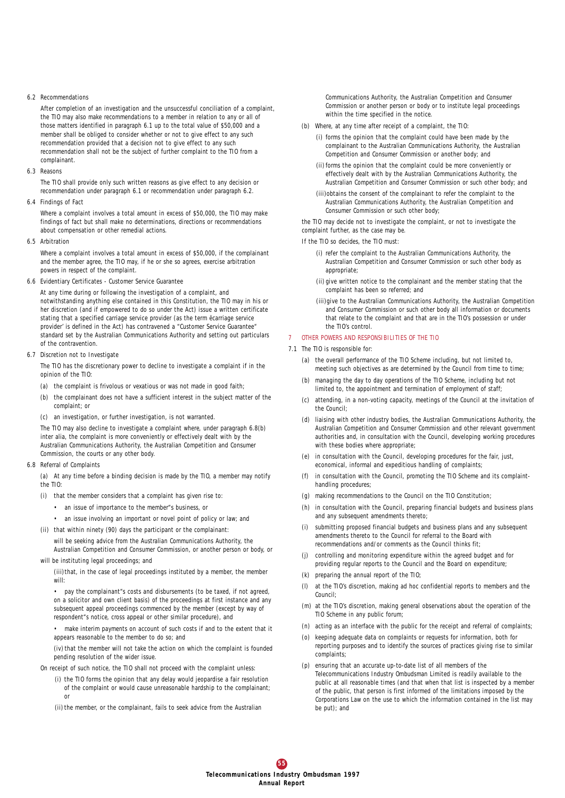#### 6.2 Recommendations

After completion of an investigation and the unsuccessful conciliation of a complaint, the TIO may also make recommendations to a member in relation to any or all of those matters identified in paragraph 6.1 up to the total value of \$50,000 and a member shall be obliged to consider whether or not to give effect to any such recommendation provided that a decision not to give effect to any such recommendation shall not be the subject of further complaint to the TIO from a complainant.

6.3 Reasons

The TIO shall provide only such written reasons as give effect to any decision or recommendation under paragraph 6.1 or recommendation under paragraph 6.2.

6.4 Findings of Fact

Where a complaint involves a total amount in excess of \$50,000, the TIO may make findings of fact but shall make no determinations, directions or recommendations about compensation or other remedial actions.

6.5 Arbitration

Where a complaint involves a total amount in excess of \$50,000, if the complainant and the member agree, the TIO may, if he or she so agrees, exercise arbitration powers in respect of the complaint.

6.6 Evidentiary Certificates - Customer Service Guarantee

At any time during or following the investigation of a complaint, and notwithstanding anything else contained in this Constitution, the TIO may in his or her discretion (and if empowered to do so under the Act) issue a written certificate stating that a specified carriage service provider (as the term ëcarriage service provider' is defined in the Act) has contravened a "Customer Service Guarantee" standard set by the Australian Communications Authority and setting out particulars of the contravention.

#### 6.7 Discretion not to Investigate

The TIO has the discretionary power to decline to investigate a complaint if in the opinion of the TIO:

- (a) the complaint is frivolous or vexatious or was not made in good faith;
- (b) the complainant does not have a sufficient interest in the subject matter of the complaint; or
- (c) an investigation, or further investigation, is not warranted.

The TIO may also decline to investigate a complaint where, under paragraph 6.8(b) inter alia, the complaint is more conveniently or effectively dealt with by the Australian Communications Authority, the Australian Competition and Consumer Commission, the courts or any other body.

#### 6.8 Referral of Complaints

(a) At any time before a binding decision is made by the TIO, a member may notify the TIO:

- (i) that the member considers that a complaint has given rise to:
	- an issue of importance to the member"s business, or
	- an issue involving an important or novel point of policy or law; and
- (ii) that within ninety (90) days the participant or the complainant:

will be seeking advice from the Australian Communications Authority, the Australian Competition and Consumer Commission, or another person or body, or

## will be instituting legal proceedings; and

(iii)that, in the case of legal proceedings instituted by a member, the member will:

• pay the complainant"s costs and disbursements (to be taxed, if not agreed, on a solicitor and own client basis) of the proceedings at first instance and any subsequent appeal proceedings commenced by the member (except by way of respondent"s notice, cross appeal or other similar procedure), and

• make interim payments on account of such costs if and to the extent that it appears reasonable to the member to do so; and

(iv) that the member will not take the action on which the complaint is founded pending resolution of the wider issue.

On receipt of such notice, the TIO shall not proceed with the complaint unless:

(i) the TIO forms the opinion that any delay would jeopardise a fair resolution of the complaint or would cause unreasonable hardship to the complainant; or

(ii) the member, or the complainant, fails to seek advice from the Australian

Communications Authority, the Australian Competition and Consumer Commission or another person or body or to institute legal proceedings within the time specified in the notice.

- (b) Where, at any time after receipt of a complaint, the TIO:
	- (i) forms the opinion that the complaint could have been made by the complainant to the Australian Communications Authority, the Australian Competition and Consumer Commission or another body; and
	- (ii) forms the opinion that the complaint could be more conveniently or effectively dealt with by the Australian Communications Authority, the Australian Competition and Consumer Commission or such other body; and
	- (iii)obtains the consent of the complainant to refer the complaint to the Australian Communications Authority, the Australian Competition and Consumer Commission or such other body;

the TIO may decide not to investigate the complaint, or not to investigate the complaint further, as the case may be.

If the TIO so decides, the TIO must:

- (i) refer the complaint to the Australian Communications Authority, the Australian Competition and Consumer Commission or such other body as appropriate;
- (ii) give written notice to the complainant and the member stating that the complaint has been so referred; and
- (iii)give to the Australian Communications Authority, the Australian Competition and Consumer Commission or such other body all information or documents that relate to the complaint and that are in the TIO's possession or under the TIO's control.

#### 7 OTHER POWERS AND RESPONSIBILITIES OF THE TIO

- 7.1 The TIO is responsible for:
	- (a) the overall performance of the TIO Scheme including, but not limited to, meeting such objectives as are determined by the Council from time to time;
	- (b) managing the day to day operations of the TIO Scheme, including but not limited to, the appointment and termination of employment of staff;
	- (c) attending, in a non-voting capacity, meetings of the Council at the invitation of the Council;
	- (d) liaising with other industry bodies, the Australian Communications Authority, the Australian Competition and Consumer Commission and other relevant government authorities and, in consultation with the Council, developing working procedures with these bodies where appropriate:
	- (e) in consultation with the Council, developing procedures for the fair, just, economical, informal and expeditious handling of complaints;
	- (f) in consultation with the Council, promoting the TIO Scheme and its complainthandling procedures;
	- (g) making recommendations to the Council on the TIO Constitution;
	- (h) in consultation with the Council, preparing financial budgets and business plans and any subsequent amendments thereto;
	- (i) submitting proposed financial budgets and business plans and any subsequent amendments thereto to the Council for referral to the Board with recommendations and/or comments as the Council thinks fit;
	- (j) controlling and monitoring expenditure within the agreed budget and for providing regular reports to the Council and the Board on expenditure;
	- (k) preparing the annual report of the TIO;
	- (l) at the TIO's discretion, making ad hoc confidential reports to members and the Council;
	- (m) at the TIO's discretion, making general observations about the operation of the TIO Scheme in any public forum;
	- (n) acting as an interface with the public for the receipt and referral of complaints;
	- (o) keeping adequate data on complaints or requests for information, both for reporting purposes and to identify the sources of practices giving rise to similar complaints;
	- (p) ensuring that an accurate up-to-date list of all members of the Telecommunications Industry Ombudsman Limited is readily available to the public at all reasonable times (and that when that list is inspected by a member of the public, that person is first informed of the limitations imposed by the Corporations Law on the use to which the information contained in the list may be put); and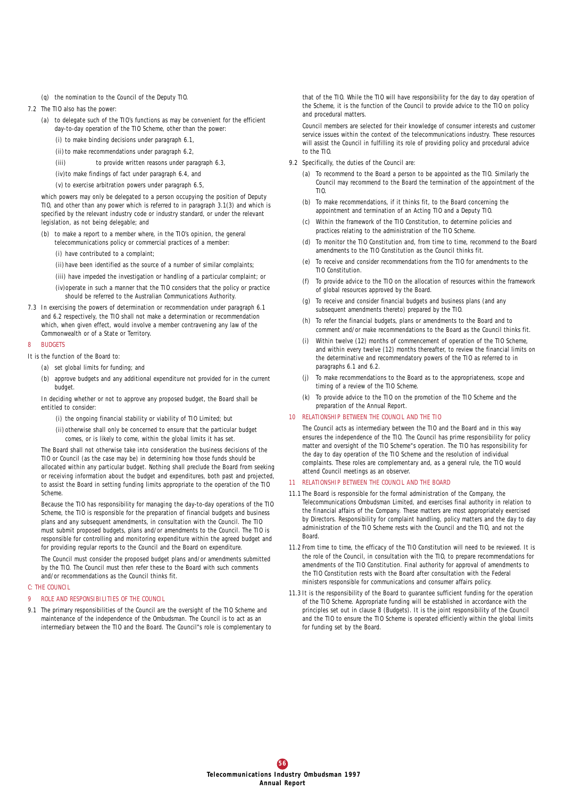- (q) the nomination to the Council of the Deputy TIO.
- 7.2 The TIO also has the power:
	- (a) to delegate such of the TIO's functions as may be convenient for the efficient day-to-day operation of the TIO Scheme, other than the power:
		- (i) to make binding decisions under paragraph 6.1,
		- (ii) to make recommendations under paragraph 6.2,
		- (iii) to provide written reasons under paragraph 6.3,
		- (iv)to make findings of fact under paragraph 6.4, and
		- (v) to exercise arbitration powers under paragraph 6.5,

which powers may only be delegated to a person occupying the position of Deputy TIO, and other than any power which is referred to in paragraph 3.1(3) and which is specified by the relevant industry code or industry standard, or under the relevant legislation, as not being delegable; and

- (b) to make a report to a member where, in the TIO's opinion, the general telecommunications policy or commercial practices of a member:
	- (i) have contributed to a complaint;
	- (ii) have been identified as the source of a number of similar complaints;

(iii) have impeded the investigation or handling of a particular complaint; or (iv)operate in such a manner that the TIO considers that the policy or practice

- should be referred to the Australian Communications Authority.
- 7.3 In exercising the powers of determination or recommendation under paragraph 6.1 and 6.2 respectively, the TIO shall not make a determination or recommendation which, when given effect, would involve a member contravening any law of the Commonwealth or of a State or Territory.

#### 8 BUDGETS

It is the function of the Board to:

- (a) set global limits for funding; and
- (b) approve budgets and any additional expenditure not provided for in the current budget.

In deciding whether or not to approve any proposed budget, the Board shall be entitled to consider:

- (i) the ongoing financial stability or viability of TIO Limited; but
- (ii) otherwise shall only be concerned to ensure that the particular budget comes, or is likely to come, within the global limits it has set.

The Board shall not otherwise take into consideration the business decisions of the TIO or Council (as the case may be) in determining how those funds should be allocated within any particular budget. Nothing shall preclude the Board from seeking or receiving information about the budget and expenditures, both past and projected, to assist the Board in setting funding limits appropriate to the operation of the TIO Scheme.

Because the TIO has responsibility for managing the day-to-day operations of the TIO Scheme, the TIO is responsible for the preparation of financial budgets and business plans and any subsequent amendments, in consultation with the Council. The TIO must submit proposed budgets, plans and/or amendments to the Council. The TIO is responsible for controlling and monitoring expenditure within the agreed budget and for providing regular reports to the Council and the Board on expenditure.

The Council must consider the proposed budget plans and/or amendments submitted by the TIO. The Council must then refer these to the Board with such comments and/or recommendations as the Council thinks fit.

#### C: THE COUNCIL

- 9 ROLE AND RESPONSIBILITIES OF THE COUNCIL
- 9.1 The primary responsibilities of the Council are the oversight of the TIO Scheme and maintenance of the independence of the Ombudsman. The Council is to act as an intermediary between the TIO and the Board. The Council"s role is complementary to

that of the TIO. While the TIO will have responsibility for the day to day operation of the Scheme, it is the function of the Council to provide advice to the TIO on policy and procedural matters.

Council members are selected for their knowledge of consumer interests and customer service issues within the context of the telecommunications industry. These resources will assist the Council in fulfilling its role of providing policy and procedural advice to the TIO.

- 9.2 Specifically, the duties of the Council are:
	- (a) To recommend to the Board a person to be appointed as the TIO. Similarly the Council may recommend to the Board the termination of the appointment of the TIO.
	- (b) To make recommendations, if it thinks fit, to the Board concerning the appointment and termination of an Acting TIO and a Deputy TIO.
	- (c) Within the framework of the TIO Constitution, to determine policies and practices relating to the administration of the TIO Scheme.
	- (d) To monitor the TIO Constitution and, from time to time, recommend to the Board amendments to the TIO Constitution as the Council thinks fit.
	- (e) To receive and consider recommendations from the TIO for amendments to the TIO Constitution.
	- (f) To provide advice to the TIO on the allocation of resources within the framework of global resources approved by the Board.
	- (g) To receive and consider financial budgets and business plans (and any subsequent amendments thereto) prepared by the TIO.
	- (h) To refer the financial budgets, plans or amendments to the Board and to comment and/or make recommendations to the Board as the Council thinks fit.
	- (i) Within twelve (12) months of commencement of operation of the TIO Scheme, and within every twelve (12) months thereafter, to review the financial limits on the determinative and recommendatory powers of the TIO as referred to in paragraphs 6.1 and 6.2
	- To make recommendations to the Board as to the appropriateness, scope and timing of a review of the TIO Scheme.
	- (k) To provide advice to the TIO on the promotion of the TIO Scheme and the preparation of the Annual Report.

#### 10 RELATIONSHIP BETWEEN THE COUNCIL AND THE TIO

The Council acts as intermediary between the TIO and the Board and in this way ensures the independence of the TIO. The Council has prime responsibility for policy matter and oversight of the TIO Scheme"s operation. The TIO has responsibility for the day to day operation of the TIO Scheme and the resolution of individual complaints. These roles are complementary and, as a general rule, the TIO would attend Council meetings as an observer.

#### 11 RELATIONSHIP BETWEEN THE COUNCIL AND THE BOARD

- 11.1 The Board is responsible for the formal administration of the Company, the Telecommunications Ombudsman Limited, and exercises final authority in relation to the financial affairs of the Company. These matters are most appropriately exercised by Directors. Responsibility for complaint handling, policy matters and the day to day administration of the TIO Scheme rests with the Council and the TIO, and not the Board.
- 11.2 From time to time, the efficacy of the TIO Constitution will need to be reviewed. It is the role of the Council, in consultation with the TIO, to prepare recommendations for amendments of the TIO Constitution. Final authority for approval of amendments to the TIO Constitution rests with the Board after consultation with the Federal ministers responsible for communications and consumer affairs policy.
- 11.3 It is the responsibility of the Board to guarantee sufficient funding for the operation of the TIO Scheme. Appropriate funding will be established in accordance with the principles set out in clause 8 (Budgets). It is the joint responsibility of the Council and the TIO to ensure the TIO Scheme is operated efficiently within the global limits for funding set by the Board.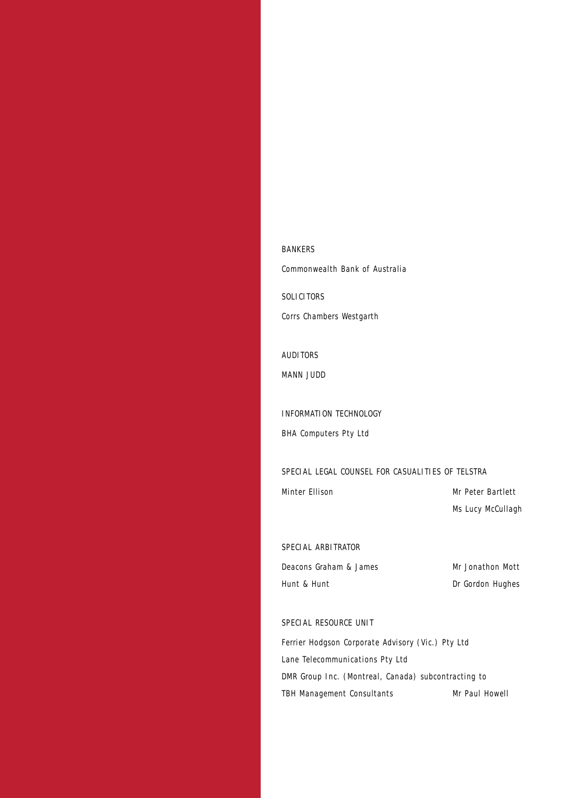*BANKERS Commonwealth Bank of Australia*

*SOLICITORS Corrs Chambers Westgarth*

*AUDITORS MANN JUDD*

*INFORMATION TECHNOLOGY BHA Computers Pty Ltd*

*SPECIAL LEGAL COUNSEL FOR CASUALITIES OF TELSTRA*

*Minter Ellison Mr Peter Bartlett Ms Lucy McCullagh*

*SPECIAL ARBITRATOR*

*Deacons Graham & James Mr Jonathon Mott Hunt & Hunt Dr Gordon Hughes*

*SPECIAL RESOURCE UNIT*

*Ferrier Hodgson Corporate Advisory (Vic.) Pty Ltd Lane Telecommunications Pty Ltd DMR Group Inc. (Montreal, Canada) subcontracting to TBH Management Consultants Mr Paul Howell*